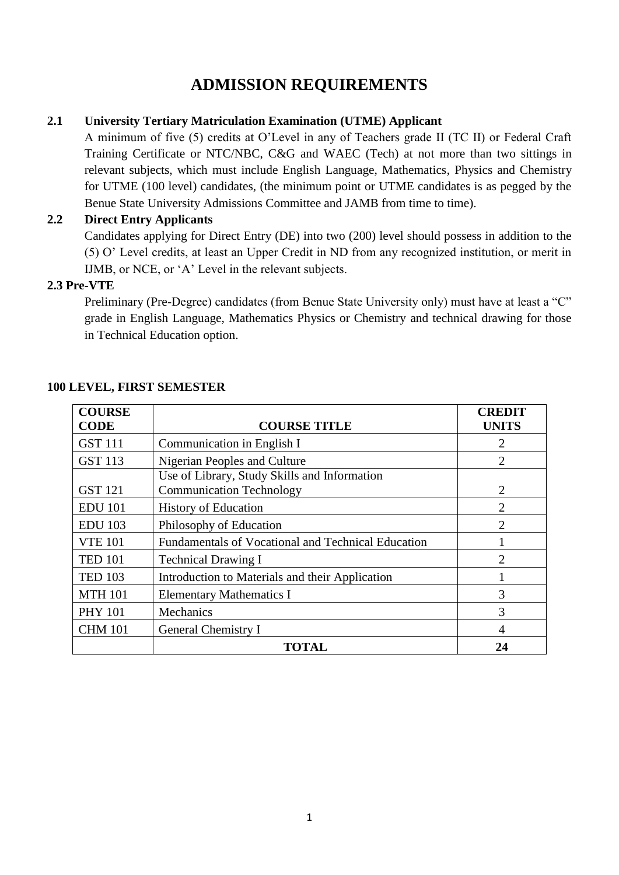# **ADMISSION REQUIREMENTS**

# **2.1 University Tertiary Matriculation Examination (UTME) Applicant**

A minimum of five (5) credits at O"Level in any of Teachers grade II (TC II) or Federal Craft Training Certificate or NTC/NBC, C&G and WAEC (Tech) at not more than two sittings in relevant subjects, which must include English Language, Mathematics, Physics and Chemistry for UTME (100 level) candidates, (the minimum point or UTME candidates is as pegged by the Benue State University Admissions Committee and JAMB from time to time).

# **2.2 Direct Entry Applicants**

Candidates applying for Direct Entry (DE) into two (200) level should possess in addition to the (5) O" Level credits, at least an Upper Credit in ND from any recognized institution, or merit in IJMB, or NCE, or "A" Level in the relevant subjects.

# **2.3 Pre-VTE**

Preliminary (Pre-Degree) candidates (from Benue State University only) must have at least a "C" grade in English Language, Mathematics Physics or Chemistry and technical drawing for those in Technical Education option.

| <b>COURSE</b><br><b>CODE</b> | <b>COURSE TITLE</b>                                | <b>CREDIT</b><br><b>UNITS</b> |
|------------------------------|----------------------------------------------------|-------------------------------|
| <b>GST 111</b>               | Communication in English I                         | 2                             |
| <b>GST 113</b>               | Nigerian Peoples and Culture                       | $\overline{2}$                |
|                              | Use of Library, Study Skills and Information       |                               |
| <b>GST 121</b>               | <b>Communication Technology</b>                    | $\overline{2}$                |
| <b>EDU 101</b>               | <b>History of Education</b>                        | $\overline{2}$                |
| <b>EDU 103</b>               | Philosophy of Education                            | $\mathcal{D}_{\mathcal{L}}$   |
| <b>VTE 101</b>               | Fundamentals of Vocational and Technical Education |                               |
| <b>TED 101</b>               | <b>Technical Drawing I</b>                         | $\mathcal{D}_{\mathcal{L}}$   |
| <b>TED 103</b>               | Introduction to Materials and their Application    |                               |
| <b>MTH 101</b>               | <b>Elementary Mathematics I</b>                    | 3                             |
| <b>PHY 101</b>               | Mechanics                                          | 3                             |
| <b>CHM 101</b>               | General Chemistry I                                | 4                             |
|                              | <b>TOTAL</b>                                       | 24                            |

#### **100 LEVEL, FIRST SEMESTER**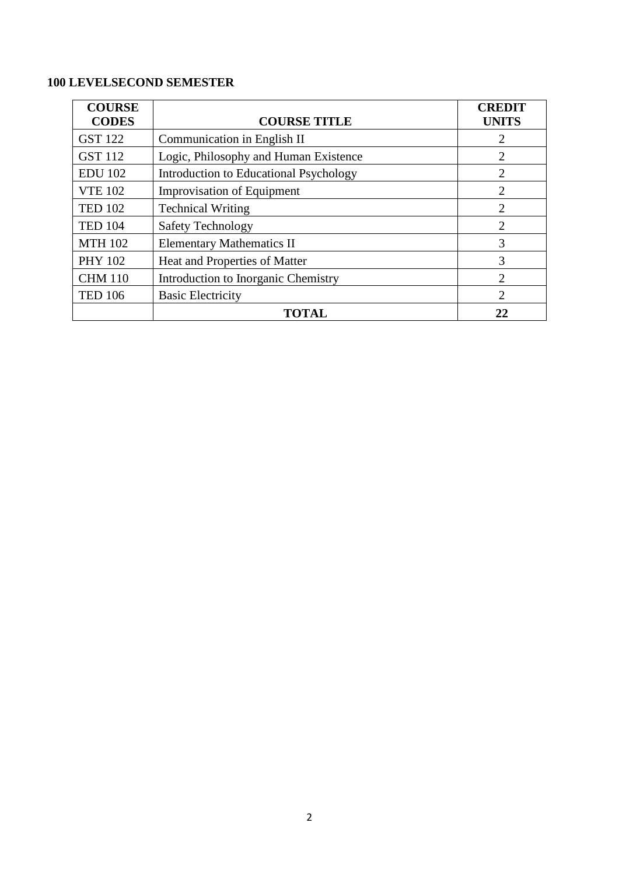# **100 LEVELSECOND SEMESTER**

| <b>COURSE</b><br><b>CODES</b> | <b>COURSE TITLE</b>                    | <b>CREDIT</b><br><b>UNITS</b> |
|-------------------------------|----------------------------------------|-------------------------------|
| <b>GST 122</b>                | Communication in English II            | 2                             |
| <b>GST 112</b>                | Logic, Philosophy and Human Existence  | 2                             |
| <b>EDU 102</b>                | Introduction to Educational Psychology | $\overline{2}$                |
| <b>VTE 102</b>                | <b>Improvisation of Equipment</b>      | $\overline{2}$                |
| <b>TED 102</b>                | <b>Technical Writing</b>               | 2                             |
| <b>TED 104</b>                | <b>Safety Technology</b>               | $\mathcal{D}_{\mathcal{L}}$   |
| <b>MTH 102</b>                | <b>Elementary Mathematics II</b>       | 3                             |
| <b>PHY 102</b>                | Heat and Properties of Matter          | 3                             |
| <b>CHM 110</b>                | Introduction to Inorganic Chemistry    | 2                             |
| <b>TED 106</b>                | <b>Basic Electricity</b>               | $\overline{2}$                |
|                               | <b>TOTAL</b>                           | 22                            |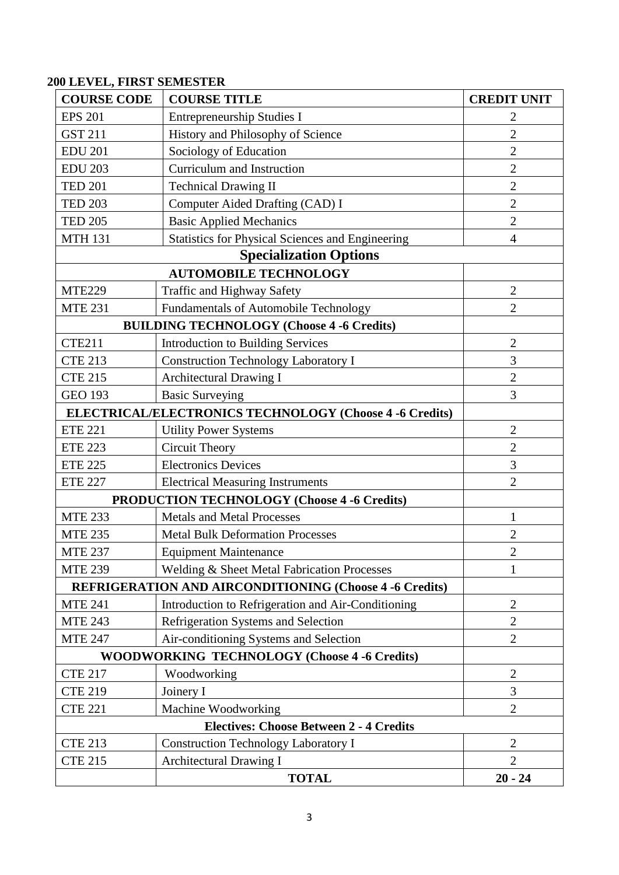# **200 LEVEL, FIRST SEMESTER**

| <b>COURSE CODE</b> | <b>COURSE TITLE</b>                                            | <b>CREDIT UNIT</b> |
|--------------------|----------------------------------------------------------------|--------------------|
| <b>EPS 201</b>     | <b>Entrepreneurship Studies I</b>                              | 2                  |
| <b>GST 211</b>     | History and Philosophy of Science                              | $\overline{2}$     |
| <b>EDU 201</b>     | Sociology of Education                                         | $\overline{2}$     |
| <b>EDU 203</b>     | Curriculum and Instruction                                     | $\overline{2}$     |
| <b>TED 201</b>     | <b>Technical Drawing II</b>                                    | $\overline{2}$     |
| <b>TED 203</b>     | Computer Aided Drafting (CAD) I                                | $\overline{2}$     |
| <b>TED 205</b>     | <b>Basic Applied Mechanics</b>                                 | $\overline{2}$     |
| <b>MTH 131</b>     | <b>Statistics for Physical Sciences and Engineering</b>        | $\overline{4}$     |
|                    | <b>Specialization Options</b>                                  |                    |
|                    | <b>AUTOMOBILE TECHNOLOGY</b>                                   |                    |
| <b>MTE229</b>      | Traffic and Highway Safety                                     | $\overline{2}$     |
| <b>MTE 231</b>     | <b>Fundamentals of Automobile Technology</b>                   | $\overline{2}$     |
|                    | <b>BUILDING TECHNOLOGY (Choose 4 -6 Credits)</b>               |                    |
| <b>CTE211</b>      | <b>Introduction to Building Services</b>                       | $\overline{2}$     |
| <b>CTE 213</b>     | <b>Construction Technology Laboratory I</b>                    | 3                  |
| <b>CTE 215</b>     | Architectural Drawing I                                        | $\overline{2}$     |
| <b>GEO 193</b>     | <b>Basic Surveying</b>                                         | 3                  |
|                    | ELECTRICAL/ELECTRONICS TECHNOLOGY (Choose 4 -6 Credits)        |                    |
| <b>ETE 221</b>     | <b>Utility Power Systems</b>                                   | $\overline{2}$     |
| <b>ETE 223</b>     | <b>Circuit Theory</b>                                          | $\overline{2}$     |
| <b>ETE 225</b>     | <b>Electronics Devices</b>                                     | 3                  |
| <b>ETE 227</b>     | <b>Electrical Measuring Instruments</b>                        | $\overline{2}$     |
|                    | <b>PRODUCTION TECHNOLOGY (Choose 4 -6 Credits)</b>             |                    |
| <b>MTE 233</b>     | <b>Metals and Metal Processes</b>                              | 1                  |
| <b>MTE 235</b>     | <b>Metal Bulk Deformation Processes</b>                        | $\overline{2}$     |
| <b>MTE 237</b>     | <b>Equipment Maintenance</b>                                   | $\overline{2}$     |
| <b>MTE 239</b>     | Welding & Sheet Metal Fabrication Processes                    | 1                  |
|                    | <b>REFRIGERATION AND AIRCONDITIONING (Choose 4 -6 Credits)</b> |                    |
| <b>MTE 241</b>     | Introduction to Refrigeration and Air-Conditioning             | $\overline{2}$     |
| <b>MTE 243</b>     | Refrigeration Systems and Selection                            | $\overline{2}$     |
| <b>MTE 247</b>     | Air-conditioning Systems and Selection                         | $\overline{2}$     |
|                    | <b>WOODWORKING TECHNOLOGY (Choose 4 -6 Credits)</b>            |                    |
| <b>CTE 217</b>     | Woodworking                                                    | $\mathbf{2}$       |
| <b>CTE 219</b>     | Joinery I                                                      | 3                  |
| <b>CTE 221</b>     | Machine Woodworking                                            | $\overline{2}$     |
|                    | <b>Electives: Choose Between 2 - 4 Credits</b>                 |                    |
| <b>CTE 213</b>     | <b>Construction Technology Laboratory I</b>                    | $\overline{2}$     |
| <b>CTE 215</b>     | Architectural Drawing I                                        | $\overline{2}$     |
|                    | <b>TOTAL</b>                                                   | $20 - 24$          |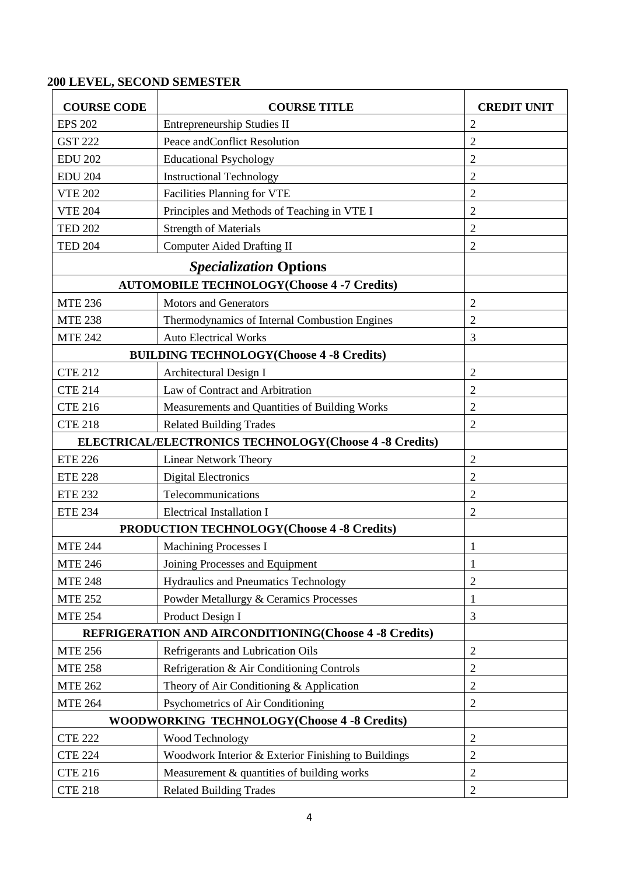# **200 LEVEL, SECOND SEMESTER**

| <b>COURSE CODE</b>                                     | <b>COURSE TITLE</b>                                           | <b>CREDIT UNIT</b> |
|--------------------------------------------------------|---------------------------------------------------------------|--------------------|
| <b>EPS 202</b>                                         | Entrepreneurship Studies II                                   | $\overline{2}$     |
| <b>GST 222</b>                                         | Peace and Conflict Resolution                                 | $\overline{2}$     |
| <b>EDU 202</b>                                         | <b>Educational Psychology</b>                                 | $\overline{2}$     |
| <b>EDU 204</b>                                         | <b>Instructional Technology</b>                               | $\overline{2}$     |
| <b>VTE 202</b>                                         | <b>Facilities Planning for VTE</b>                            | $\overline{2}$     |
| <b>VTE 204</b>                                         | Principles and Methods of Teaching in VTE I                   | $\overline{2}$     |
| <b>TED 202</b>                                         | <b>Strength of Materials</b>                                  | $\overline{c}$     |
| <b>TED 204</b>                                         | <b>Computer Aided Drafting II</b>                             | 2                  |
|                                                        | <b>Specialization Options</b>                                 |                    |
|                                                        | <b>AUTOMOBILE TECHNOLOGY(Choose 4 -7 Credits)</b>             |                    |
| <b>MTE 236</b>                                         | <b>Motors and Generators</b>                                  | $\overline{2}$     |
| <b>MTE 238</b>                                         | Thermodynamics of Internal Combustion Engines                 | $\overline{2}$     |
| <b>MTE 242</b>                                         | <b>Auto Electrical Works</b>                                  | 3                  |
|                                                        | <b>BUILDING TECHNOLOGY(Choose 4 -8 Credits)</b>               |                    |
| <b>CTE 212</b>                                         | Architectural Design I                                        | $\overline{2}$     |
| <b>CTE 214</b>                                         | Law of Contract and Arbitration                               | $\overline{c}$     |
| <b>CTE 216</b>                                         | Measurements and Quantities of Building Works                 | $\overline{2}$     |
| <b>CTE 218</b>                                         | <b>Related Building Trades</b>                                | $\overline{2}$     |
| ELECTRICAL/ELECTRONICS TECHNOLOGY(Choose 4 -8 Credits) |                                                               |                    |
| <b>ETE 226</b>                                         | <b>Linear Network Theory</b>                                  | $\overline{2}$     |
| <b>ETE 228</b>                                         | <b>Digital Electronics</b>                                    | $\overline{2}$     |
| <b>ETE 232</b>                                         | Telecommunications                                            | $\overline{2}$     |
| <b>ETE 234</b>                                         | <b>Electrical Installation I</b>                              | $\overline{2}$     |
|                                                        | <b>PRODUCTION TECHNOLOGY (Choose 4 -8 Credits)</b>            |                    |
| <b>MTE 244</b>                                         | <b>Machining Processes I</b>                                  | 1                  |
| <b>MTE 246</b>                                         | Joining Processes and Equipment                               | 1                  |
| <b>MTE 248</b>                                         | <b>Hydraulics and Pneumatics Technology</b>                   | $\overline{2}$     |
| <b>MTE 252</b>                                         | Powder Metallurgy & Ceramics Processes                        | 1                  |
| <b>MTE 254</b>                                         | Product Design I                                              | 3                  |
|                                                        | <b>REFRIGERATION AND AIRCONDITIONING(Choose 4 -8 Credits)</b> |                    |
| <b>MTE 256</b>                                         | Refrigerants and Lubrication Oils                             | $\overline{2}$     |
| <b>MTE 258</b>                                         | Refrigeration & Air Conditioning Controls                     | $\overline{2}$     |
| <b>MTE 262</b>                                         | Theory of Air Conditioning & Application                      | 2                  |
| <b>MTE 264</b>                                         | Psychometrics of Air Conditioning                             | $\overline{2}$     |
|                                                        | <b>WOODWORKING TECHNOLOGY(Choose 4 -8 Credits)</b>            |                    |
| <b>CTE 222</b>                                         | Wood Technology                                               | $\overline{2}$     |
| <b>CTE 224</b>                                         | Woodwork Interior & Exterior Finishing to Buildings           | $\overline{2}$     |
| <b>CTE 216</b>                                         | Measurement & quantities of building works                    | $\overline{c}$     |
| <b>CTE 218</b>                                         | <b>Related Building Trades</b>                                | $\overline{2}$     |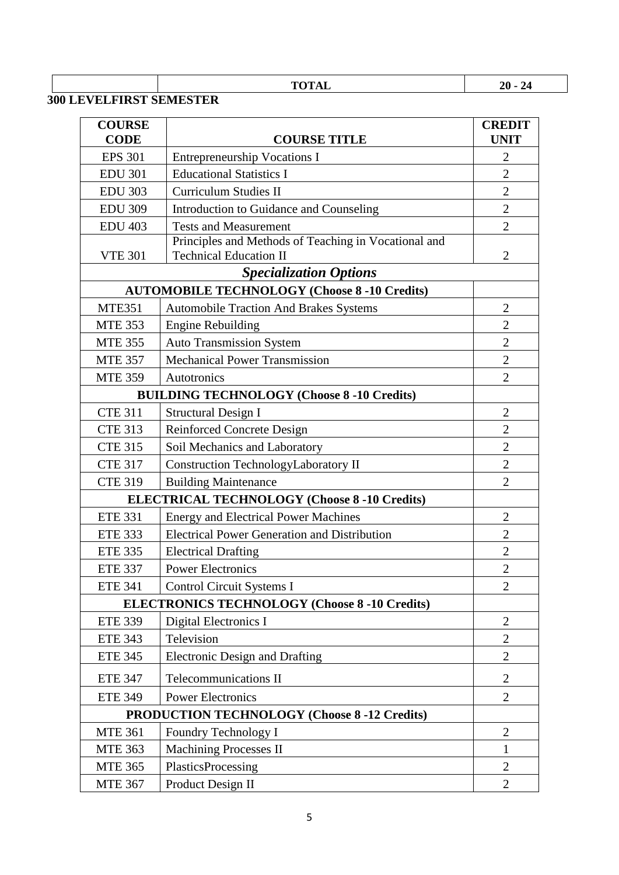# **TOTAL 20 - 24**

# **300 LEVELFIRST SEMESTER**

| <b>COURSE</b><br><b>CODE</b> | <b>COURSE TITLE</b>                                                                   | <b>CREDIT</b><br><b>UNIT</b> |
|------------------------------|---------------------------------------------------------------------------------------|------------------------------|
| <b>EPS 301</b>               | <b>Entrepreneurship Vocations I</b>                                                   | $\overline{2}$               |
| <b>EDU 301</b>               | <b>Educational Statistics I</b>                                                       | $\overline{2}$               |
| <b>EDU 303</b>               | <b>Curriculum Studies II</b>                                                          | $\overline{2}$               |
| <b>EDU 309</b>               | Introduction to Guidance and Counseling                                               | $\overline{2}$               |
| <b>EDU 403</b>               | <b>Tests and Measurement</b>                                                          | $\overline{2}$               |
| <b>VTE 301</b>               | Principles and Methods of Teaching in Vocational and<br><b>Technical Education II</b> | $\overline{2}$               |
|                              | <b>Specialization Options</b>                                                         |                              |
|                              | <b>AUTOMOBILE TECHNOLOGY (Choose 8 -10 Credits)</b>                                   |                              |
| <b>MTE351</b>                | <b>Automobile Traction And Brakes Systems</b>                                         | $\overline{2}$               |
| <b>MTE 353</b>               | <b>Engine Rebuilding</b>                                                              | $\overline{2}$               |
| <b>MTE 355</b>               | <b>Auto Transmission System</b>                                                       | $\overline{2}$               |
| <b>MTE 357</b>               | <b>Mechanical Power Transmission</b>                                                  | $\overline{2}$               |
| <b>MTE 359</b>               | Autotronics                                                                           | $\overline{2}$               |
|                              | <b>BUILDING TECHNOLOGY (Choose 8 -10 Credits)</b>                                     |                              |
| <b>CTE 311</b>               | <b>Structural Design I</b>                                                            | $\overline{2}$               |
| <b>CTE 313</b>               | <b>Reinforced Concrete Design</b>                                                     | $\overline{2}$               |
| <b>CTE 315</b>               | Soil Mechanics and Laboratory                                                         | $\overline{2}$               |
| <b>CTE 317</b>               | <b>Construction TechnologyLaboratory II</b>                                           | $\overline{2}$               |
| <b>CTE 319</b>               | <b>Building Maintenance</b>                                                           | $\overline{2}$               |
|                              | <b>ELECTRICAL TECHNOLOGY (Choose 8 -10 Credits)</b>                                   |                              |
| <b>ETE 331</b>               | <b>Energy and Electrical Power Machines</b>                                           | $\overline{2}$               |
| <b>ETE 333</b>               | <b>Electrical Power Generation and Distribution</b>                                   | 2                            |
| <b>ETE 335</b>               | <b>Electrical Drafting</b>                                                            | $\overline{2}$               |
| <b>ETE 337</b>               | <b>Power Electronics</b>                                                              | $\overline{2}$               |
| <b>ETE 341</b>               | <b>Control Circuit Systems I</b>                                                      | $\overline{2}$               |
|                              | <b>ELECTRONICS TECHNOLOGY (Choose 8 -10 Credits)</b>                                  |                              |
| <b>ETE 339</b>               | <b>Digital Electronics I</b>                                                          | $\overline{2}$               |
| <b>ETE 343</b>               | Television                                                                            | $\mathbf{2}$                 |
| <b>ETE 345</b>               | <b>Electronic Design and Drafting</b>                                                 | $\overline{2}$               |
| <b>ETE 347</b>               | <b>Telecommunications II</b>                                                          | $\overline{2}$               |
| <b>ETE 349</b>               | <b>Power Electronics</b>                                                              | $\overline{2}$               |
|                              | <b>PRODUCTION TECHNOLOGY (Choose 8 -12 Credits)</b>                                   |                              |
| <b>MTE 361</b>               | Foundry Technology I                                                                  | $\mathfrak{2}$               |
| <b>MTE 363</b>               | <b>Machining Processes II</b>                                                         | $\mathbf{1}$                 |
| <b>MTE 365</b>               | PlasticsProcessing                                                                    | $\overline{2}$               |
| <b>MTE 367</b>               | Product Design II                                                                     | $\overline{2}$               |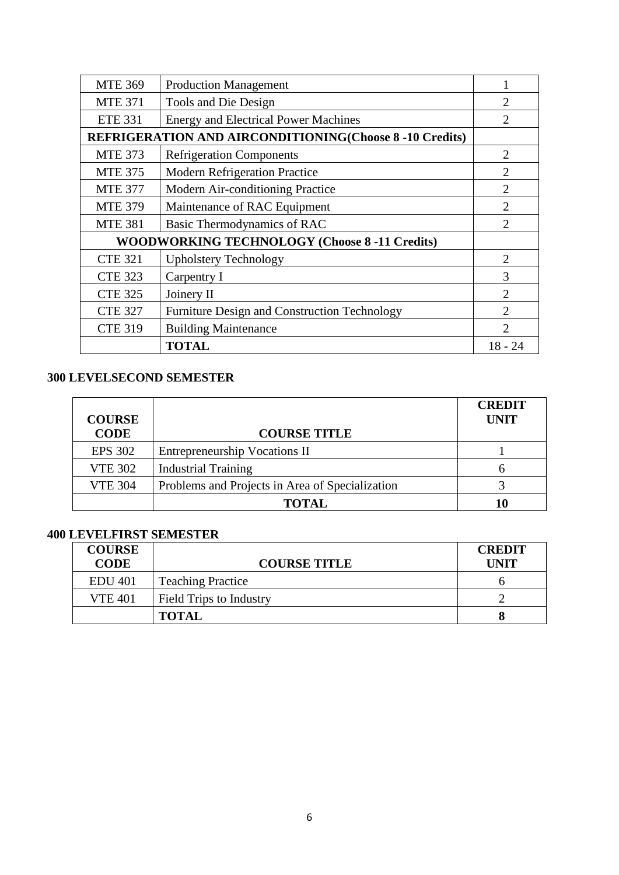| <b>MTE 369</b>                                       | <b>Production Management</b>                                   |                             |  |  |  |  |
|------------------------------------------------------|----------------------------------------------------------------|-----------------------------|--|--|--|--|
| <b>MTE 371</b>                                       | Tools and Die Design                                           | 2                           |  |  |  |  |
| <b>ETE 331</b>                                       | <b>Energy and Electrical Power Machines</b>                    | $\mathcal{D}_{\mathcal{L}}$ |  |  |  |  |
|                                                      | <b>REFRIGERATION AND AIRCONDITIONING(Choose 8 -10 Credits)</b> |                             |  |  |  |  |
| <b>MTE 373</b>                                       | <b>Refrigeration Components</b>                                | $\mathfrak{D}$              |  |  |  |  |
| <b>MTE 375</b>                                       | <b>Modern Refrigeration Practice</b>                           | $\overline{2}$              |  |  |  |  |
| <b>MTE 377</b>                                       | Modern Air-conditioning Practice                               | $\mathfrak{D}$              |  |  |  |  |
| <b>MTE 379</b>                                       | Maintenance of RAC Equipment                                   | $\mathcal{D}_{\mathcal{L}}$ |  |  |  |  |
| <b>MTE 381</b>                                       | Basic Thermodynamics of RAC                                    | $\mathcal{D}_{\mathcal{A}}$ |  |  |  |  |
| <b>WOODWORKING TECHNOLOGY (Choose 8 -11 Credits)</b> |                                                                |                             |  |  |  |  |
| <b>CTE 321</b>                                       | <b>Upholstery Technology</b>                                   | $\mathfrak{D}$              |  |  |  |  |
| <b>CTE 323</b>                                       | Carpentry I                                                    | 3                           |  |  |  |  |
| <b>CTE 325</b>                                       | Joinery II                                                     | $\mathfrak{D}$              |  |  |  |  |
| <b>CTE 327</b>                                       | Furniture Design and Construction Technology                   |                             |  |  |  |  |
| <b>CTE 319</b>                                       | <b>Building Maintenance</b>                                    |                             |  |  |  |  |
|                                                      | <b>TOTAL</b>                                                   | $18 - 24$                   |  |  |  |  |

# **300 LEVELSECOND SEMESTER**

| <b>COURSE</b>  |                                                 | <b>CREDIT</b><br><b>UNIT</b> |
|----------------|-------------------------------------------------|------------------------------|
| <b>CODE</b>    | <b>COURSE TITLE</b>                             |                              |
| <b>EPS 302</b> | <b>Entrepreneurship Vocations II</b>            |                              |
| <b>VTE 302</b> | <b>Industrial Training</b>                      |                              |
| <b>VTE 304</b> | Problems and Projects in Area of Specialization |                              |
|                | <b>TOTAL</b>                                    | 10                           |

# **400 LEVELFIRST SEMESTER**

| <b>COURSE</b><br><b>CODE</b> | <b>COURSE TITLE</b>            | <b>CREDIT</b><br><b>IINIT</b> |
|------------------------------|--------------------------------|-------------------------------|
| <b>EDU 401</b>               | <b>Teaching Practice</b>       |                               |
| <b>VTE 401</b>               | <b>Field Trips to Industry</b> |                               |
|                              | <b>TOTAL</b>                   |                               |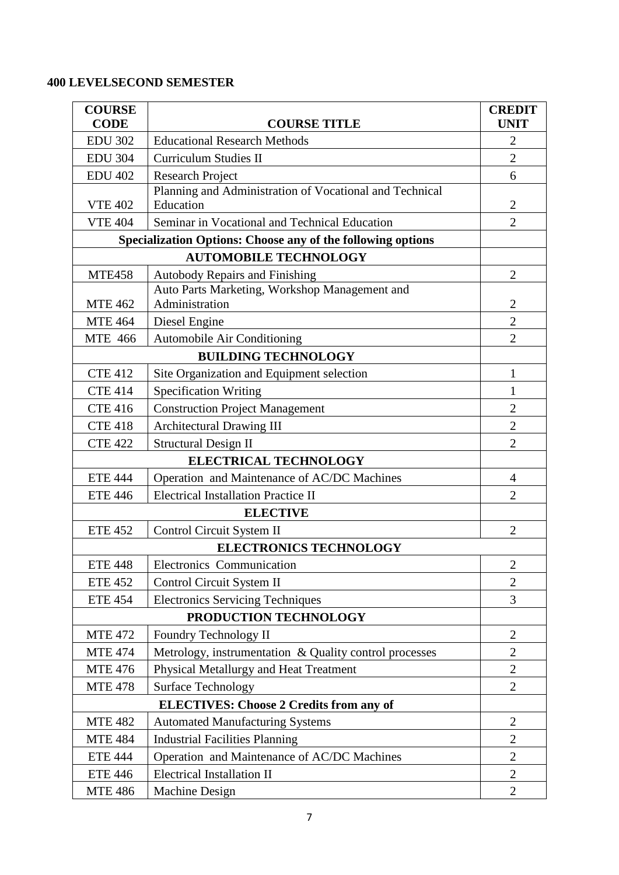# **400 LEVELSECOND SEMESTER**

| <b>COURSE</b>  |                                                                    | <b>CREDIT</b>  |
|----------------|--------------------------------------------------------------------|----------------|
| <b>CODE</b>    | <b>COURSE TITLE</b>                                                | <b>UNIT</b>    |
| <b>EDU 302</b> | <b>Educational Research Methods</b>                                | $\overline{2}$ |
| <b>EDU 304</b> | <b>Curriculum Studies II</b>                                       | $\overline{2}$ |
| <b>EDU 402</b> | <b>Research Project</b>                                            | 6              |
|                | Planning and Administration of Vocational and Technical            |                |
| <b>VTE 402</b> | Education                                                          | $\overline{2}$ |
| <b>VTE 404</b> | Seminar in Vocational and Technical Education                      | $\overline{2}$ |
|                | <b>Specialization Options: Choose any of the following options</b> |                |
|                | <b>AUTOMOBILE TECHNOLOGY</b>                                       |                |
| <b>MTE458</b>  | <b>Autobody Repairs and Finishing</b>                              | $\overline{2}$ |
|                | Auto Parts Marketing, Workshop Management and                      |                |
| <b>MTE 462</b> | Administration                                                     | $\overline{2}$ |
| <b>MTE 464</b> | Diesel Engine                                                      | $\mathbf{2}$   |
| <b>MTE 466</b> | Automobile Air Conditioning                                        | $\overline{2}$ |
|                | <b>BUILDING TECHNOLOGY</b>                                         |                |
| <b>CTE 412</b> | Site Organization and Equipment selection                          | $\mathbf{1}$   |
| <b>CTE 414</b> | <b>Specification Writing</b>                                       | $\mathbf{1}$   |
| <b>CTE 416</b> | <b>Construction Project Management</b>                             | $\overline{2}$ |
| <b>CTE 418</b> | <b>Architectural Drawing III</b>                                   | $\overline{2}$ |
| <b>CTE 422</b> | <b>Structural Design II</b>                                        | $\overline{2}$ |
|                | <b>ELECTRICAL TECHNOLOGY</b>                                       |                |
| <b>ETE 444</b> | Operation and Maintenance of AC/DC Machines                        | 4              |
| <b>ETE 446</b> | <b>Electrical Installation Practice II</b>                         | $\overline{2}$ |
|                | <b>ELECTIVE</b>                                                    |                |
| <b>ETE 452</b> | Control Circuit System II                                          | $\overline{2}$ |
|                | <b>ELECTRONICS TECHNOLOGY</b>                                      |                |
| <b>ETE 448</b> | Electronics Communication                                          | $\mathbf{2}$   |
| <b>ETE 452</b> | Control Circuit System II                                          | 2              |
| <b>ETE 454</b> | <b>Electronics Servicing Techniques</b>                            | 3              |
|                | PRODUCTION TECHNOLOGY                                              |                |
| <b>MTE 472</b> | Foundry Technology II                                              | $\overline{2}$ |
| <b>MTE 474</b> | Metrology, instrumentation & Quality control processes             | $\overline{2}$ |
| <b>MTE 476</b> | Physical Metallurgy and Heat Treatment                             | $\overline{2}$ |
| <b>MTE 478</b> | <b>Surface Technology</b>                                          | $\overline{2}$ |
|                | <b>ELECTIVES: Choose 2 Credits from any of</b>                     |                |
| <b>MTE 482</b> | <b>Automated Manufacturing Systems</b>                             | $\overline{2}$ |
| <b>MTE 484</b> | <b>Industrial Facilities Planning</b>                              | $\overline{2}$ |
| <b>ETE 444</b> | Operation and Maintenance of AC/DC Machines                        | $\overline{2}$ |
| <b>ETE 446</b> | <b>Electrical Installation II</b>                                  | $\overline{2}$ |
| <b>MTE 486</b> | <b>Machine Design</b>                                              | 2              |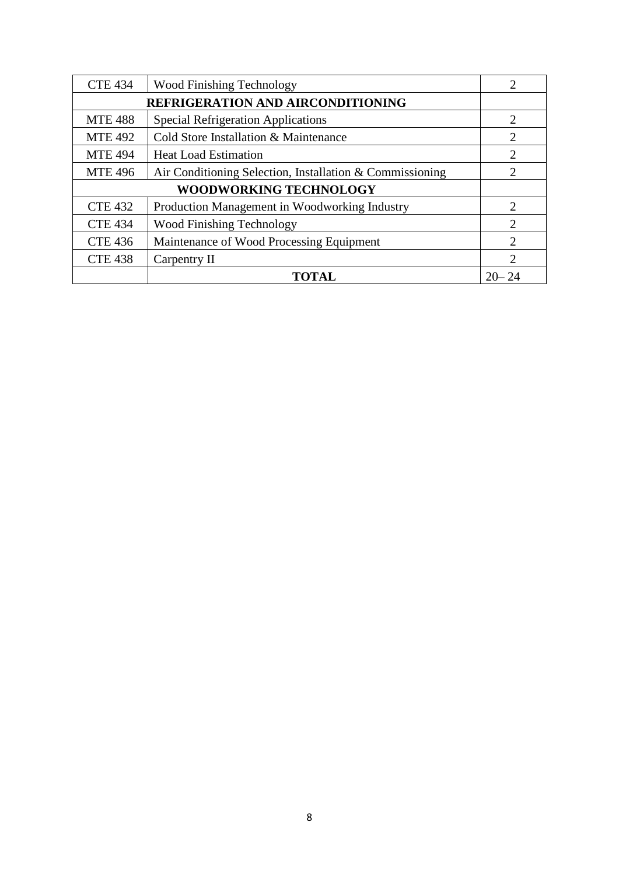| <b>CTE 434</b>                |                                               |                             |  |  |  |  |
|-------------------------------|-----------------------------------------------|-----------------------------|--|--|--|--|
|                               | REFRIGERATION AND AIRCONDITIONING             |                             |  |  |  |  |
| <b>MTE 488</b>                | <b>Special Refrigeration Applications</b>     | 2                           |  |  |  |  |
| <b>MTE 492</b>                | Cold Store Installation & Maintenance         | 2                           |  |  |  |  |
| <b>MTE 494</b>                | <b>Heat Load Estimation</b>                   | 2                           |  |  |  |  |
| <b>MTE 496</b>                | 2                                             |                             |  |  |  |  |
| <b>WOODWORKING TECHNOLOGY</b> |                                               |                             |  |  |  |  |
| <b>CTE 432</b>                | Production Management in Woodworking Industry | $\mathcal{D}_{\mathcal{L}}$ |  |  |  |  |
| <b>CTE 434</b>                | <b>Wood Finishing Technology</b>              | $\mathcal{D}_{\mathcal{L}}$ |  |  |  |  |
| <b>CTE 436</b>                | Maintenance of Wood Processing Equipment      | 2                           |  |  |  |  |
| <b>CTE 438</b>                | Carpentry II                                  | $\mathcal{D}_{\mathcal{L}}$ |  |  |  |  |
|                               | TOTAL                                         | $20 - 24$                   |  |  |  |  |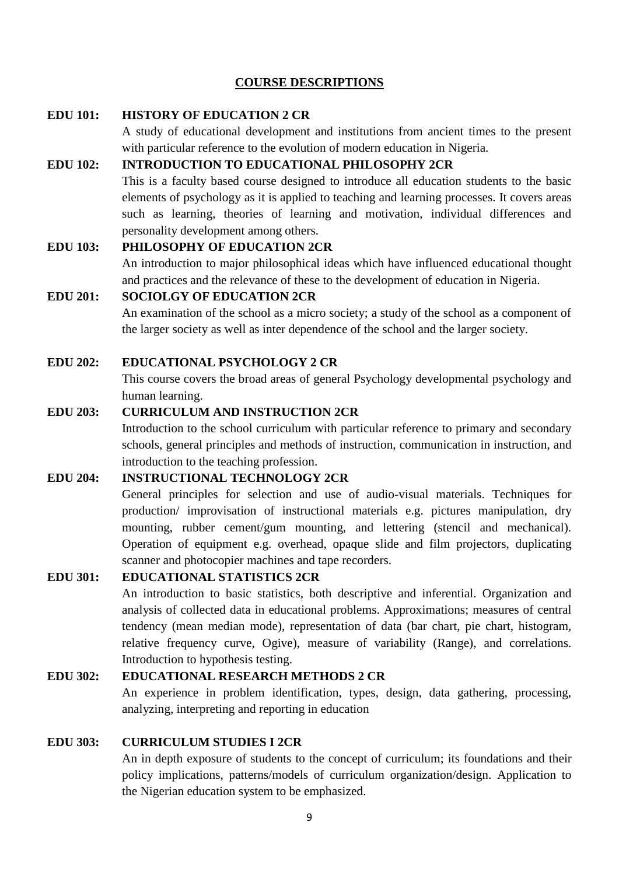# **COURSE DESCRIPTIONS**

# **EDU 101: HISTORY OF EDUCATION 2 CR**

A study of educational development and institutions from ancient times to the present with particular reference to the evolution of modern education in Nigeria.

# **EDU 102: INTRODUCTION TO EDUCATIONAL PHILOSOPHY 2CR**

This is a faculty based course designed to introduce all education students to the basic elements of psychology as it is applied to teaching and learning processes. It covers areas such as learning, theories of learning and motivation, individual differences and personality development among others.

## **EDU 103: PHILOSOPHY OF EDUCATION 2CR**

An introduction to major philosophical ideas which have influenced educational thought and practices and the relevance of these to the development of education in Nigeria.

#### **EDU 201: SOCIOLGY OF EDUCATION 2CR**

An examination of the school as a micro society; a study of the school as a component of the larger society as well as inter dependence of the school and the larger society.

#### **EDU 202: EDUCATIONAL PSYCHOLOGY 2 CR**

This course covers the broad areas of general Psychology developmental psychology and human learning.

#### **EDU 203: CURRICULUM AND INSTRUCTION 2CR**

Introduction to the school curriculum with particular reference to primary and secondary schools, general principles and methods of instruction, communication in instruction, and introduction to the teaching profession.

## **EDU 204: INSTRUCTIONAL TECHNOLOGY 2CR**

General principles for selection and use of audio-visual materials. Techniques for production/ improvisation of instructional materials e.g. pictures manipulation, dry mounting, rubber cement/gum mounting, and lettering (stencil and mechanical). Operation of equipment e.g. overhead, opaque slide and film projectors, duplicating scanner and photocopier machines and tape recorders.

# **EDU 301: EDUCATIONAL STATISTICS 2CR**

An introduction to basic statistics, both descriptive and inferential. Organization and analysis of collected data in educational problems. Approximations; measures of central tendency (mean median mode), representation of data (bar chart, pie chart, histogram, relative frequency curve, Ogive), measure of variability (Range), and correlations. Introduction to hypothesis testing.

# **EDU 302: EDUCATIONAL RESEARCH METHODS 2 CR**

An experience in problem identification, types, design, data gathering, processing, analyzing, interpreting and reporting in education

#### **EDU 303: CURRICULUM STUDIES I 2CR**

An in depth exposure of students to the concept of curriculum; its foundations and their policy implications, patterns/models of curriculum organization/design. Application to the Nigerian education system to be emphasized.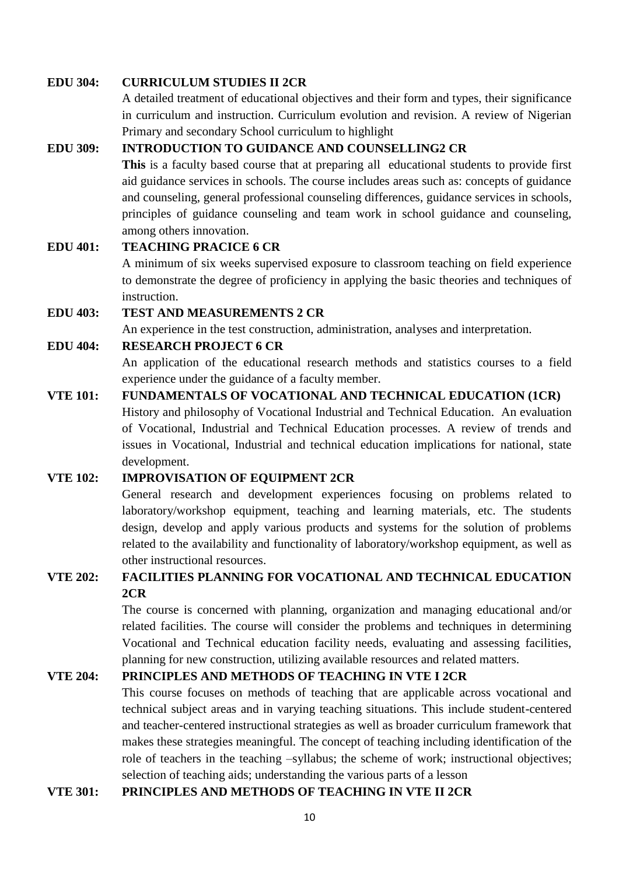#### **EDU 304: CURRICULUM STUDIES II 2CR**

A detailed treatment of educational objectives and their form and types, their significance in curriculum and instruction. Curriculum evolution and revision. A review of Nigerian Primary and secondary School curriculum to highlight

# **EDU 309: INTRODUCTION TO GUIDANCE AND COUNSELLING2 CR**

**This** is a faculty based course that at preparing all educational students to provide first aid guidance services in schools. The course includes areas such as: concepts of guidance and counseling, general professional counseling differences, guidance services in schools, principles of guidance counseling and team work in school guidance and counseling, among others innovation.

# **EDU 401: TEACHING PRACICE 6 CR**

A minimum of six weeks supervised exposure to classroom teaching on field experience to demonstrate the degree of proficiency in applying the basic theories and techniques of instruction.

# **EDU 403: TEST AND MEASUREMENTS 2 CR**

An experience in the test construction, administration, analyses and interpretation.

#### **EDU 404: RESEARCH PROJECT 6 CR**

An application of the educational research methods and statistics courses to a field experience under the guidance of a faculty member.

# **VTE 101: FUNDAMENTALS OF VOCATIONAL AND TECHNICAL EDUCATION (1CR)** History and philosophy of Vocational Industrial and Technical Education. An evaluation of Vocational, Industrial and Technical Education processes. A review of trends and issues in Vocational, Industrial and technical education implications for national, state

development.

## **VTE 102: IMPROVISATION OF EQUIPMENT 2CR**

General research and development experiences focusing on problems related to laboratory/workshop equipment, teaching and learning materials, etc. The students design, develop and apply various products and systems for the solution of problems related to the availability and functionality of laboratory/workshop equipment, as well as other instructional resources.

# **VTE 202: FACILITIES PLANNING FOR VOCATIONAL AND TECHNICAL EDUCATION 2CR**

The course is concerned with planning, organization and managing educational and/or related facilities. The course will consider the problems and techniques in determining Vocational and Technical education facility needs, evaluating and assessing facilities, planning for new construction, utilizing available resources and related matters.

# **VTE 204: PRINCIPLES AND METHODS OF TEACHING IN VTE I 2CR**

This course focuses on methods of teaching that are applicable across vocational and technical subject areas and in varying teaching situations. This include student-centered and teacher-centered instructional strategies as well as broader curriculum framework that makes these strategies meaningful. The concept of teaching including identification of the role of teachers in the teaching –syllabus; the scheme of work; instructional objectives; selection of teaching aids; understanding the various parts of a lesson

## **VTE 301: PRINCIPLES AND METHODS OF TEACHING IN VTE II 2CR**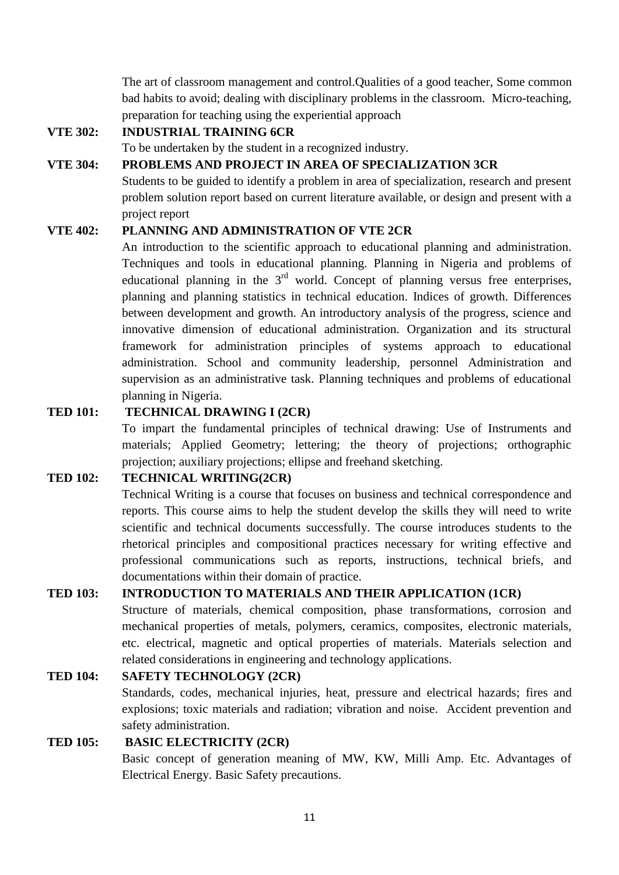The art of classroom management and control.Qualities of a good teacher, Some common bad habits to avoid; dealing with disciplinary problems in the classroom. Micro-teaching, preparation for teaching using the experiential approach

# **VTE 302: INDUSTRIAL TRAINING 6CR**

To be undertaken by the student in a recognized industry.

# **VTE 304: PROBLEMS AND PROJECT IN AREA OF SPECIALIZATION 3CR**

Students to be guided to identify a problem in area of specialization, research and present problem solution report based on current literature available, or design and present with a project report

# **VTE 402: PLANNING AND ADMINISTRATION OF VTE 2CR**

An introduction to the scientific approach to educational planning and administration. Techniques and tools in educational planning. Planning in Nigeria and problems of educational planning in the  $3<sup>rd</sup>$  world. Concept of planning versus free enterprises, planning and planning statistics in technical education. Indices of growth. Differences between development and growth. An introductory analysis of the progress, science and innovative dimension of educational administration. Organization and its structural framework for administration principles of systems approach to educational administration. School and community leadership, personnel Administration and supervision as an administrative task. Planning techniques and problems of educational planning in Nigeria.

# **TED 101: TECHNICAL DRAWING I (2CR)**

To impart the fundamental principles of technical drawing: Use of Instruments and materials; Applied Geometry; lettering; the theory of projections; orthographic projection; auxiliary projections; ellipse and freehand sketching.

# **TED 102: TECHNICAL WRITING(2CR)**

Technical Writing is a course that focuses on business and technical correspondence and reports. This course aims to help the student develop the skills they will need to write scientific and technical documents successfully. The course introduces students to the rhetorical principles and compositional practices necessary for writing effective and professional communications such as reports, instructions, technical briefs, and documentations within their domain of practice.

#### **TED 103: INTRODUCTION TO MATERIALS AND THEIR APPLICATION (1CR)**

Structure of materials, chemical composition, phase transformations, corrosion and mechanical properties of metals, polymers, ceramics, composites, electronic materials, etc. electrical, magnetic and optical properties of materials. Materials selection and related considerations in engineering and technology applications.

# **TED 104: SAFETY TECHNOLOGY (2CR)**

Standards, codes, mechanical injuries, heat, pressure and electrical hazards; fires and explosions; toxic materials and radiation; vibration and noise. Accident prevention and safety administration.

#### **TED 105: BASIC ELECTRICITY (2CR)**

Basic concept of generation meaning of MW, KW, Milli Amp. Etc. Advantages of Electrical Energy. Basic Safety precautions.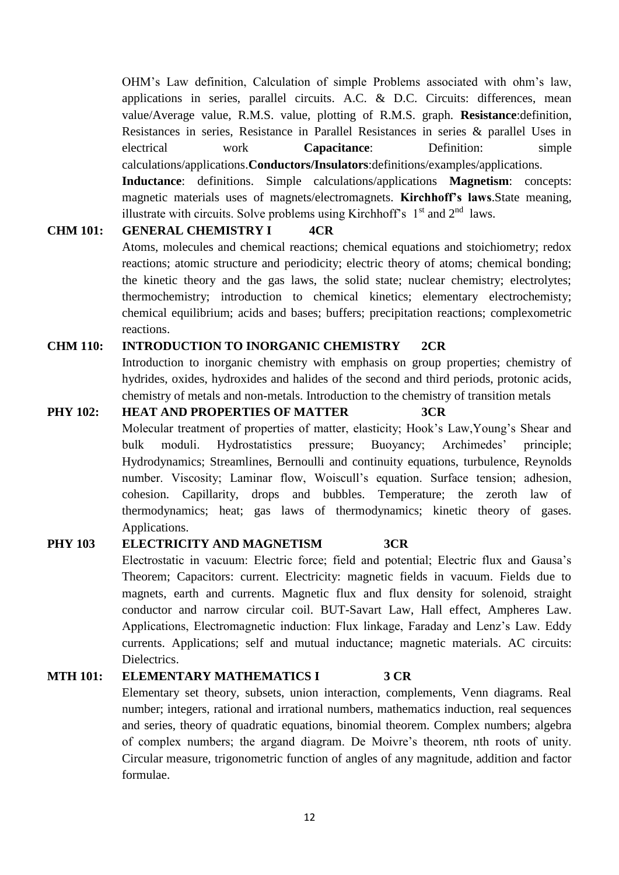OHM"s Law definition, Calculation of simple Problems associated with ohm"s law, applications in series, parallel circuits. A.C. & D.C. Circuits: differences, mean value/Average value, R.M.S. value, plotting of R.M.S. graph. **Resistance**:definition, Resistances in series, Resistance in Parallel Resistances in series & parallel Uses in electrical work **Capacitance**: Definition: simple calculations/applications.**Conductors/Insulators**:definitions/examples/applications.

**Inductance**: definitions. Simple calculations/applications **Magnetism**: concepts: magnetic materials uses of magnets/electromagnets. **Kirchhoff's laws**.State meaning, illustrate with circuits. Solve problems using Kirchhoff's  $1<sup>st</sup>$  and  $2<sup>nd</sup>$  laws.

#### **CHM 101: GENERAL CHEMISTRY I 4CR**

Atoms, molecules and chemical reactions; chemical equations and stoichiometry; redox reactions; atomic structure and periodicity; electric theory of atoms; chemical bonding; the kinetic theory and the gas laws, the solid state; nuclear chemistry; electrolytes; thermochemistry; introduction to chemical kinetics; elementary electrochemisty; chemical equilibrium; acids and bases; buffers; precipitation reactions; complexometric reactions.

# **CHM 110: INTRODUCTION TO INORGANIC CHEMISTRY 2CR**

Introduction to inorganic chemistry with emphasis on group properties; chemistry of hydrides, oxides, hydroxides and halides of the second and third periods, protonic acids, chemistry of metals and non-metals. Introduction to the chemistry of transition metals

**PHY 102: HEAT AND PROPERTIES OF MATTER 3CR** Molecular treatment of properties of matter, elasticity; Hook"s Law,Young"s Shear and bulk moduli. Hydrostatistics pressure; Buoyancy; Archimedes' principle; Hydrodynamics; Streamlines, Bernoulli and continuity equations, turbulence, Reynolds number. Viscosity; Laminar flow, Woiscull's equation. Surface tension; adhesion, cohesion. Capillarity, drops and bubbles. Temperature; the zeroth law of thermodynamics; heat; gas laws of thermodynamics; kinetic theory of gases. Applications.

# **PHY 103 ELECTRICITY AND MAGNETISM 3CR**

Electrostatic in vacuum: Electric force; field and potential; Electric flux and Gausa"s Theorem; Capacitors: current. Electricity: magnetic fields in vacuum. Fields due to magnets, earth and currents. Magnetic flux and flux density for solenoid, straight conductor and narrow circular coil. BUT-Savart Law, Hall effect, Ampheres Law. Applications, Electromagnetic induction: Flux linkage, Faraday and Lenz"s Law. Eddy currents. Applications; self and mutual inductance; magnetic materials. AC circuits: Dielectrics.

## **MTH 101: ELEMENTARY MATHEMATICS I 3 CR**

Elementary set theory, subsets, union interaction, complements, Venn diagrams. Real number; integers, rational and irrational numbers, mathematics induction, real sequences and series, theory of quadratic equations, binomial theorem. Complex numbers; algebra of complex numbers; the argand diagram. De Moivre"s theorem, nth roots of unity. Circular measure, trigonometric function of angles of any magnitude, addition and factor formulae.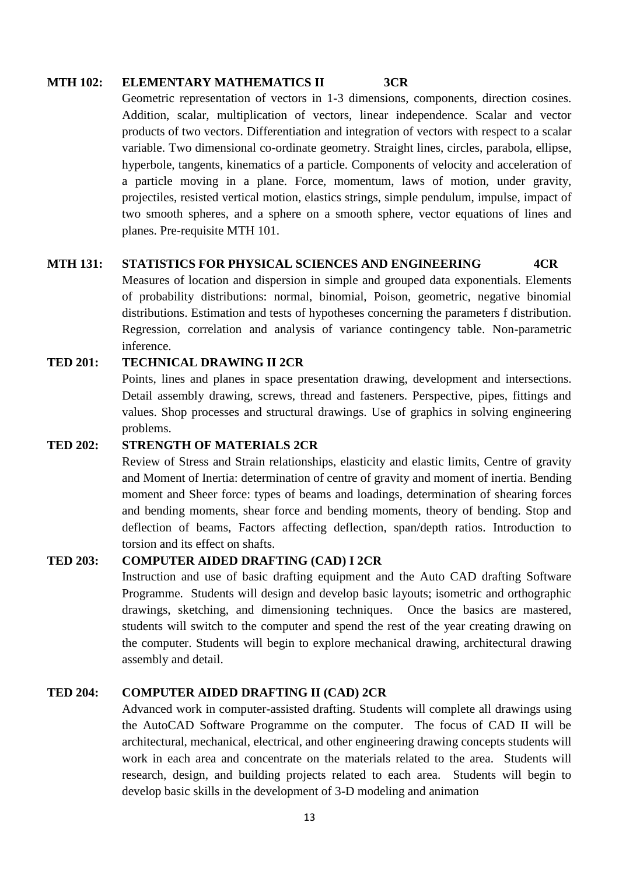#### **MTH 102: ELEMENTARY MATHEMATICS II 3CR**

Geometric representation of vectors in 1-3 dimensions, components, direction cosines. Addition, scalar, multiplication of vectors, linear independence. Scalar and vector products of two vectors. Differentiation and integration of vectors with respect to a scalar variable. Two dimensional co-ordinate geometry. Straight lines, circles, parabola, ellipse, hyperbole, tangents, kinematics of a particle. Components of velocity and acceleration of a particle moving in a plane. Force, momentum, laws of motion, under gravity, projectiles, resisted vertical motion, elastics strings, simple pendulum, impulse, impact of two smooth spheres, and a sphere on a smooth sphere, vector equations of lines and planes. Pre-requisite MTH 101.

#### **MTH 131: STATISTICS FOR PHYSICAL SCIENCES AND ENGINEERING 4CR**

Measures of location and dispersion in simple and grouped data exponentials. Elements of probability distributions: normal, binomial, Poison, geometric, negative binomial distributions. Estimation and tests of hypotheses concerning the parameters f distribution. Regression, correlation and analysis of variance contingency table. Non-parametric inference.

# **TED 201: TECHNICAL DRAWING II 2CR**

Points, lines and planes in space presentation drawing, development and intersections. Detail assembly drawing, screws, thread and fasteners. Perspective, pipes, fittings and values. Shop processes and structural drawings. Use of graphics in solving engineering problems.

#### **TED 202: STRENGTH OF MATERIALS 2CR**

Review of Stress and Strain relationships, elasticity and elastic limits, Centre of gravity and Moment of Inertia: determination of centre of gravity and moment of inertia. Bending moment and Sheer force: types of beams and loadings, determination of shearing forces and bending moments, shear force and bending moments, theory of bending. Stop and deflection of beams, Factors affecting deflection, span/depth ratios. Introduction to torsion and its effect on shafts.

#### **TED 203: COMPUTER AIDED DRAFTING (CAD) I 2CR**

Instruction and use of basic drafting equipment and the Auto CAD drafting Software Programme. Students will design and develop basic layouts; isometric and orthographic drawings, sketching, and dimensioning techniques. Once the basics are mastered, students will switch to the computer and spend the rest of the year creating drawing on the computer. Students will begin to explore mechanical drawing, architectural drawing assembly and detail.

# **TED 204: COMPUTER AIDED DRAFTING II (CAD) 2CR**

Advanced work in computer-assisted drafting. Students will complete all drawings using the AutoCAD Software Programme on the computer. The focus of CAD II will be architectural, mechanical, electrical, and other engineering drawing concepts students will work in each area and concentrate on the materials related to the area. Students will research, design, and building projects related to each area. Students will begin to develop basic skills in the development of 3-D modeling and animation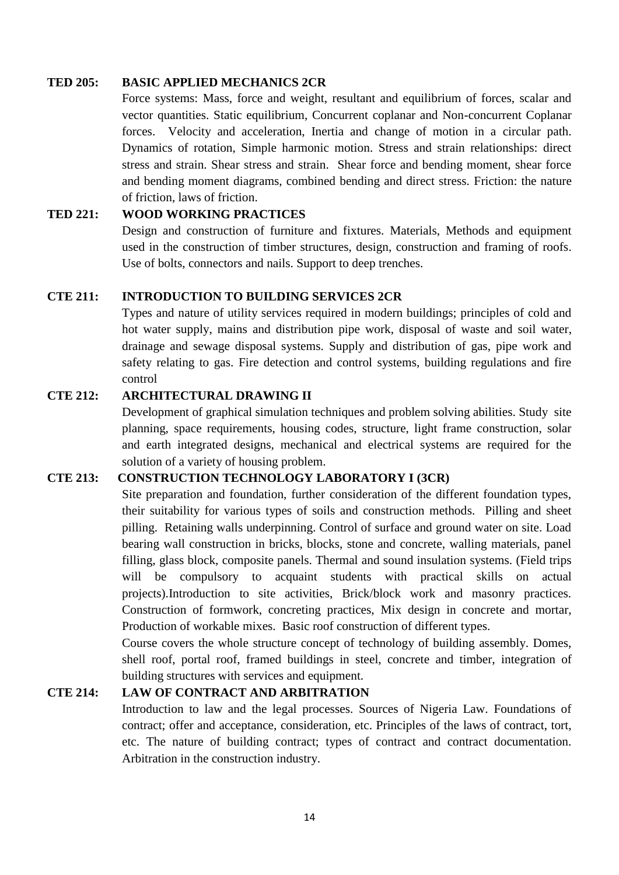#### **TED 205: BASIC APPLIED MECHANICS 2CR**

Force systems: Mass, force and weight, resultant and equilibrium of forces, scalar and vector quantities. Static equilibrium, Concurrent coplanar and Non-concurrent Coplanar forces. Velocity and acceleration, Inertia and change of motion in a circular path. Dynamics of rotation, Simple harmonic motion. Stress and strain relationships: direct stress and strain. Shear stress and strain. Shear force and bending moment, shear force and bending moment diagrams, combined bending and direct stress. Friction: the nature of friction, laws of friction.

# **TED 221: WOOD WORKING PRACTICES**

Design and construction of furniture and fixtures. Materials, Methods and equipment used in the construction of timber structures, design, construction and framing of roofs. Use of bolts, connectors and nails. Support to deep trenches.

#### **CTE 211: INTRODUCTION TO BUILDING SERVICES 2CR**

Types and nature of utility services required in modern buildings; principles of cold and hot water supply, mains and distribution pipe work, disposal of waste and soil water, drainage and sewage disposal systems. Supply and distribution of gas, pipe work and safety relating to gas. Fire detection and control systems, building regulations and fire control

# **CTE 212: ARCHITECTURAL DRAWING II**

Development of graphical simulation techniques and problem solving abilities. Study site planning, space requirements, housing codes, structure, light frame construction, solar and earth integrated designs, mechanical and electrical systems are required for the solution of a variety of housing problem.

## **CTE 213: CONSTRUCTION TECHNOLOGY LABORATORY I (3CR)**

Site preparation and foundation, further consideration of the different foundation types, their suitability for various types of soils and construction methods. Pilling and sheet pilling. Retaining walls underpinning. Control of surface and ground water on site. Load bearing wall construction in bricks, blocks, stone and concrete, walling materials, panel filling, glass block, composite panels. Thermal and sound insulation systems. (Field trips will be compulsory to acquaint students with practical skills on actual projects).Introduction to site activities, Brick/block work and masonry practices. Construction of formwork, concreting practices, Mix design in concrete and mortar, Production of workable mixes. Basic roof construction of different types.

Course covers the whole structure concept of technology of building assembly. Domes, shell roof, portal roof, framed buildings in steel, concrete and timber, integration of building structures with services and equipment.

# **CTE 214: LAW OF CONTRACT AND ARBITRATION**

Introduction to law and the legal processes. Sources of Nigeria Law. Foundations of contract; offer and acceptance, consideration, etc. Principles of the laws of contract, tort, etc. The nature of building contract; types of contract and contract documentation. Arbitration in the construction industry.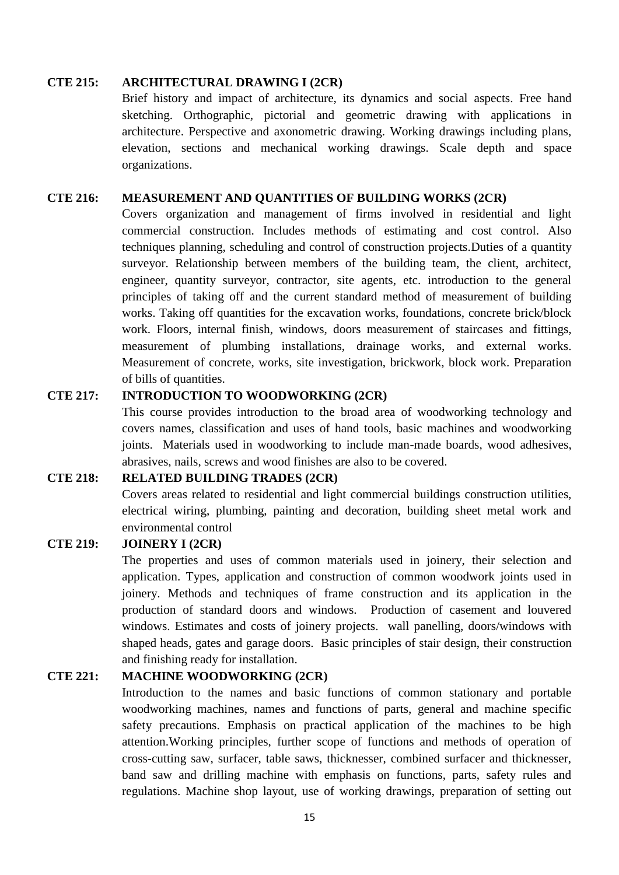#### **CTE 215: ARCHITECTURAL DRAWING I (2CR)**

Brief history and impact of architecture, its dynamics and social aspects. Free hand sketching. Orthographic, pictorial and geometric drawing with applications in architecture. Perspective and axonometric drawing. Working drawings including plans, elevation, sections and mechanical working drawings. Scale depth and space organizations.

#### **CTE 216: MEASUREMENT AND QUANTITIES OF BUILDING WORKS (2CR)**

Covers organization and management of firms involved in residential and light commercial construction. Includes methods of estimating and cost control. Also techniques planning, scheduling and control of construction projects.Duties of a quantity surveyor. Relationship between members of the building team, the client, architect, engineer, quantity surveyor, contractor, site agents, etc. introduction to the general principles of taking off and the current standard method of measurement of building works. Taking off quantities for the excavation works, foundations, concrete brick/block work. Floors, internal finish, windows, doors measurement of staircases and fittings, measurement of plumbing installations, drainage works, and external works. Measurement of concrete, works, site investigation, brickwork, block work. Preparation of bills of quantities.

#### **CTE 217: INTRODUCTION TO WOODWORKING (2CR)**

This course provides introduction to the broad area of woodworking technology and covers names, classification and uses of hand tools, basic machines and woodworking joints. Materials used in woodworking to include man-made boards, wood adhesives, abrasives, nails, screws and wood finishes are also to be covered.

# **CTE 218: RELATED BUILDING TRADES (2CR)**

Covers areas related to residential and light commercial buildings construction utilities, electrical wiring, plumbing, painting and decoration, building sheet metal work and environmental control

# **CTE 219: JOINERY I (2CR)**

The properties and uses of common materials used in joinery, their selection and application. Types, application and construction of common woodwork joints used in joinery. Methods and techniques of frame construction and its application in the production of standard doors and windows. Production of casement and louvered windows. Estimates and costs of joinery projects. wall panelling, doors/windows with shaped heads, gates and garage doors. Basic principles of stair design, their construction and finishing ready for installation.

#### **CTE 221: MACHINE WOODWORKING (2CR)**

Introduction to the names and basic functions of common stationary and portable woodworking machines, names and functions of parts, general and machine specific safety precautions. Emphasis on practical application of the machines to be high attention.Working principles, further scope of functions and methods of operation of cross-cutting saw, surfacer, table saws, thicknesser, combined surfacer and thicknesser, band saw and drilling machine with emphasis on functions, parts, safety rules and regulations. Machine shop layout, use of working drawings, preparation of setting out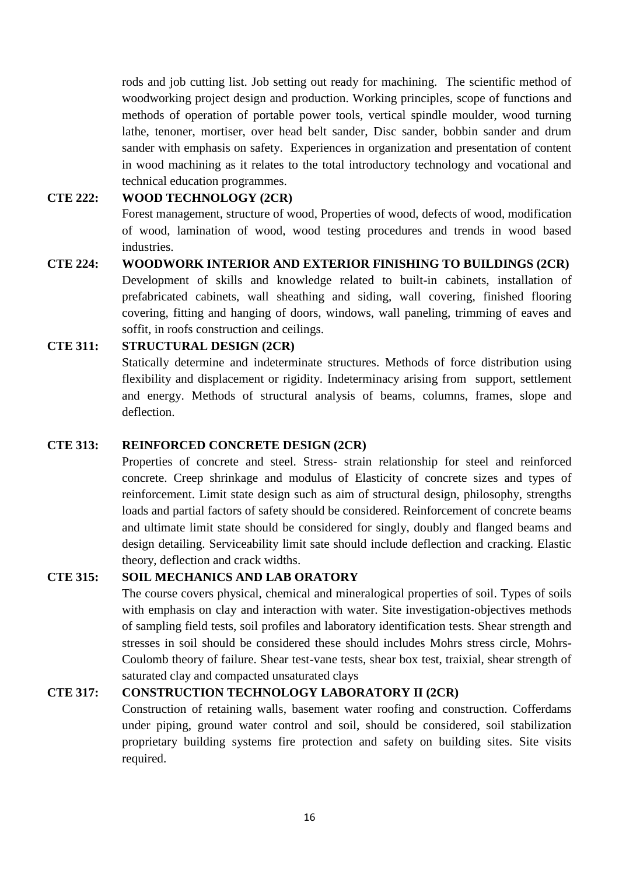rods and job cutting list. Job setting out ready for machining. The scientific method of woodworking project design and production. Working principles, scope of functions and methods of operation of portable power tools, vertical spindle moulder, wood turning lathe, tenoner, mortiser, over head belt sander, Disc sander, bobbin sander and drum sander with emphasis on safety. Experiences in organization and presentation of content in wood machining as it relates to the total introductory technology and vocational and technical education programmes.

## **CTE 222: WOOD TECHNOLOGY (2CR)**

Forest management, structure of wood, Properties of wood, defects of wood, modification of wood, lamination of wood, wood testing procedures and trends in wood based industries.

**CTE 224: WOODWORK INTERIOR AND EXTERIOR FINISHING TO BUILDINGS (2CR)** Development of skills and knowledge related to built-in cabinets, installation of prefabricated cabinets, wall sheathing and siding, wall covering, finished flooring covering, fitting and hanging of doors, windows, wall paneling, trimming of eaves and soffit, in roofs construction and ceilings.

# **CTE 311: STRUCTURAL DESIGN (2CR)**

Statically determine and indeterminate structures. Methods of force distribution using flexibility and displacement or rigidity. Indeterminacy arising from support, settlement and energy. Methods of structural analysis of beams, columns, frames, slope and deflection.

#### **CTE 313: REINFORCED CONCRETE DESIGN (2CR)**

Properties of concrete and steel. Stress- strain relationship for steel and reinforced concrete. Creep shrinkage and modulus of Elasticity of concrete sizes and types of reinforcement. Limit state design such as aim of structural design, philosophy, strengths loads and partial factors of safety should be considered. Reinforcement of concrete beams and ultimate limit state should be considered for singly, doubly and flanged beams and design detailing. Serviceability limit sate should include deflection and cracking. Elastic theory, deflection and crack widths.

#### **CTE 315: SOIL MECHANICS AND LAB ORATORY**

The course covers physical, chemical and mineralogical properties of soil. Types of soils with emphasis on clay and interaction with water. Site investigation-objectives methods of sampling field tests, soil profiles and laboratory identification tests. Shear strength and stresses in soil should be considered these should includes Mohrs stress circle, Mohrs-Coulomb theory of failure. Shear test-vane tests, shear box test, traixial, shear strength of saturated clay and compacted unsaturated clays

# **CTE 317: CONSTRUCTION TECHNOLOGY LABORATORY II (2CR)**

Construction of retaining walls, basement water roofing and construction. Cofferdams under piping, ground water control and soil, should be considered, soil stabilization proprietary building systems fire protection and safety on building sites. Site visits required.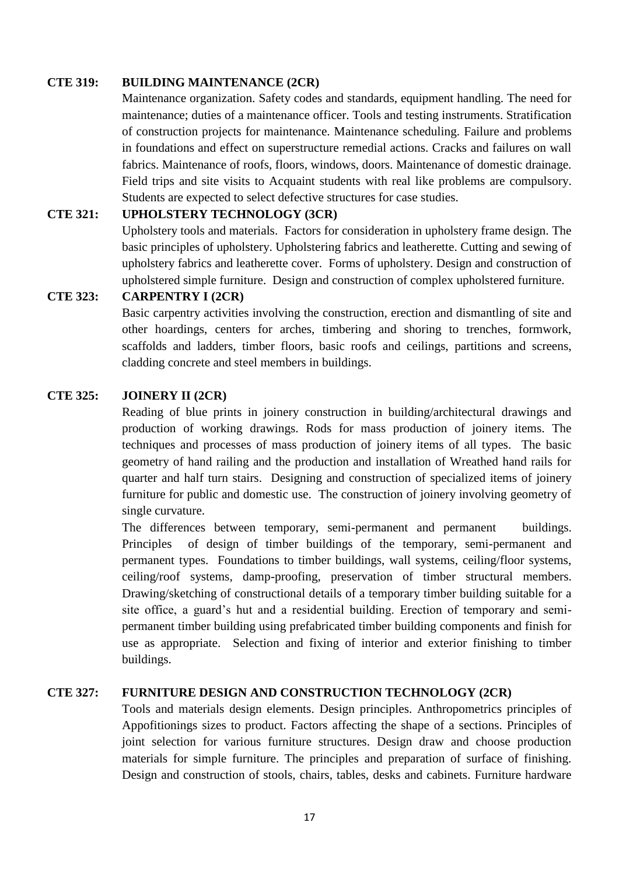#### **CTE 319: BUILDING MAINTENANCE (2CR)**

Maintenance organization. Safety codes and standards, equipment handling. The need for maintenance; duties of a maintenance officer. Tools and testing instruments. Stratification of construction projects for maintenance. Maintenance scheduling. Failure and problems in foundations and effect on superstructure remedial actions. Cracks and failures on wall fabrics. Maintenance of roofs, floors, windows, doors. Maintenance of domestic drainage. Field trips and site visits to Acquaint students with real like problems are compulsory. Students are expected to select defective structures for case studies.

### **CTE 321: UPHOLSTERY TECHNOLOGY (3CR)**

Upholstery tools and materials. Factors for consideration in upholstery frame design. The basic principles of upholstery. Upholstering fabrics and leatherette. Cutting and sewing of upholstery fabrics and leatherette cover. Forms of upholstery. Design and construction of upholstered simple furniture. Design and construction of complex upholstered furniture.

# **CTE 323: CARPENTRY I (2CR)**

Basic carpentry activities involving the construction, erection and dismantling of site and other hoardings, centers for arches, timbering and shoring to trenches, formwork, scaffolds and ladders, timber floors, basic roofs and ceilings, partitions and screens, cladding concrete and steel members in buildings.

# **CTE 325: JOINERY II (2CR)**

Reading of blue prints in joinery construction in building/architectural drawings and production of working drawings. Rods for mass production of joinery items. The techniques and processes of mass production of joinery items of all types. The basic geometry of hand railing and the production and installation of Wreathed hand rails for quarter and half turn stairs. Designing and construction of specialized items of joinery furniture for public and domestic use. The construction of joinery involving geometry of single curvature.

The differences between temporary, semi-permanent and permanent buildings. Principles of design of timber buildings of the temporary, semi-permanent and permanent types. Foundations to timber buildings, wall systems, ceiling/floor systems, ceiling/roof systems, damp-proofing, preservation of timber structural members. Drawing/sketching of constructional details of a temporary timber building suitable for a site office, a guard"s hut and a residential building. Erection of temporary and semipermanent timber building using prefabricated timber building components and finish for use as appropriate. Selection and fixing of interior and exterior finishing to timber buildings.

#### **CTE 327: FURNITURE DESIGN AND CONSTRUCTION TECHNOLOGY (2CR)**

Tools and materials design elements. Design principles. Anthropometrics principles of Appofitionings sizes to product. Factors affecting the shape of a sections. Principles of joint selection for various furniture structures. Design draw and choose production materials for simple furniture. The principles and preparation of surface of finishing. Design and construction of stools, chairs, tables, desks and cabinets. Furniture hardware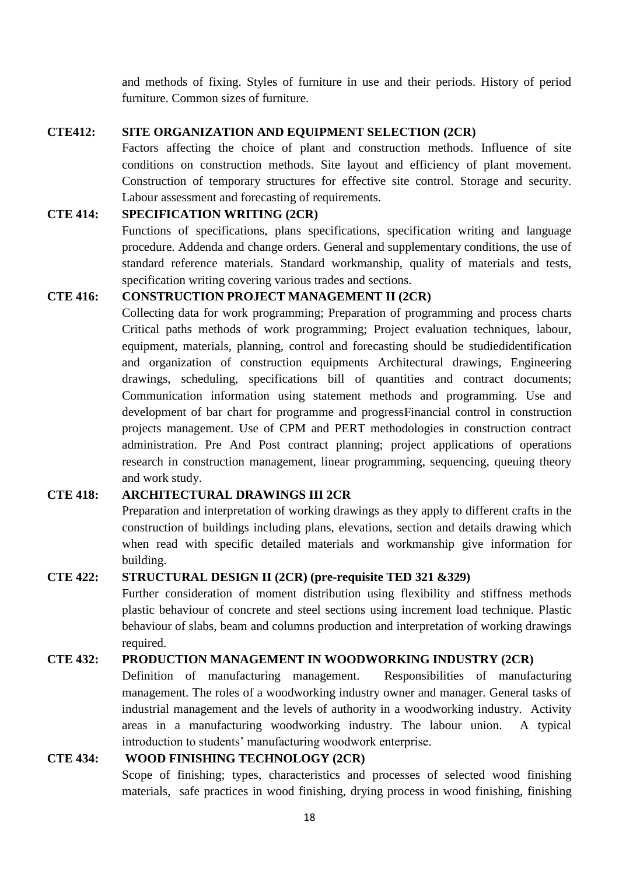and methods of fixing. Styles of furniture in use and their periods. History of period furniture. Common sizes of furniture.

#### **CTE412: SITE ORGANIZATION AND EQUIPMENT SELECTION (2CR)**

Factors affecting the choice of plant and construction methods. Influence of site conditions on construction methods. Site layout and efficiency of plant movement. Construction of temporary structures for effective site control. Storage and security. Labour assessment and forecasting of requirements.

# **CTE 414: SPECIFICATION WRITING (2CR)**

Functions of specifications, plans specifications, specification writing and language procedure. Addenda and change orders. General and supplementary conditions, the use of standard reference materials. Standard workmanship, quality of materials and tests, specification writing covering various trades and sections.

# **CTE 416: CONSTRUCTION PROJECT MANAGEMENT II (2CR)**

Collecting data for work programming; Preparation of programming and process charts Critical paths methods of work programming; Project evaluation techniques, labour, equipment, materials, planning, control and forecasting should be studiedidentification and organization of construction equipments Architectural drawings, Engineering drawings, scheduling, specifications bill of quantities and contract documents; Communication information using statement methods and programming. Use and development of bar chart for programme and progressFinancial control in construction projects management. Use of CPM and PERT methodologies in construction contract administration. Pre And Post contract planning; project applications of operations research in construction management, linear programming, sequencing, queuing theory and work study.

# **CTE 418: ARCHITECTURAL DRAWINGS III 2CR**

Preparation and interpretation of working drawings as they apply to different crafts in the construction of buildings including plans, elevations, section and details drawing which when read with specific detailed materials and workmanship give information for building.

# **CTE 422: STRUCTURAL DESIGN II (2CR) (pre-requisite TED 321 &329)**

Further consideration of moment distribution using flexibility and stiffness methods plastic behaviour of concrete and steel sections using increment load technique. Plastic behaviour of slabs, beam and columns production and interpretation of working drawings required.

#### **CTE 432: PRODUCTION MANAGEMENT IN WOODWORKING INDUSTRY (2CR)**

Definition of manufacturing management. Responsibilities of manufacturing management. The roles of a woodworking industry owner and manager. General tasks of industrial management and the levels of authority in a woodworking industry. Activity areas in a manufacturing woodworking industry. The labour union. A typical introduction to students' manufacturing woodwork enterprise.

# **CTE 434: WOOD FINISHING TECHNOLOGY (2CR)**

Scope of finishing; types, characteristics and processes of selected wood finishing materials, safe practices in wood finishing, drying process in wood finishing, finishing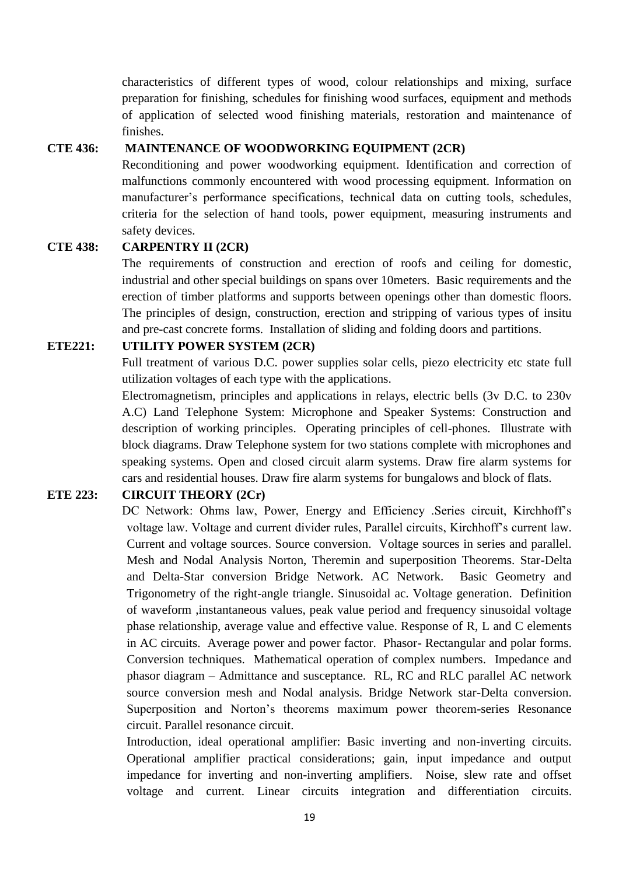characteristics of different types of wood, colour relationships and mixing, surface preparation for finishing, schedules for finishing wood surfaces, equipment and methods of application of selected wood finishing materials, restoration and maintenance of finishes.

## **CTE 436: MAINTENANCE OF WOODWORKING EQUIPMENT (2CR)**

Reconditioning and power woodworking equipment. Identification and correction of malfunctions commonly encountered with wood processing equipment. Information on manufacturer's performance specifications, technical data on cutting tools, schedules, criteria for the selection of hand tools, power equipment, measuring instruments and safety devices.

# **CTE 438: CARPENTRY II (2CR)**

The requirements of construction and erection of roofs and ceiling for domestic, industrial and other special buildings on spans over 10meters. Basic requirements and the erection of timber platforms and supports between openings other than domestic floors. The principles of design, construction, erection and stripping of various types of insitu and pre-cast concrete forms. Installation of sliding and folding doors and partitions.

# **ETE221: UTILITY POWER SYSTEM (2CR)**

Full treatment of various D.C. power supplies solar cells, piezo electricity etc state full utilization voltages of each type with the applications.

Electromagnetism, principles and applications in relays, electric bells (3v D.C. to 230v A.C) Land Telephone System: Microphone and Speaker Systems: Construction and description of working principles. Operating principles of cell-phones. Illustrate with block diagrams. Draw Telephone system for two stations complete with microphones and speaking systems. Open and closed circuit alarm systems. Draw fire alarm systems for cars and residential houses. Draw fire alarm systems for bungalows and block of flats.

# **ETE 223: CIRCUIT THEORY (2Cr)**

DC Network: Ohms law, Power, Energy and Efficiency .Series circuit, Kirchhoff"s voltage law. Voltage and current divider rules, Parallel circuits, Kirchhoff"s current law. Current and voltage sources. Source conversion. Voltage sources in series and parallel. Mesh and Nodal Analysis Norton, Theremin and superposition Theorems. Star-Delta and Delta-Star conversion Bridge Network. AC Network. Basic Geometry and Trigonometry of the right-angle triangle. Sinusoidal ac. Voltage generation. Definition of waveform ,instantaneous values, peak value period and frequency sinusoidal voltage phase relationship, average value and effective value. Response of R, L and C elements in AC circuits. Average power and power factor. Phasor- Rectangular and polar forms. Conversion techniques. Mathematical operation of complex numbers. Impedance and phasor diagram – Admittance and susceptance. RL, RC and RLC parallel AC network source conversion mesh and Nodal analysis. Bridge Network star-Delta conversion. Superposition and Norton"s theorems maximum power theorem-series Resonance circuit. Parallel resonance circuit.

Introduction, ideal operational amplifier: Basic inverting and non-inverting circuits. Operational amplifier practical considerations; gain, input impedance and output impedance for inverting and non-inverting amplifiers. Noise, slew rate and offset voltage and current. Linear circuits integration and differentiation circuits.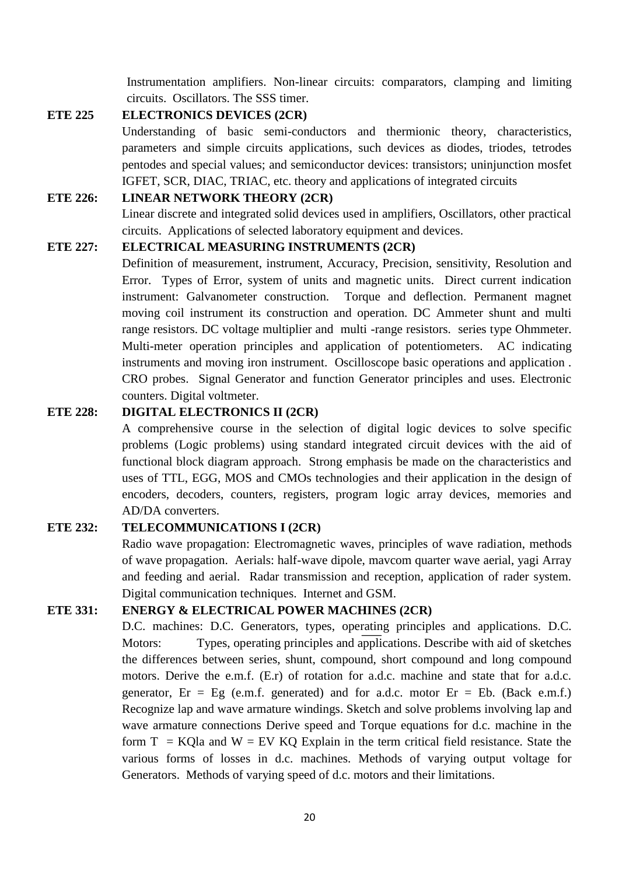Instrumentation amplifiers. Non-linear circuits: comparators, clamping and limiting circuits. Oscillators. The SSS timer.

# **ETE 225 ELECTRONICS DEVICES (2CR)**

Understanding of basic semi-conductors and thermionic theory, characteristics, parameters and simple circuits applications, such devices as diodes, triodes, tetrodes pentodes and special values; and semiconductor devices: transistors; uninjunction mosfet IGFET, SCR, DIAC, TRIAC, etc. theory and applications of integrated circuits

#### **ETE 226: LINEAR NETWORK THEORY (2CR)**

Linear discrete and integrated solid devices used in amplifiers, Oscillators, other practical circuits. Applications of selected laboratory equipment and devices.

#### **ETE 227: ELECTRICAL MEASURING INSTRUMENTS (2CR)**

Definition of measurement, instrument, Accuracy, Precision, sensitivity, Resolution and Error. Types of Error, system of units and magnetic units. Direct current indication instrument: Galvanometer construction. Torque and deflection. Permanent magnet moving coil instrument its construction and operation. DC Ammeter shunt and multi range resistors. DC voltage multiplier and multi -range resistors. series type Ohmmeter. Multi-meter operation principles and application of potentiometers. AC indicating instruments and moving iron instrument. Oscilloscope basic operations and application . CRO probes. Signal Generator and function Generator principles and uses. Electronic counters. Digital voltmeter.

#### **ETE 228: DIGITAL ELECTRONICS II (2CR)**

A comprehensive course in the selection of digital logic devices to solve specific problems (Logic problems) using standard integrated circuit devices with the aid of functional block diagram approach. Strong emphasis be made on the characteristics and uses of TTL, EGG, MOS and CMOs technologies and their application in the design of encoders, decoders, counters, registers, program logic array devices, memories and AD/DA converters.

#### **ETE 232: TELECOMMUNICATIONS I (2CR)**

Radio wave propagation: Electromagnetic waves, principles of wave radiation, methods of wave propagation. Aerials: half-wave dipole, mavcom quarter wave aerial, yagi Array and feeding and aerial. Radar transmission and reception, application of rader system. Digital communication techniques. Internet and GSM.

# **ETE 331: ENERGY & ELECTRICAL POWER MACHINES (2CR)**

D.C. machines: D.C. Generators, types, operating principles and applications. D.C. Motors: Types, operating principles and applications. Describe with aid of sketches the differences between series, shunt, compound, short compound and long compound motors. Derive the e.m.f. (E.r) of rotation for a.d.c. machine and state that for a.d.c. generator,  $Er = Eg$  (e.m.f. generated) and for a.d.c. motor  $Er = Eb$ . (Back e.m.f.) Recognize lap and wave armature windings. Sketch and solve problems involving lap and wave armature connections Derive speed and Torque equations for d.c. machine in the form  $T = KQ$ la and  $W = EV KQ$  Explain in the term critical field resistance. State the various forms of losses in d.c. machines. Methods of varying output voltage for Generators. Methods of varying speed of d.c. motors and their limitations.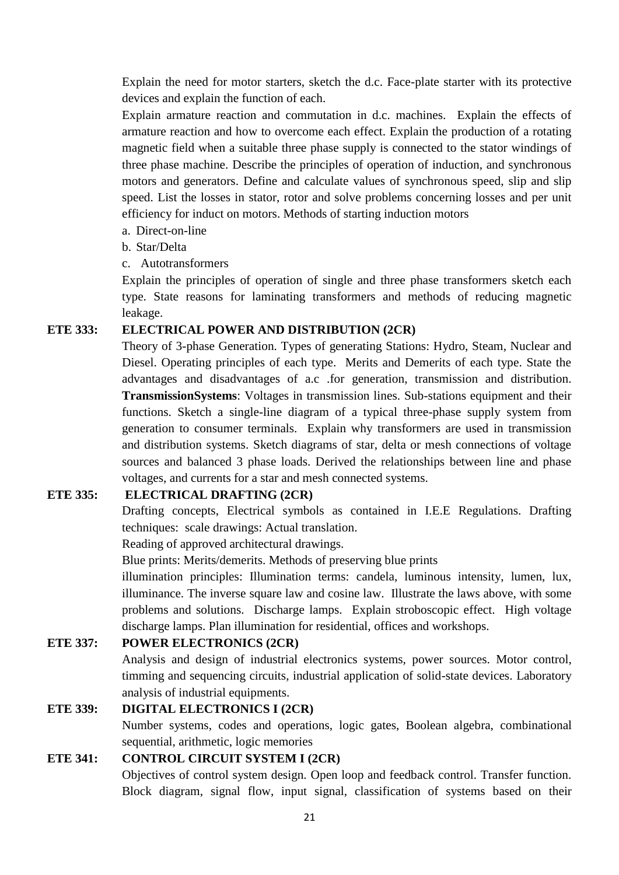Explain the need for motor starters, sketch the d.c. Face-plate starter with its protective devices and explain the function of each.

Explain armature reaction and commutation in d.c. machines. Explain the effects of armature reaction and how to overcome each effect. Explain the production of a rotating magnetic field when a suitable three phase supply is connected to the stator windings of three phase machine. Describe the principles of operation of induction, and synchronous motors and generators. Define and calculate values of synchronous speed, slip and slip speed. List the losses in stator, rotor and solve problems concerning losses and per unit efficiency for induct on motors. Methods of starting induction motors

a. Direct-on-line

b. Star/Delta

c. Autotransformers

Explain the principles of operation of single and three phase transformers sketch each type. State reasons for laminating transformers and methods of reducing magnetic leakage.

#### **ETE 333: ELECTRICAL POWER AND DISTRIBUTION (2CR)**

Theory of 3-phase Generation. Types of generating Stations: Hydro, Steam, Nuclear and Diesel. Operating principles of each type. Merits and Demerits of each type. State the advantages and disadvantages of a.c .for generation, transmission and distribution. **TransmissionSystems**: Voltages in transmission lines. Sub-stations equipment and their functions. Sketch a single-line diagram of a typical three-phase supply system from generation to consumer terminals. Explain why transformers are used in transmission and distribution systems. Sketch diagrams of star, delta or mesh connections of voltage sources and balanced 3 phase loads. Derived the relationships between line and phase voltages, and currents for a star and mesh connected systems.

# **ETE 335: ELECTRICAL DRAFTING (2CR)**

Drafting concepts, Electrical symbols as contained in I.E.E Regulations. Drafting techniques: scale drawings: Actual translation.

Reading of approved architectural drawings.

Blue prints: Merits/demerits. Methods of preserving blue prints

illumination principles: Illumination terms: candela, luminous intensity, lumen, lux, illuminance. The inverse square law and cosine law. Illustrate the laws above, with some problems and solutions. Discharge lamps. Explain stroboscopic effect. High voltage discharge lamps. Plan illumination for residential, offices and workshops.

#### **ETE 337: POWER ELECTRONICS (2CR)**

Analysis and design of industrial electronics systems, power sources. Motor control, timming and sequencing circuits, industrial application of solid-state devices. Laboratory analysis of industrial equipments.

#### **ETE 339: DIGITAL ELECTRONICS I (2CR)**

Number systems, codes and operations, logic gates, Boolean algebra, combinational sequential, arithmetic, logic memories

#### **ETE 341: CONTROL CIRCUIT SYSTEM I (2CR)**

Objectives of control system design. Open loop and feedback control. Transfer function. Block diagram, signal flow, input signal, classification of systems based on their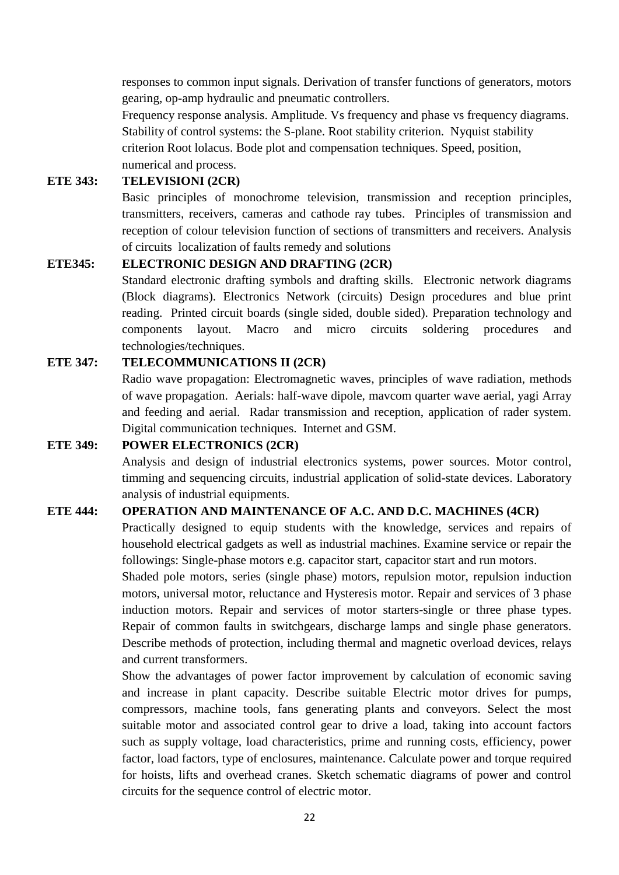responses to common input signals. Derivation of transfer functions of generators, motors gearing, op-amp hydraulic and pneumatic controllers.

Frequency response analysis. Amplitude. Vs frequency and phase vs frequency diagrams. Stability of control systems: the S-plane. Root stability criterion. Nyquist stability criterion Root lolacus. Bode plot and compensation techniques. Speed, position, numerical and process.

## **ETE 343: TELEVISIONI (2CR)**

Basic principles of monochrome television, transmission and reception principles, transmitters, receivers, cameras and cathode ray tubes. Principles of transmission and reception of colour television function of sections of transmitters and receivers. Analysis of circuits localization of faults remedy and solutions

# **ETE345: ELECTRONIC DESIGN AND DRAFTING (2CR)**

Standard electronic drafting symbols and drafting skills. Electronic network diagrams (Block diagrams). Electronics Network (circuits) Design procedures and blue print reading. Printed circuit boards (single sided, double sided). Preparation technology and components layout. Macro and micro circuits soldering procedures and technologies/techniques.

# **ETE 347: TELECOMMUNICATIONS II (2CR)**

Radio wave propagation: Electromagnetic waves, principles of wave radiation, methods of wave propagation. Aerials: half-wave dipole, mavcom quarter wave aerial, yagi Array and feeding and aerial. Radar transmission and reception, application of rader system. Digital communication techniques. Internet and GSM.

#### **ETE 349: POWER ELECTRONICS (2CR)**

Analysis and design of industrial electronics systems, power sources. Motor control, timming and sequencing circuits, industrial application of solid-state devices. Laboratory analysis of industrial equipments.

#### **ETE 444: OPERATION AND MAINTENANCE OF A.C. AND D.C. MACHINES (4CR)**

Practically designed to equip students with the knowledge, services and repairs of household electrical gadgets as well as industrial machines. Examine service or repair the followings: Single-phase motors e.g. capacitor start, capacitor start and run motors.

Shaded pole motors, series (single phase) motors, repulsion motor, repulsion induction motors, universal motor, reluctance and Hysteresis motor. Repair and services of 3 phase induction motors. Repair and services of motor starters-single or three phase types. Repair of common faults in switchgears, discharge lamps and single phase generators. Describe methods of protection, including thermal and magnetic overload devices, relays and current transformers.

Show the advantages of power factor improvement by calculation of economic saving and increase in plant capacity. Describe suitable Electric motor drives for pumps, compressors, machine tools, fans generating plants and conveyors. Select the most suitable motor and associated control gear to drive a load, taking into account factors such as supply voltage, load characteristics, prime and running costs, efficiency, power factor, load factors, type of enclosures, maintenance. Calculate power and torque required for hoists, lifts and overhead cranes. Sketch schematic diagrams of power and control circuits for the sequence control of electric motor.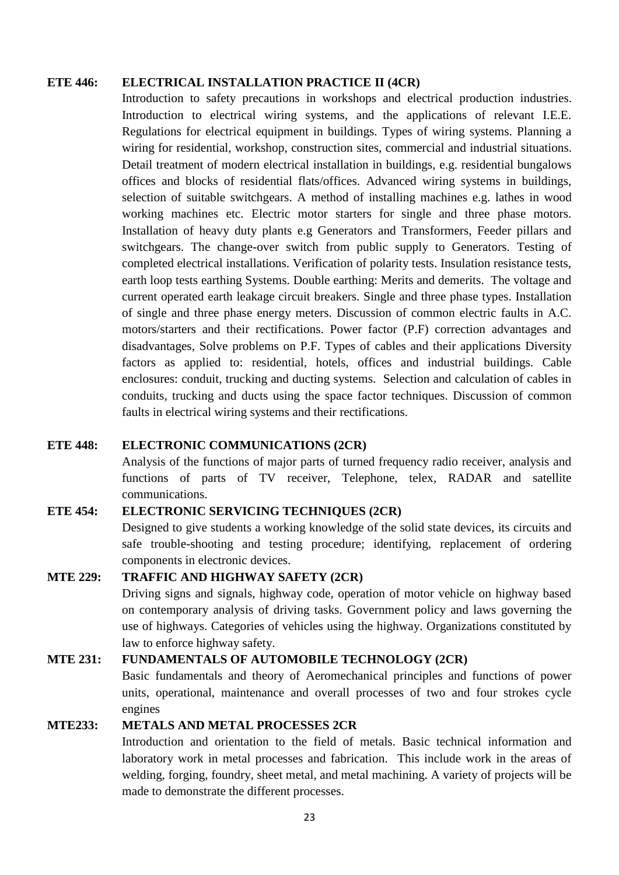#### **ETE 446: ELECTRICAL INSTALLATION PRACTICE II (4CR)**

Introduction to safety precautions in workshops and electrical production industries. Introduction to electrical wiring systems, and the applications of relevant I.E.E. Regulations for electrical equipment in buildings. Types of wiring systems. Planning a wiring for residential, workshop, construction sites, commercial and industrial situations. Detail treatment of modern electrical installation in buildings, e.g. residential bungalows offices and blocks of residential flats/offices. Advanced wiring systems in buildings, selection of suitable switchgears. A method of installing machines e.g. lathes in wood working machines etc. Electric motor starters for single and three phase motors. Installation of heavy duty plants e.g Generators and Transformers, Feeder pillars and switchgears. The change-over switch from public supply to Generators. Testing of completed electrical installations. Verification of polarity tests. Insulation resistance tests, earth loop tests earthing Systems. Double earthing: Merits and demerits. The voltage and current operated earth leakage circuit breakers. Single and three phase types. Installation of single and three phase energy meters. Discussion of common electric faults in A.C. motors/starters and their rectifications. Power factor (P.F) correction advantages and disadvantages, Solve problems on P.F. Types of cables and their applications Diversity factors as applied to: residential, hotels, offices and industrial buildings. Cable enclosures: conduit, trucking and ducting systems. Selection and calculation of cables in conduits, trucking and ducts using the space factor techniques. Discussion of common faults in electrical wiring systems and their rectifications.

# **ETE 448: ELECTRONIC COMMUNICATIONS (2CR)**

Analysis of the functions of major parts of turned frequency radio receiver, analysis and functions of parts of TV receiver, Telephone, telex, RADAR and satellite communications.

# **ETE 454: ELECTRONIC SERVICING TECHNIQUES (2CR)**

Designed to give students a working knowledge of the solid state devices, its circuits and safe trouble-shooting and testing procedure; identifying, replacement of ordering components in electronic devices.

# **MTE 229: TRAFFIC AND HIGHWAY SAFETY (2CR)**

Driving signs and signals, highway code, operation of motor vehicle on highway based on contemporary analysis of driving tasks. Government policy and laws governing the use of highways. Categories of vehicles using the highway. Organizations constituted by law to enforce highway safety.

# **MTE 231: FUNDAMENTALS OF AUTOMOBILE TECHNOLOGY (2CR)**

Basic fundamentals and theory of Aeromechanical principles and functions of power units, operational, maintenance and overall processes of two and four strokes cycle engines

#### **MTE233: METALS AND METAL PROCESSES 2CR**

Introduction and orientation to the field of metals. Basic technical information and laboratory work in metal processes and fabrication. This include work in the areas of welding, forging, foundry, sheet metal, and metal machining. A variety of projects will be made to demonstrate the different processes.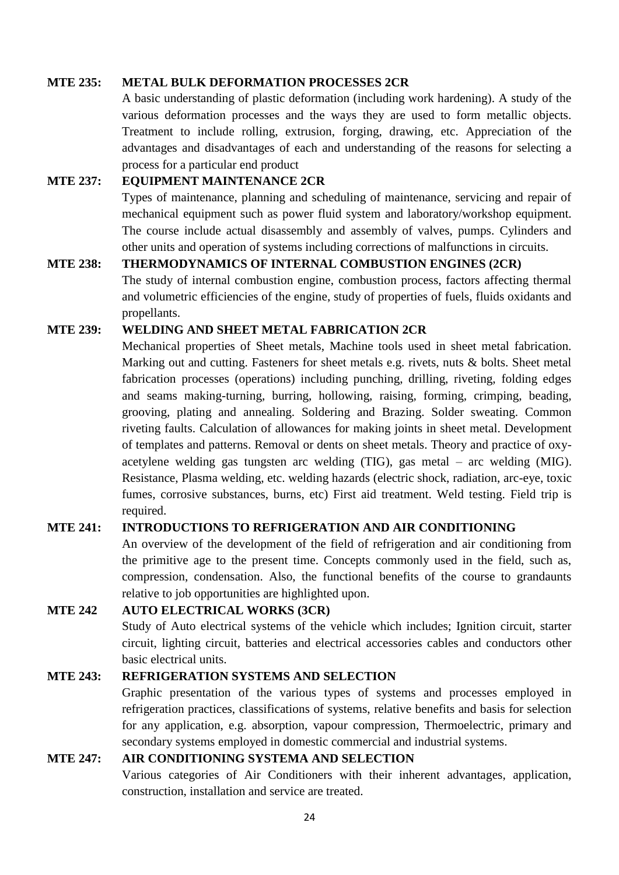# **MTE 235: METAL BULK DEFORMATION PROCESSES 2CR**

A basic understanding of plastic deformation (including work hardening). A study of the various deformation processes and the ways they are used to form metallic objects. Treatment to include rolling, extrusion, forging, drawing, etc. Appreciation of the advantages and disadvantages of each and understanding of the reasons for selecting a process for a particular end product

# **MTE 237: EQUIPMENT MAINTENANCE 2CR**

Types of maintenance, planning and scheduling of maintenance, servicing and repair of mechanical equipment such as power fluid system and laboratory/workshop equipment. The course include actual disassembly and assembly of valves, pumps. Cylinders and other units and operation of systems including corrections of malfunctions in circuits.

#### **MTE 238: THERMODYNAMICS OF INTERNAL COMBUSTION ENGINES (2CR)**

The study of internal combustion engine, combustion process, factors affecting thermal and volumetric efficiencies of the engine, study of properties of fuels, fluids oxidants and propellants.

# **MTE 239: WELDING AND SHEET METAL FABRICATION 2CR**

Mechanical properties of Sheet metals, Machine tools used in sheet metal fabrication. Marking out and cutting. Fasteners for sheet metals e.g. rivets, nuts & bolts. Sheet metal fabrication processes (operations) including punching, drilling, riveting, folding edges and seams making-turning, burring, hollowing, raising, forming, crimping, beading, grooving, plating and annealing. Soldering and Brazing. Solder sweating. Common riveting faults. Calculation of allowances for making joints in sheet metal. Development of templates and patterns. Removal or dents on sheet metals. Theory and practice of oxyacetylene welding gas tungsten arc welding (TIG), gas metal – arc welding (MIG). Resistance, Plasma welding, etc. welding hazards (electric shock, radiation, arc-eye, toxic fumes, corrosive substances, burns, etc) First aid treatment. Weld testing. Field trip is required.

# **MTE 241: INTRODUCTIONS TO REFRIGERATION AND AIR CONDITIONING**

An overview of the development of the field of refrigeration and air conditioning from the primitive age to the present time. Concepts commonly used in the field, such as, compression, condensation. Also, the functional benefits of the course to grandaunts relative to job opportunities are highlighted upon.

# **MTE 242 AUTO ELECTRICAL WORKS (3CR)**

Study of Auto electrical systems of the vehicle which includes; Ignition circuit, starter circuit, lighting circuit, batteries and electrical accessories cables and conductors other basic electrical units.

#### **MTE 243: REFRIGERATION SYSTEMS AND SELECTION**

Graphic presentation of the various types of systems and processes employed in refrigeration practices, classifications of systems, relative benefits and basis for selection for any application, e.g. absorption, vapour compression, Thermoelectric, primary and secondary systems employed in domestic commercial and industrial systems.

#### **MTE 247: AIR CONDITIONING SYSTEMA AND SELECTION**

Various categories of Air Conditioners with their inherent advantages, application, construction, installation and service are treated.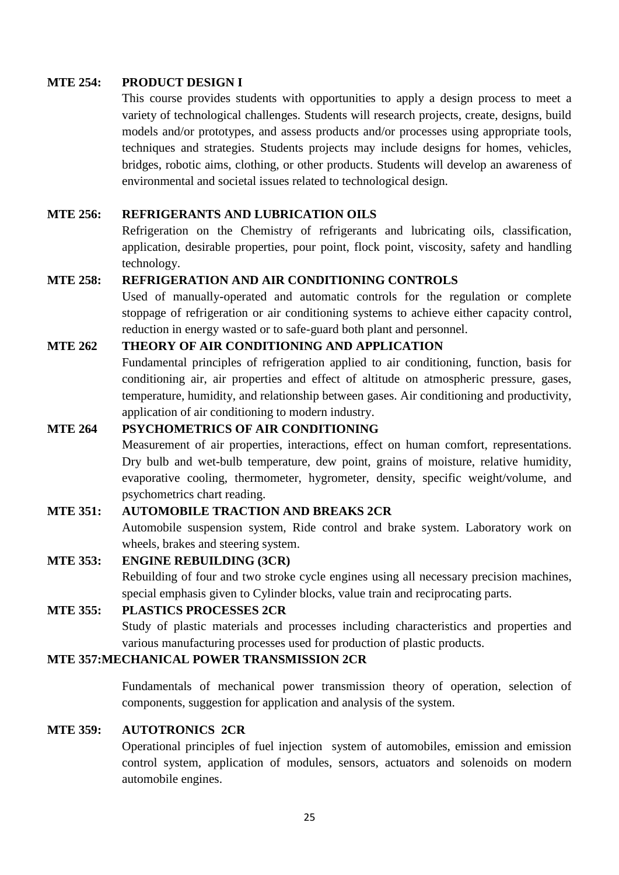# **MTE 254: PRODUCT DESIGN I**

This course provides students with opportunities to apply a design process to meet a variety of technological challenges. Students will research projects, create, designs, build models and/or prototypes, and assess products and/or processes using appropriate tools, techniques and strategies. Students projects may include designs for homes, vehicles, bridges, robotic aims, clothing, or other products. Students will develop an awareness of environmental and societal issues related to technological design.

# **MTE 256: REFRIGERANTS AND LUBRICATION OILS**

Refrigeration on the Chemistry of refrigerants and lubricating oils, classification, application, desirable properties, pour point, flock point, viscosity, safety and handling technology.

# **MTE 258: REFRIGERATION AND AIR CONDITIONING CONTROLS**

Used of manually-operated and automatic controls for the regulation or complete stoppage of refrigeration or air conditioning systems to achieve either capacity control, reduction in energy wasted or to safe-guard both plant and personnel.

# **MTE 262 THEORY OF AIR CONDITIONING AND APPLICATION**

Fundamental principles of refrigeration applied to air conditioning, function, basis for conditioning air, air properties and effect of altitude on atmospheric pressure, gases, temperature, humidity, and relationship between gases. Air conditioning and productivity, application of air conditioning to modern industry.

## **MTE 264 PSYCHOMETRICS OF AIR CONDITIONING**

Measurement of air properties, interactions, effect on human comfort, representations. Dry bulb and wet-bulb temperature, dew point, grains of moisture, relative humidity, evaporative cooling, thermometer, hygrometer, density, specific weight/volume, and psychometrics chart reading.

# **MTE 351: AUTOMOBILE TRACTION AND BREAKS 2CR**

Automobile suspension system, Ride control and brake system. Laboratory work on wheels, brakes and steering system.

#### **MTE 353: ENGINE REBUILDING (3CR)**

Rebuilding of four and two stroke cycle engines using all necessary precision machines, special emphasis given to Cylinder blocks, value train and reciprocating parts.

## **MTE 355: PLASTICS PROCESSES 2CR**

Study of plastic materials and processes including characteristics and properties and various manufacturing processes used for production of plastic products.

# **MTE 357:MECHANICAL POWER TRANSMISSION 2CR**

Fundamentals of mechanical power transmission theory of operation, selection of components, suggestion for application and analysis of the system.

#### **MTE 359: AUTOTRONICS 2CR**

Operational principles of fuel injection system of automobiles, emission and emission control system, application of modules, sensors, actuators and solenoids on modern automobile engines.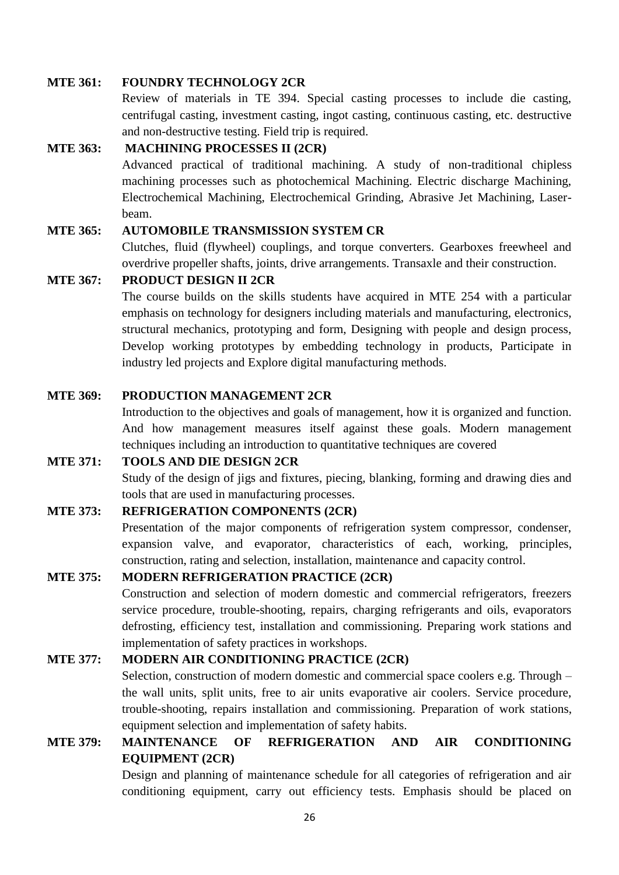#### **MTE 361: FOUNDRY TECHNOLOGY 2CR**

Review of materials in TE 394. Special casting processes to include die casting, centrifugal casting, investment casting, ingot casting, continuous casting, etc. destructive and non-destructive testing. Field trip is required.

#### **MTE 363: MACHINING PROCESSES II (2CR)**

Advanced practical of traditional machining. A study of non-traditional chipless machining processes such as photochemical Machining. Electric discharge Machining, Electrochemical Machining, Electrochemical Grinding, Abrasive Jet Machining, Laserbeam.

#### **MTE 365: AUTOMOBILE TRANSMISSION SYSTEM CR**

Clutches, fluid (flywheel) couplings, and torque converters. Gearboxes freewheel and overdrive propeller shafts, joints, drive arrangements. Transaxle and their construction.

### **MTE 367: PRODUCT DESIGN II 2CR**

The course builds on the skills students have acquired in MTE 254 with a particular emphasis on technology for designers including materials and manufacturing, electronics, structural mechanics, prototyping and form, Designing with people and design process, Develop working prototypes by embedding technology in products, Participate in industry led projects and Explore digital manufacturing methods.

#### **MTE 369: PRODUCTION MANAGEMENT 2CR**

Introduction to the objectives and goals of management, how it is organized and function. And how management measures itself against these goals. Modern management techniques including an introduction to quantitative techniques are covered

# **MTE 371: TOOLS AND DIE DESIGN 2CR**

Study of the design of jigs and fixtures, piecing, blanking, forming and drawing dies and tools that are used in manufacturing processes.

#### **MTE 373: REFRIGERATION COMPONENTS (2CR)**

Presentation of the major components of refrigeration system compressor, condenser, expansion valve, and evaporator, characteristics of each, working, principles, construction, rating and selection, installation, maintenance and capacity control.

# **MTE 375: MODERN REFRIGERATION PRACTICE (2CR)**

Construction and selection of modern domestic and commercial refrigerators, freezers service procedure, trouble-shooting, repairs, charging refrigerants and oils, evaporators defrosting, efficiency test, installation and commissioning. Preparing work stations and implementation of safety practices in workshops.

# **MTE 377: MODERN AIR CONDITIONING PRACTICE (2CR)**

Selection, construction of modern domestic and commercial space coolers e.g. Through – the wall units, split units, free to air units evaporative air coolers. Service procedure, trouble-shooting, repairs installation and commissioning. Preparation of work stations, equipment selection and implementation of safety habits.

# **MTE 379: MAINTENANCE OF REFRIGERATION AND AIR CONDITIONING EQUIPMENT (2CR)**

Design and planning of maintenance schedule for all categories of refrigeration and air conditioning equipment, carry out efficiency tests. Emphasis should be placed on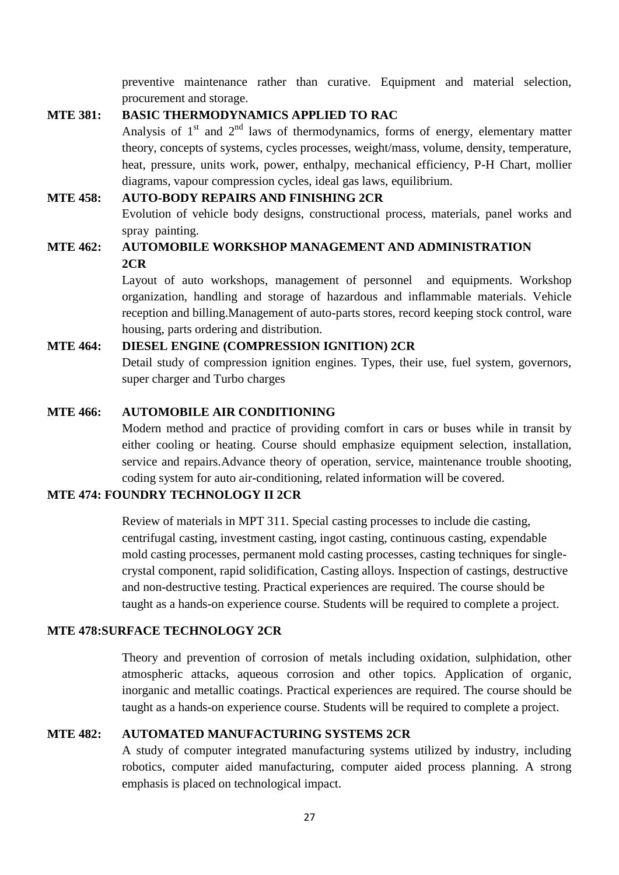preventive maintenance rather than curative. Equipment and material selection, procurement and storage.

## **MTE 381: BASIC THERMODYNAMICS APPLIED TO RAC**

Analysis of  $1<sup>st</sup>$  and  $2<sup>nd</sup>$  laws of thermodynamics, forms of energy, elementary matter theory, concepts of systems, cycles processes, weight/mass, volume, density, temperature, heat, pressure, units work, power, enthalpy, mechanical efficiency, P-H Chart, mollier diagrams, vapour compression cycles, ideal gas laws, equilibrium.

#### **MTE 458: AUTO-BODY REPAIRS AND FINISHING 2CR**

Evolution of vehicle body designs, constructional process, materials, panel works and spray painting.

# **MTE 462: AUTOMOBILE WORKSHOP MANAGEMENT AND ADMINISTRATION 2CR**

Layout of auto workshops, management of personnel and equipments. Workshop organization, handling and storage of hazardous and inflammable materials. Vehicle reception and billing.Management of auto-parts stores, record keeping stock control, ware housing, parts ordering and distribution.

# **MTE 464: DIESEL ENGINE (COMPRESSION IGNITION) 2CR**

Detail study of compression ignition engines. Types, their use, fuel system, governors, super charger and Turbo charges

#### **MTE 466: AUTOMOBILE AIR CONDITIONING**

Modern method and practice of providing comfort in cars or buses while in transit by either cooling or heating. Course should emphasize equipment selection, installation, service and repairs.Advance theory of operation, service, maintenance trouble shooting, coding system for auto air-conditioning, related information will be covered.

# **MTE 474: FOUNDRY TECHNOLOGY II 2CR**

Review of materials in MPT 311. Special casting processes to include die casting, centrifugal casting, investment casting, ingot casting, continuous casting, expendable mold casting processes, permanent mold casting processes, casting techniques for singlecrystal component, rapid solidification, Casting alloys. Inspection of castings, destructive and non-destructive testing. Practical experiences are required. The course should be taught as a hands-on experience course. Students will be required to complete a project.

#### **MTE 478:SURFACE TECHNOLOGY 2CR**

Theory and prevention of corrosion of metals including oxidation, sulphidation, other atmospheric attacks, aqueous corrosion and other topics. Application of organic, inorganic and metallic coatings. Practical experiences are required. The course should be taught as a hands-on experience course. Students will be required to complete a project.

# **MTE 482: AUTOMATED MANUFACTURING SYSTEMS 2CR**

A study of computer integrated manufacturing systems utilized by industry, including robotics, computer aided manufacturing, computer aided process planning. A strong emphasis is placed on technological impact.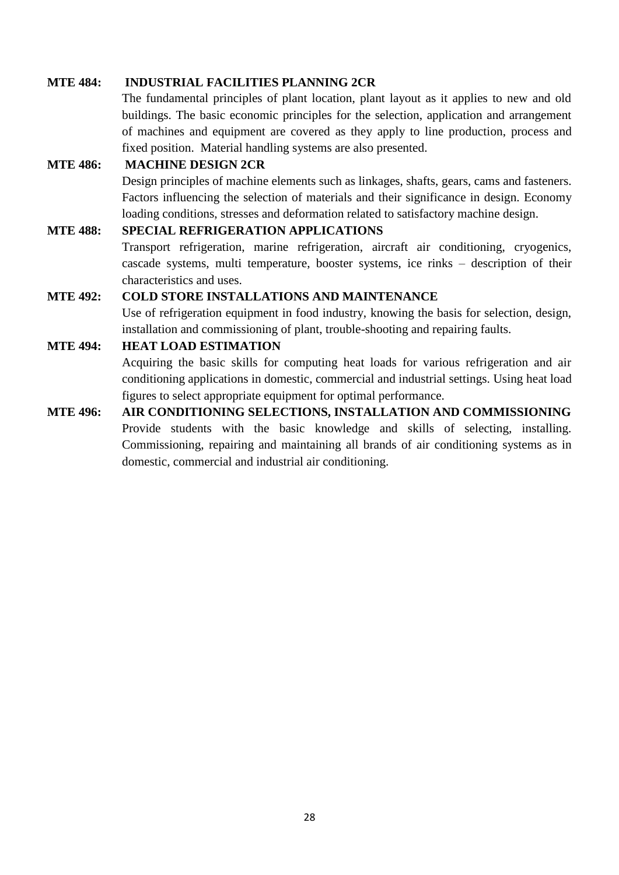# **MTE 484: INDUSTRIAL FACILITIES PLANNING 2CR**

The fundamental principles of plant location, plant layout as it applies to new and old buildings. The basic economic principles for the selection, application and arrangement of machines and equipment are covered as they apply to line production, process and fixed position. Material handling systems are also presented.

# **MTE 486: MACHINE DESIGN 2CR**

Design principles of machine elements such as linkages, shafts, gears, cams and fasteners. Factors influencing the selection of materials and their significance in design. Economy loading conditions, stresses and deformation related to satisfactory machine design.

#### **MTE 488: SPECIAL REFRIGERATION APPLICATIONS**

Transport refrigeration, marine refrigeration, aircraft air conditioning, cryogenics, cascade systems, multi temperature, booster systems, ice rinks – description of their characteristics and uses.

#### **MTE 492: COLD STORE INSTALLATIONS AND MAINTENANCE**

Use of refrigeration equipment in food industry, knowing the basis for selection, design, installation and commissioning of plant, trouble-shooting and repairing faults.

# **MTE 494: HEAT LOAD ESTIMATION**

Acquiring the basic skills for computing heat loads for various refrigeration and air conditioning applications in domestic, commercial and industrial settings. Using heat load figures to select appropriate equipment for optimal performance.

**MTE 496: AIR CONDITIONING SELECTIONS, INSTALLATION AND COMMISSIONING** Provide students with the basic knowledge and skills of selecting, installing. Commissioning, repairing and maintaining all brands of air conditioning systems as in domestic, commercial and industrial air conditioning.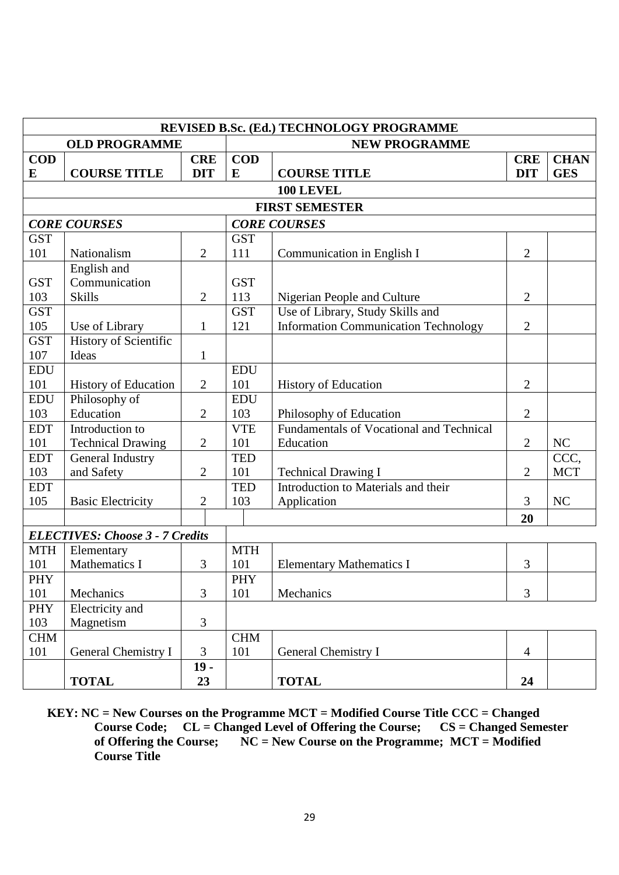|            | REVISED B.Sc. (Ed.) TECHNOLOGY PROGRAMME   |                |            |                                             |                |             |  |
|------------|--------------------------------------------|----------------|------------|---------------------------------------------|----------------|-------------|--|
|            | <b>OLD PROGRAMME</b>                       |                |            | <b>NEW PROGRAMME</b>                        |                |             |  |
| <b>COD</b> |                                            | <b>CRE</b>     | <b>COD</b> |                                             | <b>CRE</b>     | <b>CHAN</b> |  |
| E          | <b>COURSE TITLE</b>                        | <b>DIT</b>     | E          | <b>COURSE TITLE</b>                         | <b>DIT</b>     | <b>GES</b>  |  |
|            |                                            |                |            | 100 LEVEL                                   |                |             |  |
|            |                                            |                |            | <b>FIRST SEMESTER</b>                       |                |             |  |
|            | <b>CORE COURSES</b><br><b>CORE COURSES</b> |                |            |                                             |                |             |  |
| <b>GST</b> |                                            |                | <b>GST</b> |                                             |                |             |  |
| 101        | Nationalism                                | $\overline{2}$ | 111        | Communication in English I                  | $\overline{2}$ |             |  |
|            | English and                                |                |            |                                             |                |             |  |
| <b>GST</b> | Communication                              |                | <b>GST</b> |                                             |                |             |  |
| 103        | <b>Skills</b>                              | $\overline{2}$ | 113        | Nigerian People and Culture                 | $\overline{2}$ |             |  |
| <b>GST</b> |                                            |                | <b>GST</b> | Use of Library, Study Skills and            |                |             |  |
| 105        | Use of Library                             | $\mathbf{1}$   | 121        | <b>Information Communication Technology</b> | $\mathbf{2}$   |             |  |
| <b>GST</b> | History of Scientific                      |                |            |                                             |                |             |  |
| 107        | Ideas                                      | $\mathbf{1}$   |            |                                             |                |             |  |
| <b>EDU</b> |                                            |                | <b>EDU</b> |                                             |                |             |  |
| 101        | <b>History of Education</b>                | $\overline{2}$ | 101        | <b>History of Education</b>                 | $\overline{2}$ |             |  |
| <b>EDU</b> | Philosophy of                              |                | <b>EDU</b> |                                             |                |             |  |
| 103        | Education                                  | $\overline{2}$ | 103        | Philosophy of Education                     | $\overline{2}$ |             |  |
| <b>EDT</b> | Introduction to                            |                | <b>VTE</b> | Fundamentals of Vocational and Technical    |                |             |  |
| 101        | <b>Technical Drawing</b>                   | $\overline{2}$ | 101        | Education                                   | $\overline{2}$ | NC          |  |
| <b>EDT</b> | General Industry                           |                | <b>TED</b> |                                             |                | CCC,        |  |
| 103        | and Safety                                 | $\overline{2}$ | 101        | <b>Technical Drawing I</b>                  | $\overline{2}$ | <b>MCT</b>  |  |
| <b>EDT</b> |                                            |                | <b>TED</b> | Introduction to Materials and their         |                |             |  |
| 105        | <b>Basic Electricity</b>                   | $\overline{2}$ | 103        | Application                                 | 3              | NC          |  |
|            |                                            |                |            |                                             | 20             |             |  |
|            | <b>ELECTIVES: Choose 3 - 7 Credits</b>     |                |            |                                             |                |             |  |
| <b>MTH</b> | Elementary                                 |                | <b>MTH</b> |                                             |                |             |  |
| 101        | <b>Mathematics I</b>                       | 3              | 101        | <b>Elementary Mathematics I</b>             | 3              |             |  |
| <b>PHY</b> |                                            |                | PHY        |                                             |                |             |  |
| 101        | Mechanics                                  | 3              | 101        | Mechanics                                   | 3              |             |  |
| <b>PHY</b> | Electricity and                            |                |            |                                             |                |             |  |
| 103        | Magnetism                                  | 3              |            |                                             |                |             |  |
| <b>CHM</b> |                                            |                | <b>CHM</b> |                                             |                |             |  |
| 101        | General Chemistry I                        | 3              | 101        | General Chemistry I                         | $\overline{4}$ |             |  |
|            |                                            | $19 -$         |            |                                             |                |             |  |
|            | <b>TOTAL</b>                               | 23             |            | <b>TOTAL</b>                                | 24             |             |  |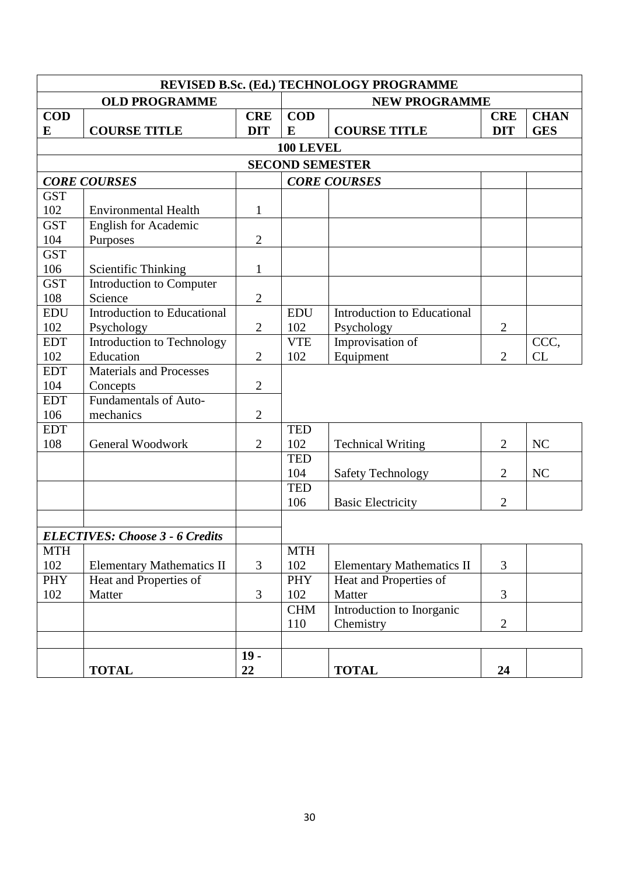|            | REVISED B.Sc. (Ed.) TECHNOLOGY PROGRAMME |                |                   |                                  |                |             |  |
|------------|------------------------------------------|----------------|-------------------|----------------------------------|----------------|-------------|--|
|            | <b>OLD PROGRAMME</b>                     |                |                   | <b>NEW PROGRAMME</b>             |                |             |  |
| <b>COD</b> |                                          | <b>CRE</b>     | <b>COD</b>        |                                  | <b>CRE</b>     | <b>CHAN</b> |  |
| E          | <b>COURSE TITLE</b>                      | <b>DIT</b>     | E                 | <b>COURSE TITLE</b>              | <b>DIT</b>     | <b>GES</b>  |  |
|            |                                          |                | 100 LEVEL         |                                  |                |             |  |
|            |                                          |                |                   | <b>SECOND SEMESTER</b>           |                |             |  |
|            | <b>CORE COURSES</b>                      |                |                   | <b>CORE COURSES</b>              |                |             |  |
| <b>GST</b> |                                          |                |                   |                                  |                |             |  |
| 102        | <b>Environmental Health</b>              | $\mathbf{1}$   |                   |                                  |                |             |  |
| <b>GST</b> | <b>English for Academic</b>              |                |                   |                                  |                |             |  |
| 104        | Purposes                                 | $\overline{2}$ |                   |                                  |                |             |  |
| <b>GST</b> |                                          |                |                   |                                  |                |             |  |
| 106        | <b>Scientific Thinking</b>               | $\mathbf{1}$   |                   |                                  |                |             |  |
| <b>GST</b> | Introduction to Computer                 |                |                   |                                  |                |             |  |
| 108        | Science                                  | $\overline{2}$ |                   |                                  |                |             |  |
| <b>EDU</b> | <b>Introduction to Educational</b>       |                | <b>EDU</b>        | Introduction to Educational      |                |             |  |
| 102        | Psychology                               | $\overline{2}$ | 102               | Psychology                       | $\overline{2}$ |             |  |
| <b>EDT</b> | Introduction to Technology               |                | <b>VTE</b>        | Improvisation of                 |                | CCC,        |  |
| 102        | Education                                | $\overline{2}$ | 102               | Equipment                        | $\overline{2}$ | CL          |  |
| <b>EDT</b> | <b>Materials and Processes</b>           |                |                   |                                  |                |             |  |
| 104        | Concepts                                 | $\mathfrak{2}$ |                   |                                  |                |             |  |
| <b>EDT</b> | <b>Fundamentals of Auto-</b>             |                |                   |                                  |                |             |  |
| 106        | mechanics                                | $\overline{2}$ |                   |                                  |                |             |  |
| <b>EDT</b> |                                          |                | <b>TED</b>        |                                  |                |             |  |
| 108        | General Woodwork                         | 2              | 102               | <b>Technical Writing</b>         | $\overline{2}$ | NC          |  |
|            |                                          |                | <b>TED</b>        |                                  |                |             |  |
|            |                                          |                | 104               | <b>Safety Technology</b>         | $\overline{2}$ | NC          |  |
|            |                                          |                | <b>TED</b><br>106 |                                  | $\overline{2}$ |             |  |
|            |                                          |                |                   | <b>Basic Electricity</b>         |                |             |  |
|            |                                          |                |                   |                                  |                |             |  |
|            | <b>ELECTIVES: Choose 3 - 6 Credits</b>   |                |                   |                                  |                |             |  |
| <b>MTH</b> |                                          |                | <b>MTH</b>        |                                  |                |             |  |
| 102        | <b>Elementary Mathematics II</b>         | 3              | 102               | <b>Elementary Mathematics II</b> | $\overline{3}$ |             |  |
| PHY        | Heat and Properties of                   |                | PHY               | Heat and Properties of           |                |             |  |
| 102        | Matter                                   | 3              | 102               | Matter                           | 3              |             |  |
|            |                                          |                | <b>CHM</b>        | Introduction to Inorganic        |                |             |  |
|            |                                          |                | 110               | Chemistry                        | $\overline{2}$ |             |  |
|            |                                          |                |                   |                                  |                |             |  |
|            |                                          | $19 -$         |                   |                                  |                |             |  |
|            | <b>TOTAL</b>                             | 22             |                   | <b>TOTAL</b>                     | 24             |             |  |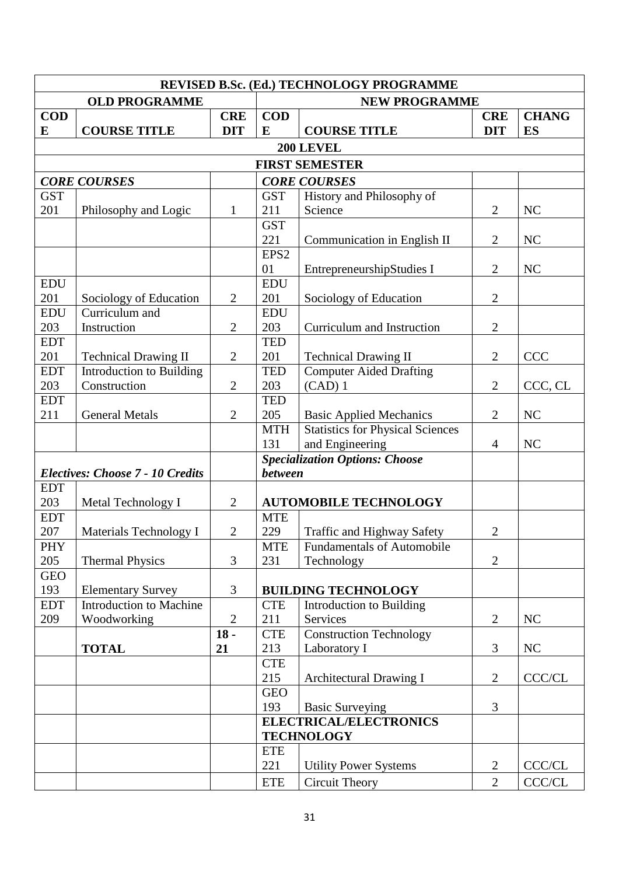| REVISED B.Sc. (Ed.) TECHNOLOGY PROGRAMME              |                                          |                |                                |                                                    |                |               |  |  |
|-------------------------------------------------------|------------------------------------------|----------------|--------------------------------|----------------------------------------------------|----------------|---------------|--|--|
|                                                       | <b>OLD PROGRAMME</b>                     |                |                                | <b>NEW PROGRAMME</b>                               |                |               |  |  |
| <b>COD</b>                                            |                                          | <b>CRE</b>     | <b>COD</b>                     |                                                    | <b>CRE</b>     | <b>CHANG</b>  |  |  |
| E                                                     | <b>COURSE TITLE</b>                      | <b>DIT</b>     | E                              | <b>COURSE TITLE</b>                                | <b>DIT</b>     | <b>ES</b>     |  |  |
|                                                       |                                          |                |                                | 200 LEVEL                                          |                |               |  |  |
|                                                       |                                          |                |                                | <b>FIRST SEMESTER</b>                              |                |               |  |  |
|                                                       | <b>CORE COURSES</b>                      |                |                                | <b>CORE COURSES</b>                                |                |               |  |  |
| <b>GST</b>                                            |                                          |                | <b>GST</b>                     | History and Philosophy of                          |                |               |  |  |
| 201                                                   | Philosophy and Logic                     | $\mathbf{1}$   | 211                            | Science                                            | $\overline{2}$ | NC            |  |  |
|                                                       |                                          |                | <b>GST</b>                     |                                                    |                |               |  |  |
|                                                       |                                          |                | 221                            | Communication in English II                        | $\overline{2}$ | <b>NC</b>     |  |  |
|                                                       |                                          |                | EPS <sub>2</sub>               |                                                    |                |               |  |  |
|                                                       |                                          |                | 01                             | EntrepreneurshipStudies I                          | $\overline{2}$ | NC            |  |  |
| <b>EDU</b>                                            |                                          |                | <b>EDU</b>                     |                                                    |                |               |  |  |
| 201<br><b>EDU</b>                                     | Sociology of Education<br>Curriculum and | $\overline{2}$ | 201<br><b>EDU</b>              | Sociology of Education                             | $\overline{2}$ |               |  |  |
| 203                                                   | Instruction                              | $\overline{2}$ | 203                            | Curriculum and Instruction                         | $\overline{2}$ |               |  |  |
| <b>EDT</b>                                            |                                          |                | <b>TED</b>                     |                                                    |                |               |  |  |
| 201                                                   | <b>Technical Drawing II</b>              | $\mathbf{2}$   | 201                            | <b>Technical Drawing II</b>                        | $\overline{2}$ | <b>CCC</b>    |  |  |
| <b>EDT</b>                                            | Introduction to Building                 |                | <b>TED</b>                     | <b>Computer Aided Drafting</b>                     |                |               |  |  |
| 203                                                   | Construction                             | $\overline{2}$ | 203                            | $(CAD)$ 1                                          |                | CCC, CL       |  |  |
| <b>EDT</b>                                            |                                          |                | <b>TED</b>                     |                                                    |                |               |  |  |
| 211                                                   | <b>General Metals</b>                    | $\overline{2}$ | 205                            | <b>Basic Applied Mechanics</b>                     | $\overline{2}$ | <b>NC</b>     |  |  |
|                                                       |                                          |                | <b>MTH</b>                     | <b>Statistics for Physical Sciences</b>            |                |               |  |  |
|                                                       |                                          |                | 131                            | and Engineering                                    | $\overline{4}$ | <b>NC</b>     |  |  |
|                                                       |                                          |                |                                | <b>Specialization Options: Choose</b>              |                |               |  |  |
|                                                       | <b>Electives: Choose 7 - 10 Credits</b>  |                | <b>between</b>                 |                                                    |                |               |  |  |
| <b>EDT</b>                                            |                                          |                |                                |                                                    |                |               |  |  |
| 203<br><b>EDT</b>                                     | Metal Technology I                       | $\overline{2}$ | <b>MTE</b>                     | <b>AUTOMOBILE TECHNOLOGY</b>                       |                |               |  |  |
| 207                                                   | Materials Technology I                   | $\overline{2}$ | 229                            | Traffic and Highway Safety                         | $\overline{2}$ |               |  |  |
| <b>PHY</b>                                            |                                          |                | <b>MTE</b>                     | <b>Fundamentals of Automobile</b>                  |                |               |  |  |
| 205                                                   | <b>Thermal Physics</b>                   | 3              | 231                            | Technology                                         | $\overline{2}$ |               |  |  |
| <b>GEO</b>                                            |                                          |                |                                |                                                    |                |               |  |  |
| 193                                                   | <b>Elementary Survey</b>                 | 3              |                                | <b>BUILDING TECHNOLOGY</b>                         |                |               |  |  |
| <b>EDT</b>                                            | <b>Introduction to Machine</b>           |                | <b>CTE</b>                     | Introduction to Building                           |                |               |  |  |
| 209                                                   | Woodworking                              | $\overline{2}$ | 211                            | Services                                           | $\overline{2}$ | NC            |  |  |
|                                                       |                                          | $18 -$         | <b>CTE</b>                     | <b>Construction Technology</b>                     |                |               |  |  |
|                                                       | <b>TOTAL</b>                             | 21             | 213                            | Laboratory I                                       | 3              | NC            |  |  |
|                                                       |                                          |                | <b>CTE</b>                     |                                                    |                |               |  |  |
|                                                       |                                          |                | 215<br>Architectural Drawing I |                                                    | $\overline{2}$ | <b>CCC/CL</b> |  |  |
|                                                       |                                          |                | <b>GEO</b>                     |                                                    |                |               |  |  |
|                                                       |                                          |                | 193                            | <b>Basic Surveying</b>                             | 3              |               |  |  |
|                                                       |                                          |                |                                | <b>ELECTRICAL/ELECTRONICS</b><br><b>TECHNOLOGY</b> |                |               |  |  |
|                                                       |                                          |                | <b>ETE</b>                     |                                                    |                |               |  |  |
|                                                       |                                          |                | 221                            | <b>Utility Power Systems</b>                       | 2              | <b>CCC/CL</b> |  |  |
| <b>Circuit Theory</b><br>$\overline{2}$<br><b>ETE</b> |                                          |                |                                |                                                    | CCC/CL         |               |  |  |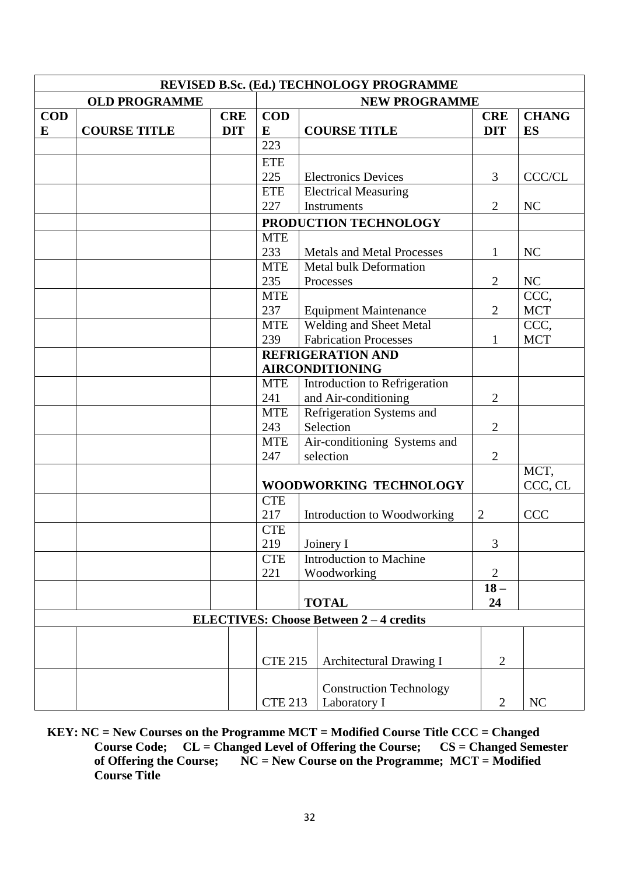|                                                              | REVISED B.Sc. (Ed.) TECHNOLOGY PROGRAMME |            |                |                                             |                                   |                |              |  |  |  |
|--------------------------------------------------------------|------------------------------------------|------------|----------------|---------------------------------------------|-----------------------------------|----------------|--------------|--|--|--|
|                                                              | <b>OLD PROGRAMME</b>                     |            |                |                                             | <b>NEW PROGRAMME</b>              |                |              |  |  |  |
| <b>COD</b>                                                   |                                          | <b>CRE</b> | <b>COD</b>     |                                             |                                   | <b>CRE</b>     | <b>CHANG</b> |  |  |  |
| E                                                            | <b>COURSE TITLE</b>                      | <b>DIT</b> | E              |                                             | <b>COURSE TITLE</b>               | <b>DIT</b>     | <b>ES</b>    |  |  |  |
|                                                              |                                          |            | 223            |                                             |                                   |                |              |  |  |  |
|                                                              |                                          |            | <b>ETE</b>     |                                             |                                   |                |              |  |  |  |
|                                                              |                                          |            | 225            |                                             | <b>Electronics Devices</b>        | 3              | CCC/CL       |  |  |  |
|                                                              |                                          |            | <b>ETE</b>     |                                             | <b>Electrical Measuring</b>       |                |              |  |  |  |
|                                                              |                                          |            | 227            |                                             | <b>Instruments</b>                | $\overline{2}$ | NC           |  |  |  |
|                                                              |                                          |            |                |                                             | PRODUCTION TECHNOLOGY             |                |              |  |  |  |
|                                                              |                                          |            | <b>MTE</b>     |                                             |                                   |                |              |  |  |  |
|                                                              |                                          |            | 233            |                                             | <b>Metals and Metal Processes</b> | 1              | NC           |  |  |  |
|                                                              |                                          |            | <b>MTE</b>     |                                             | Metal bulk Deformation            |                |              |  |  |  |
|                                                              |                                          |            | 235            |                                             | Processes                         | $\overline{2}$ | NC           |  |  |  |
|                                                              |                                          |            | <b>MTE</b>     |                                             |                                   |                | CCC,         |  |  |  |
|                                                              |                                          |            | 237            |                                             | <b>Equipment Maintenance</b>      | $\overline{2}$ | <b>MCT</b>   |  |  |  |
|                                                              |                                          |            | <b>MTE</b>     |                                             | Welding and Sheet Metal           |                | CCC,         |  |  |  |
|                                                              |                                          |            | 239            |                                             | <b>Fabrication Processes</b>      | 1              | <b>MCT</b>   |  |  |  |
|                                                              |                                          |            |                |                                             | <b>REFRIGERATION AND</b>          |                |              |  |  |  |
|                                                              |                                          |            |                |                                             | <b>AIRCONDITIONING</b>            |                |              |  |  |  |
|                                                              |                                          |            |                | Introduction to Refrigeration<br><b>MTE</b> |                                   |                |              |  |  |  |
|                                                              |                                          |            |                | 241<br>and Air-conditioning                 |                                   | $\overline{2}$ |              |  |  |  |
|                                                              |                                          |            | <b>MTE</b>     |                                             | Refrigeration Systems and         |                |              |  |  |  |
|                                                              |                                          |            | 243            |                                             | Selection                         | $\overline{2}$ |              |  |  |  |
|                                                              |                                          |            | <b>MTE</b>     |                                             | Air-conditioning Systems and      |                |              |  |  |  |
|                                                              |                                          |            | 247            |                                             | selection                         | $\overline{2}$ |              |  |  |  |
|                                                              |                                          |            |                |                                             |                                   |                | MCT,         |  |  |  |
|                                                              |                                          |            |                |                                             | WOODWORKING TECHNOLOGY            |                | CCC, CL      |  |  |  |
|                                                              |                                          |            | <b>CTE</b>     |                                             |                                   |                |              |  |  |  |
|                                                              |                                          |            | 217            |                                             | Introduction to Woodworking       | $\overline{2}$ | <b>CCC</b>   |  |  |  |
|                                                              |                                          |            | <b>CTE</b>     |                                             |                                   |                |              |  |  |  |
|                                                              |                                          |            | 219            |                                             | Joinery I                         | 3              |              |  |  |  |
|                                                              |                                          |            | <b>CTE</b>     |                                             | Introduction to Machine           |                |              |  |  |  |
|                                                              |                                          |            | 221            |                                             | Woodworking                       | $\overline{2}$ |              |  |  |  |
|                                                              |                                          |            |                |                                             |                                   | $18-$<br>24    |              |  |  |  |
| <b>TOTAL</b><br><b>ELECTIVES: Choose Between 2-4 credits</b> |                                          |            |                |                                             |                                   |                |              |  |  |  |
|                                                              |                                          |            |                |                                             |                                   |                |              |  |  |  |
|                                                              |                                          |            |                |                                             |                                   |                |              |  |  |  |
|                                                              |                                          |            | <b>CTE 215</b> |                                             | Architectural Drawing I           | $\overline{2}$ |              |  |  |  |
|                                                              |                                          |            |                |                                             |                                   |                |              |  |  |  |
|                                                              |                                          |            |                |                                             | <b>Construction Technology</b>    |                |              |  |  |  |
|                                                              |                                          |            | <b>CTE 213</b> |                                             | Laboratory I                      | $\overline{2}$ | NC           |  |  |  |

**KEY: NC = New Courses on the Programme MCT = Modified Course Title CCC = Changed Course Code; CL = Changed Level of Offering the Course; CS = Changed Semester Course Code; CL = Changed Level of Offering the Course;<br>of Offering the Course; NC = New Course on the Programm**  $\overrightarrow{NC}$  = New Course on the Programme;  $\overrightarrow{MCT}$  = Modified **Course Title**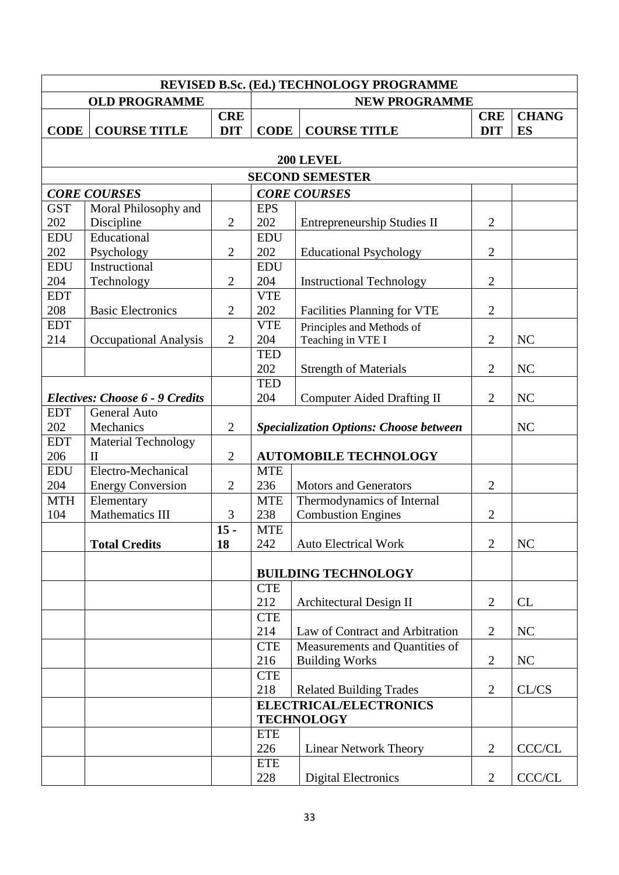|             | REVISED B.Sc. (Ed.) TECHNOLOGY PROGRAMME |                |                                       |                                               |                |               |  |  |
|-------------|------------------------------------------|----------------|---------------------------------------|-----------------------------------------------|----------------|---------------|--|--|
|             | <b>OLD PROGRAMME</b>                     |                |                                       | <b>NEW PROGRAMME</b>                          |                |               |  |  |
|             |                                          | <b>CRE</b>     |                                       |                                               | <b>CRE</b>     | <b>CHANG</b>  |  |  |
| <b>CODE</b> | <b>COURSE TITLE</b>                      | <b>DIT</b>     | <b>CODE</b>                           | <b>COURSE TITLE</b>                           | <b>DIT</b>     | ES            |  |  |
|             |                                          |                |                                       | 200 LEVEL                                     |                |               |  |  |
|             |                                          |                |                                       | <b>SECOND SEMESTER</b>                        |                |               |  |  |
|             | <b>CORE COURSES</b>                      |                |                                       | <b>CORE COURSES</b>                           |                |               |  |  |
| <b>GST</b>  | Moral Philosophy and                     |                | <b>EPS</b>                            |                                               |                |               |  |  |
| 202         | Discipline                               | $\overline{2}$ | 202                                   | <b>Entrepreneurship Studies II</b>            | $\overline{2}$ |               |  |  |
| <b>EDU</b>  | Educational                              |                | <b>EDU</b>                            |                                               |                |               |  |  |
| 202         | Psychology                               | $\overline{2}$ | 202                                   | <b>Educational Psychology</b>                 | $\overline{2}$ |               |  |  |
| <b>EDU</b>  | Instructional                            |                | <b>EDU</b>                            |                                               |                |               |  |  |
| 204         | Technology                               | $\mathbf{2}$   | 204                                   | <b>Instructional Technology</b>               |                |               |  |  |
| <b>EDT</b>  |                                          |                | <b>VTE</b>                            |                                               |                |               |  |  |
| 208         | <b>Basic Electronics</b>                 | $\overline{2}$ | 202                                   | Facilities Planning for VTE                   |                |               |  |  |
| <b>EDT</b>  |                                          |                | <b>VTE</b>                            | Principles and Methods of                     |                |               |  |  |
| 214         | <b>Occupational Analysis</b>             | $\overline{2}$ | 204                                   | Teaching in VTE I                             |                | NC            |  |  |
|             |                                          |                | <b>TED</b>                            |                                               |                |               |  |  |
|             |                                          |                | 202                                   | <b>Strength of Materials</b>                  | $\overline{2}$ | NC            |  |  |
|             |                                          |                | <b>TED</b>                            |                                               |                |               |  |  |
|             | <b>Electives: Choose 6 - 9 Credits</b>   |                | 204                                   | <b>Computer Aided Drafting II</b>             | $\overline{2}$ | NC            |  |  |
| <b>EDT</b>  | <b>General Auto</b>                      |                |                                       |                                               |                |               |  |  |
| 202         | Mechanics                                | $\overline{2}$ |                                       | <b>Specialization Options: Choose between</b> |                | NC            |  |  |
| <b>EDT</b>  | <b>Material Technology</b>               |                |                                       |                                               |                |               |  |  |
| 206         | $\mathbf{I}$                             | $\mathbf{2}$   |                                       | <b>AUTOMOBILE TECHNOLOGY</b>                  |                |               |  |  |
| <b>EDU</b>  | Electro-Mechanical                       |                | <b>MTE</b>                            |                                               |                |               |  |  |
| 204         | <b>Energy Conversion</b>                 | $\overline{2}$ | 236                                   | <b>Motors and Generators</b>                  | $\overline{2}$ |               |  |  |
| <b>MTH</b>  | Elementary                               |                | <b>MTE</b>                            | Thermodynamics of Internal                    |                |               |  |  |
| 104         | Mathematics III                          | 3              | 238                                   | <b>Combustion Engines</b>                     | $\overline{2}$ |               |  |  |
|             |                                          | $15 -$         | <b>MTE</b>                            |                                               |                |               |  |  |
|             | <b>Total Credits</b>                     | 18             | 242                                   | <b>Auto Electrical Work</b>                   | $\overline{2}$ | NC            |  |  |
|             |                                          |                |                                       | <b>BUILDING TECHNOLOGY</b>                    |                |               |  |  |
|             |                                          |                | <b>CTE</b>                            |                                               |                |               |  |  |
|             |                                          |                | 212                                   | Architectural Design II                       | $\overline{2}$ | CL            |  |  |
|             |                                          |                | <b>CTE</b>                            |                                               |                |               |  |  |
|             |                                          |                | 214                                   | Law of Contract and Arbitration               | 2              | NC            |  |  |
|             |                                          |                | <b>CTE</b>                            | Measurements and Quantities of                |                |               |  |  |
|             |                                          |                | 216                                   | <b>Building Works</b>                         | $\overline{2}$ | NC            |  |  |
|             |                                          |                | <b>CTE</b>                            |                                               |                |               |  |  |
|             |                                          |                | 218<br><b>Related Building Trades</b> |                                               | $\overline{2}$ | CL/CS         |  |  |
|             |                                          |                |                                       | <b>ELECTRICAL/ELECTRONICS</b>                 |                |               |  |  |
|             |                                          |                |                                       | <b>TECHNOLOGY</b>                             |                |               |  |  |
|             |                                          |                | <b>ETE</b>                            |                                               |                |               |  |  |
|             |                                          |                | 226                                   | <b>Linear Network Theory</b>                  | $\overline{2}$ | CCC/CL        |  |  |
|             |                                          |                | <b>ETE</b>                            |                                               |                |               |  |  |
|             |                                          |                | 228                                   | <b>Digital Electronics</b>                    | $\overline{2}$ | <b>CCC/CL</b> |  |  |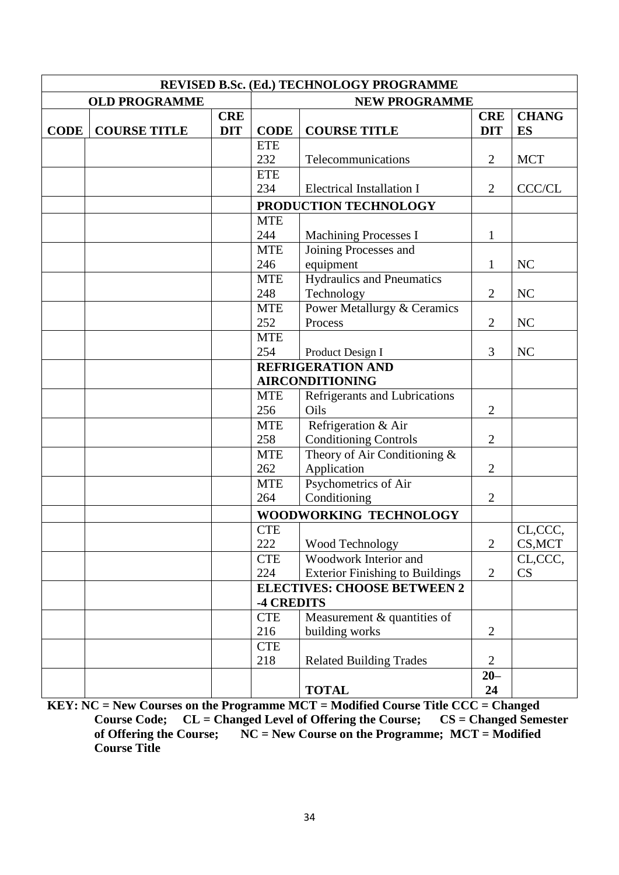|             |                      | REVISED B.Sc. (Ed.) TECHNOLOGY PROGRAMME |                                                                    |                                                    |                          |                    |  |  |  |  |  |
|-------------|----------------------|------------------------------------------|--------------------------------------------------------------------|----------------------------------------------------|--------------------------|--------------------|--|--|--|--|--|
|             | <b>OLD PROGRAMME</b> |                                          |                                                                    | <b>NEW PROGRAMME</b>                               |                          |                    |  |  |  |  |  |
| <b>CODE</b> | <b>COURSE TITLE</b>  | <b>CRE</b><br><b>DIT</b>                 | <b>CODE</b>                                                        | <b>COURSE TITLE</b>                                | <b>CRE</b><br><b>DIT</b> | <b>CHANG</b><br>ES |  |  |  |  |  |
|             |                      |                                          | <b>ETE</b>                                                         |                                                    |                          |                    |  |  |  |  |  |
|             |                      |                                          | 232                                                                | Telecommunications                                 | $\overline{2}$           | <b>MCT</b>         |  |  |  |  |  |
|             |                      |                                          | <b>ETE</b>                                                         |                                                    |                          |                    |  |  |  |  |  |
|             |                      |                                          | 234                                                                | <b>Electrical Installation I</b>                   | $\overline{2}$           | CCC/CL             |  |  |  |  |  |
|             |                      |                                          |                                                                    | PRODUCTION TECHNOLOGY                              |                          |                    |  |  |  |  |  |
|             |                      |                                          | <b>MTE</b>                                                         |                                                    |                          |                    |  |  |  |  |  |
|             |                      |                                          | 244                                                                | <b>Machining Processes I</b>                       | $\mathbf{1}$             |                    |  |  |  |  |  |
|             |                      |                                          | <b>MTE</b>                                                         | Joining Processes and                              |                          |                    |  |  |  |  |  |
|             |                      |                                          | 246                                                                | equipment                                          | $\mathbf{1}$             | NC                 |  |  |  |  |  |
|             |                      |                                          | <b>MTE</b>                                                         | <b>Hydraulics and Pneumatics</b>                   |                          |                    |  |  |  |  |  |
|             |                      |                                          | 248                                                                | Technology                                         | $\overline{2}$           | NC                 |  |  |  |  |  |
|             |                      |                                          | <b>MTE</b>                                                         | <b>Power Metallurgy &amp; Ceramics</b>             | $\overline{2}$           |                    |  |  |  |  |  |
|             |                      |                                          | 252                                                                | Process                                            |                          | NC                 |  |  |  |  |  |
|             |                      |                                          | <b>MTE</b>                                                         |                                                    |                          |                    |  |  |  |  |  |
|             |                      |                                          | 254                                                                | Product Design I                                   | 3                        | NC                 |  |  |  |  |  |
|             |                      |                                          |                                                                    | <b>REFRIGERATION AND</b><br><b>AIRCONDITIONING</b> |                          |                    |  |  |  |  |  |
|             |                      |                                          | <b>MTE</b>                                                         | Refrigerants and Lubrications                      |                          |                    |  |  |  |  |  |
|             |                      |                                          | 256                                                                | Oils                                               | $\overline{2}$           |                    |  |  |  |  |  |
|             |                      |                                          | <b>MTE</b>                                                         | Refrigeration & Air                                |                          |                    |  |  |  |  |  |
|             |                      |                                          | 258                                                                | <b>Conditioning Controls</b>                       | $\overline{2}$           |                    |  |  |  |  |  |
|             |                      |                                          | <b>MTE</b>                                                         | Theory of Air Conditioning &                       |                          |                    |  |  |  |  |  |
|             |                      |                                          | 262                                                                | Application                                        | $\overline{2}$           |                    |  |  |  |  |  |
|             |                      |                                          | <b>MTE</b>                                                         | Psychometrics of Air                               |                          |                    |  |  |  |  |  |
|             |                      |                                          | 264                                                                | Conditioning                                       | $\overline{2}$           |                    |  |  |  |  |  |
|             |                      |                                          |                                                                    | WOODWORKING TECHNOLOGY                             |                          |                    |  |  |  |  |  |
|             |                      |                                          | <b>CTE</b>                                                         |                                                    |                          | CL,CCC,            |  |  |  |  |  |
|             |                      |                                          | 222                                                                | Wood Technology                                    | 2                        | CS, MCT            |  |  |  |  |  |
|             |                      |                                          | <b>CTE</b>                                                         | Woodwork Interior and                              |                          | CL,CCC,            |  |  |  |  |  |
|             |                      |                                          | 224                                                                | <b>Exterior Finishing to Buildings</b>             | $\overline{2}$           | CS                 |  |  |  |  |  |
|             |                      |                                          |                                                                    | <b>ELECTIVES: CHOOSE BETWEEN 2</b>                 |                          |                    |  |  |  |  |  |
|             |                      |                                          | <b>-4 CREDITS</b>                                                  |                                                    |                          |                    |  |  |  |  |  |
|             |                      |                                          | Measurement & quantities of<br><b>CTE</b><br>216<br>building works |                                                    | $\overline{2}$           |                    |  |  |  |  |  |
|             |                      |                                          | <b>CTE</b>                                                         |                                                    |                          |                    |  |  |  |  |  |
|             |                      |                                          | 218                                                                | <b>Related Building Trades</b>                     | $\overline{2}$           |                    |  |  |  |  |  |
|             |                      |                                          |                                                                    |                                                    | $20 -$                   |                    |  |  |  |  |  |
|             |                      |                                          |                                                                    | <b>TOTAL</b>                                       | 24                       |                    |  |  |  |  |  |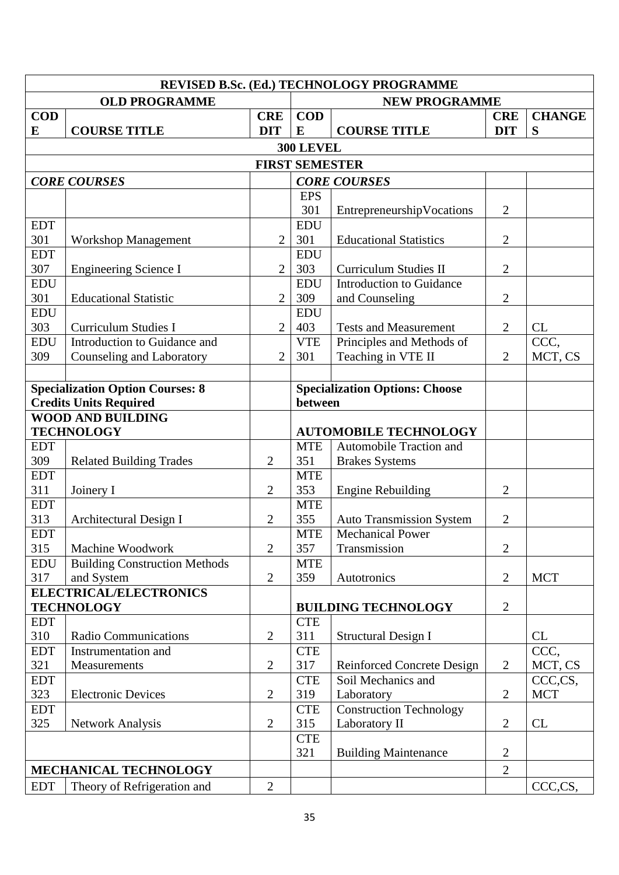|                               |                                                             |                          |                        | REVISED B.Sc. (Ed.) TECHNOLOGY PROGRAMME                  |                          |                    |
|-------------------------------|-------------------------------------------------------------|--------------------------|------------------------|-----------------------------------------------------------|--------------------------|--------------------|
|                               | <b>OLD PROGRAMME</b>                                        |                          |                        | <b>NEW PROGRAMME</b>                                      |                          |                    |
| <b>COD</b><br>$\bf{E}$        | <b>COURSE TITLE</b>                                         | <b>CRE</b><br><b>DIT</b> | <b>COD</b><br>$\bf{E}$ | <b>COURSE TITLE</b>                                       | <b>CRE</b><br><b>DIT</b> | <b>CHANGE</b><br>S |
|                               |                                                             |                          | <b>300 LEVEL</b>       |                                                           |                          |                    |
|                               |                                                             |                          | <b>FIRST SEMESTER</b>  |                                                           |                          |                    |
|                               | <b>CORE COURSES</b>                                         |                          |                        | <b>CORE COURSES</b>                                       |                          |                    |
|                               |                                                             |                          | <b>EPS</b>             |                                                           |                          |                    |
|                               |                                                             |                          | 301                    | EntrepreneurshipVocations                                 | $\overline{2}$           |                    |
| <b>EDT</b>                    |                                                             |                          | <b>EDU</b>             |                                                           |                          |                    |
| 301                           | <b>Workshop Management</b>                                  | $\overline{2}$           | 301                    | <b>Educational Statistics</b>                             | $\overline{2}$           |                    |
| <b>EDT</b>                    |                                                             |                          | <b>EDU</b>             |                                                           |                          |                    |
| 307                           | <b>Engineering Science I</b>                                | $\overline{2}$           | 303                    | <b>Curriculum Studies II</b>                              | $\overline{2}$           |                    |
| EDU                           |                                                             |                          | <b>EDU</b>             | <b>Introduction to Guidance</b>                           |                          |                    |
| 301                           | <b>Educational Statistic</b>                                | $\overline{2}$           | 309                    | and Counseling                                            | $\overline{2}$           |                    |
| <b>EDU</b><br>303             |                                                             | $\overline{2}$           | <b>EDU</b>             |                                                           |                          |                    |
| <b>EDU</b>                    | <b>Curriculum Studies I</b><br>Introduction to Guidance and |                          | 403<br><b>VTE</b>      | <b>Tests and Measurement</b><br>Principles and Methods of | $\overline{2}$           | CL<br>CCC,         |
| 309                           | Counseling and Laboratory                                   | $\overline{2}$           | 301                    | Teaching in VTE II                                        | $\overline{2}$           | MCT, CS            |
|                               |                                                             |                          |                        |                                                           |                          |                    |
|                               | <b>Specialization Option Courses: 8</b>                     |                          |                        | <b>Specialization Options: Choose</b>                     |                          |                    |
| <b>Credits Units Required</b> |                                                             |                          | between                |                                                           |                          |                    |
|                               | <b>WOOD AND BUILDING</b>                                    |                          |                        |                                                           |                          |                    |
| <b>TECHNOLOGY</b>             |                                                             |                          |                        | <b>AUTOMOBILE TECHNOLOGY</b>                              |                          |                    |
| <b>EDT</b>                    |                                                             |                          | <b>MTE</b>             | Automobile Traction and                                   |                          |                    |
| 309                           | <b>Related Building Trades</b>                              | $\overline{2}$           | 351                    | <b>Brakes Systems</b>                                     |                          |                    |
| <b>EDT</b>                    |                                                             |                          | <b>MTE</b>             |                                                           |                          |                    |
| 311                           | Joinery I                                                   | $\overline{2}$           | 353                    | <b>Engine Rebuilding</b>                                  | $\overline{2}$           |                    |
| <b>EDT</b>                    |                                                             |                          | <b>MTE</b>             |                                                           |                          |                    |
| 313                           | Architectural Design I                                      | $\mathbf{2}$             | 355                    | <b>Auto Transmission System</b>                           | $\overline{2}$           |                    |
| <b>EDT</b>                    |                                                             |                          | <b>MTE</b>             | <b>Mechanical Power</b>                                   |                          |                    |
| 315                           | Machine Woodwork                                            | $\overline{2}$           | 357                    | Transmission                                              | $\overline{2}$           |                    |
| <b>EDU</b>                    | <b>Building Construction Methods</b>                        |                          | <b>MTE</b>             |                                                           |                          |                    |
| 317                           | and System<br>ELECTRICAL/ELECTRONICS                        | $\overline{2}$           | 359                    | Autotronics                                               | $\overline{2}$           | <b>MCT</b>         |
|                               | <b>TECHNOLOGY</b>                                           |                          |                        | <b>BUILDING TECHNOLOGY</b>                                | $\mathbf{2}$             |                    |
| <b>EDT</b>                    |                                                             |                          | <b>CTE</b>             |                                                           |                          |                    |
| 310                           | Radio Communications                                        | $\overline{2}$           | 311                    | <b>Structural Design I</b>                                |                          | CL                 |
| <b>EDT</b>                    | Instrumentation and                                         |                          | <b>CTE</b>             |                                                           |                          | CCC,               |
| 321                           | Measurements                                                | $\mathbf{2}$             | 317                    | <b>Reinforced Concrete Design</b>                         | $\overline{2}$           | MCT, CS            |
| <b>EDT</b>                    |                                                             |                          | <b>CTE</b>             | Soil Mechanics and                                        |                          | CCC,CS,            |
| 323                           | <b>Electronic Devices</b>                                   | $\mathbf{2}$             | 319                    | Laboratory                                                | $\overline{2}$           | <b>MCT</b>         |
| <b>EDT</b>                    |                                                             |                          | <b>CTE</b>             | <b>Construction Technology</b>                            |                          |                    |
| 325                           | <b>Network Analysis</b>                                     | $\mathbf{2}$             | 315                    | Laboratory II                                             | $\overline{2}$           | CL                 |
|                               |                                                             |                          | <b>CTE</b>             |                                                           |                          |                    |
|                               |                                                             |                          | 321                    | <b>Building Maintenance</b>                               | $\mathbf{2}$             |                    |
|                               | MECHANICAL TECHNOLOGY                                       |                          |                        |                                                           | $\overline{2}$           |                    |
| <b>EDT</b>                    | Theory of Refrigeration and                                 | $\mathbf{2}$             |                        |                                                           |                          | CCC,CS,            |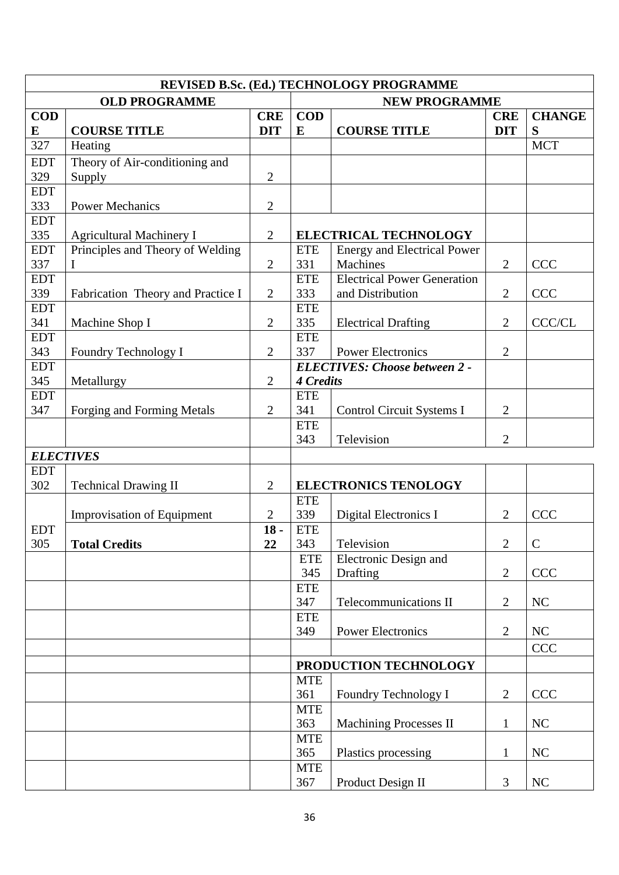| <b>OLD PROGRAMME</b><br><b>NEW PROGRAMME</b><br><b>COD</b><br><b>CRE</b><br><b>COD</b><br><b>CRE</b><br><b>DIT</b><br><b>COURSE TITLE</b><br>S<br>E<br><b>COURSE TITLE</b><br>E<br><b>DIT</b><br><b>MCT</b><br>327<br>Heating<br>Theory of Air-conditioning and<br><b>EDT</b><br>329<br>$\mathfrak{2}$<br>Supply<br><b>EDT</b><br>333<br>$\mathbf{2}$<br><b>Power Mechanics</b><br><b>EDT</b><br>335<br>$\mathfrak{2}$<br><b>Agricultural Machinery I</b><br><b>ELECTRICAL TECHNOLOGY</b><br><b>EDT</b><br>Principles and Theory of Welding<br><b>Energy and Electrical Power</b><br><b>ETE</b><br>Machines<br>337<br>$\mathbf{2}$<br>331<br>$\overline{2}$<br><b>CCC</b><br>Ι<br><b>Electrical Power Generation</b><br><b>EDT</b><br><b>ETE</b><br>339<br>333<br>$\overline{2}$<br>$\mathfrak{2}$<br>and Distribution<br><b>CCC</b><br>Fabrication Theory and Practice I<br><b>EDT</b><br><b>ETE</b><br>341<br>$\overline{2}$<br>335<br>$\overline{2}$<br><b>CCC/CL</b><br>Machine Shop I<br><b>Electrical Drafting</b><br><b>EDT</b><br><b>ETE</b><br>343<br>$\mathfrak{2}$<br>337<br><b>Power Electronics</b><br>$\overline{2}$<br>Foundry Technology I<br><b>EDT</b> | REVISED B.Sc. (Ed.) TECHNOLOGY PROGRAMME |  |  |  |                                      |  |               |  |
|--------------------------------------------------------------------------------------------------------------------------------------------------------------------------------------------------------------------------------------------------------------------------------------------------------------------------------------------------------------------------------------------------------------------------------------------------------------------------------------------------------------------------------------------------------------------------------------------------------------------------------------------------------------------------------------------------------------------------------------------------------------------------------------------------------------------------------------------------------------------------------------------------------------------------------------------------------------------------------------------------------------------------------------------------------------------------------------------------------------------------------------------------------------------------|------------------------------------------|--|--|--|--------------------------------------|--|---------------|--|
|                                                                                                                                                                                                                                                                                                                                                                                                                                                                                                                                                                                                                                                                                                                                                                                                                                                                                                                                                                                                                                                                                                                                                                          |                                          |  |  |  |                                      |  |               |  |
|                                                                                                                                                                                                                                                                                                                                                                                                                                                                                                                                                                                                                                                                                                                                                                                                                                                                                                                                                                                                                                                                                                                                                                          |                                          |  |  |  |                                      |  | <b>CHANGE</b> |  |
|                                                                                                                                                                                                                                                                                                                                                                                                                                                                                                                                                                                                                                                                                                                                                                                                                                                                                                                                                                                                                                                                                                                                                                          |                                          |  |  |  |                                      |  |               |  |
|                                                                                                                                                                                                                                                                                                                                                                                                                                                                                                                                                                                                                                                                                                                                                                                                                                                                                                                                                                                                                                                                                                                                                                          |                                          |  |  |  |                                      |  |               |  |
|                                                                                                                                                                                                                                                                                                                                                                                                                                                                                                                                                                                                                                                                                                                                                                                                                                                                                                                                                                                                                                                                                                                                                                          |                                          |  |  |  |                                      |  |               |  |
|                                                                                                                                                                                                                                                                                                                                                                                                                                                                                                                                                                                                                                                                                                                                                                                                                                                                                                                                                                                                                                                                                                                                                                          |                                          |  |  |  |                                      |  |               |  |
|                                                                                                                                                                                                                                                                                                                                                                                                                                                                                                                                                                                                                                                                                                                                                                                                                                                                                                                                                                                                                                                                                                                                                                          |                                          |  |  |  |                                      |  |               |  |
|                                                                                                                                                                                                                                                                                                                                                                                                                                                                                                                                                                                                                                                                                                                                                                                                                                                                                                                                                                                                                                                                                                                                                                          |                                          |  |  |  |                                      |  |               |  |
|                                                                                                                                                                                                                                                                                                                                                                                                                                                                                                                                                                                                                                                                                                                                                                                                                                                                                                                                                                                                                                                                                                                                                                          |                                          |  |  |  |                                      |  |               |  |
|                                                                                                                                                                                                                                                                                                                                                                                                                                                                                                                                                                                                                                                                                                                                                                                                                                                                                                                                                                                                                                                                                                                                                                          |                                          |  |  |  |                                      |  |               |  |
|                                                                                                                                                                                                                                                                                                                                                                                                                                                                                                                                                                                                                                                                                                                                                                                                                                                                                                                                                                                                                                                                                                                                                                          |                                          |  |  |  |                                      |  |               |  |
|                                                                                                                                                                                                                                                                                                                                                                                                                                                                                                                                                                                                                                                                                                                                                                                                                                                                                                                                                                                                                                                                                                                                                                          |                                          |  |  |  |                                      |  |               |  |
|                                                                                                                                                                                                                                                                                                                                                                                                                                                                                                                                                                                                                                                                                                                                                                                                                                                                                                                                                                                                                                                                                                                                                                          |                                          |  |  |  |                                      |  |               |  |
|                                                                                                                                                                                                                                                                                                                                                                                                                                                                                                                                                                                                                                                                                                                                                                                                                                                                                                                                                                                                                                                                                                                                                                          |                                          |  |  |  |                                      |  |               |  |
|                                                                                                                                                                                                                                                                                                                                                                                                                                                                                                                                                                                                                                                                                                                                                                                                                                                                                                                                                                                                                                                                                                                                                                          |                                          |  |  |  |                                      |  |               |  |
|                                                                                                                                                                                                                                                                                                                                                                                                                                                                                                                                                                                                                                                                                                                                                                                                                                                                                                                                                                                                                                                                                                                                                                          |                                          |  |  |  |                                      |  |               |  |
|                                                                                                                                                                                                                                                                                                                                                                                                                                                                                                                                                                                                                                                                                                                                                                                                                                                                                                                                                                                                                                                                                                                                                                          |                                          |  |  |  | <b>ELECTIVES: Choose between 2 -</b> |  |               |  |
| $\overline{2}$<br>345<br>Metallurgy                                                                                                                                                                                                                                                                                                                                                                                                                                                                                                                                                                                                                                                                                                                                                                                                                                                                                                                                                                                                                                                                                                                                      |                                          |  |  |  | <b>4 Credits</b>                     |  |               |  |
| <b>EDT</b><br><b>ETE</b>                                                                                                                                                                                                                                                                                                                                                                                                                                                                                                                                                                                                                                                                                                                                                                                                                                                                                                                                                                                                                                                                                                                                                 |                                          |  |  |  |                                      |  |               |  |
| 347<br>$\overline{2}$<br>341<br>Forging and Forming Metals<br>Control Circuit Systems I<br>$\overline{2}$                                                                                                                                                                                                                                                                                                                                                                                                                                                                                                                                                                                                                                                                                                                                                                                                                                                                                                                                                                                                                                                                |                                          |  |  |  |                                      |  |               |  |
| <b>ETE</b>                                                                                                                                                                                                                                                                                                                                                                                                                                                                                                                                                                                                                                                                                                                                                                                                                                                                                                                                                                                                                                                                                                                                                               |                                          |  |  |  |                                      |  |               |  |
| 343<br>Television<br>$\overline{2}$                                                                                                                                                                                                                                                                                                                                                                                                                                                                                                                                                                                                                                                                                                                                                                                                                                                                                                                                                                                                                                                                                                                                      |                                          |  |  |  |                                      |  |               |  |
| <b>ELECTIVES</b>                                                                                                                                                                                                                                                                                                                                                                                                                                                                                                                                                                                                                                                                                                                                                                                                                                                                                                                                                                                                                                                                                                                                                         |                                          |  |  |  |                                      |  |               |  |
| <b>EDT</b>                                                                                                                                                                                                                                                                                                                                                                                                                                                                                                                                                                                                                                                                                                                                                                                                                                                                                                                                                                                                                                                                                                                                                               |                                          |  |  |  |                                      |  |               |  |
| 302<br>$\overline{2}$<br><b>ELECTRONICS TENOLOGY</b><br><b>Technical Drawing II</b>                                                                                                                                                                                                                                                                                                                                                                                                                                                                                                                                                                                                                                                                                                                                                                                                                                                                                                                                                                                                                                                                                      |                                          |  |  |  |                                      |  |               |  |
| <b>ETE</b>                                                                                                                                                                                                                                                                                                                                                                                                                                                                                                                                                                                                                                                                                                                                                                                                                                                                                                                                                                                                                                                                                                                                                               |                                          |  |  |  |                                      |  |               |  |
| <b>Improvisation of Equipment</b><br>$\overline{2}$<br>339<br>Digital Electronics I<br>$\overline{2}$<br><b>CCC</b>                                                                                                                                                                                                                                                                                                                                                                                                                                                                                                                                                                                                                                                                                                                                                                                                                                                                                                                                                                                                                                                      |                                          |  |  |  |                                      |  |               |  |
| <b>ETE</b><br>$18 -$<br><b>EDT</b>                                                                                                                                                                                                                                                                                                                                                                                                                                                                                                                                                                                                                                                                                                                                                                                                                                                                                                                                                                                                                                                                                                                                       |                                          |  |  |  |                                      |  |               |  |
| 305<br>Television<br>343<br>$\overline{2}$<br>$\mathbf C$<br><b>Total Credits</b><br>22                                                                                                                                                                                                                                                                                                                                                                                                                                                                                                                                                                                                                                                                                                                                                                                                                                                                                                                                                                                                                                                                                  |                                          |  |  |  |                                      |  |               |  |
| Electronic Design and<br><b>ETE</b>                                                                                                                                                                                                                                                                                                                                                                                                                                                                                                                                                                                                                                                                                                                                                                                                                                                                                                                                                                                                                                                                                                                                      |                                          |  |  |  |                                      |  |               |  |
| 345<br>$\overline{2}$<br><b>CCC</b><br>Drafting                                                                                                                                                                                                                                                                                                                                                                                                                                                                                                                                                                                                                                                                                                                                                                                                                                                                                                                                                                                                                                                                                                                          |                                          |  |  |  |                                      |  |               |  |
| <b>ETE</b>                                                                                                                                                                                                                                                                                                                                                                                                                                                                                                                                                                                                                                                                                                                                                                                                                                                                                                                                                                                                                                                                                                                                                               |                                          |  |  |  |                                      |  |               |  |
| 347<br>Telecommunications II<br>$\overline{2}$<br>NC<br><b>ETE</b>                                                                                                                                                                                                                                                                                                                                                                                                                                                                                                                                                                                                                                                                                                                                                                                                                                                                                                                                                                                                                                                                                                       |                                          |  |  |  |                                      |  |               |  |
| <b>Power Electronics</b><br>$\overline{2}$<br>NC<br>349                                                                                                                                                                                                                                                                                                                                                                                                                                                                                                                                                                                                                                                                                                                                                                                                                                                                                                                                                                                                                                                                                                                  |                                          |  |  |  |                                      |  |               |  |
| CCC                                                                                                                                                                                                                                                                                                                                                                                                                                                                                                                                                                                                                                                                                                                                                                                                                                                                                                                                                                                                                                                                                                                                                                      |                                          |  |  |  |                                      |  |               |  |
|                                                                                                                                                                                                                                                                                                                                                                                                                                                                                                                                                                                                                                                                                                                                                                                                                                                                                                                                                                                                                                                                                                                                                                          |                                          |  |  |  |                                      |  |               |  |
|                                                                                                                                                                                                                                                                                                                                                                                                                                                                                                                                                                                                                                                                                                                                                                                                                                                                                                                                                                                                                                                                                                                                                                          |                                          |  |  |  | PRODUCTION TECHNOLOGY                |  |               |  |
| <b>MTE</b><br><b>CCC</b><br>Foundry Technology I<br>361<br>$\overline{2}$                                                                                                                                                                                                                                                                                                                                                                                                                                                                                                                                                                                                                                                                                                                                                                                                                                                                                                                                                                                                                                                                                                |                                          |  |  |  |                                      |  |               |  |
| <b>MTE</b>                                                                                                                                                                                                                                                                                                                                                                                                                                                                                                                                                                                                                                                                                                                                                                                                                                                                                                                                                                                                                                                                                                                                                               |                                          |  |  |  |                                      |  |               |  |
| 363<br>NC<br><b>Machining Processes II</b><br>$\mathbf{1}$                                                                                                                                                                                                                                                                                                                                                                                                                                                                                                                                                                                                                                                                                                                                                                                                                                                                                                                                                                                                                                                                                                               |                                          |  |  |  |                                      |  |               |  |
| <b>MTE</b>                                                                                                                                                                                                                                                                                                                                                                                                                                                                                                                                                                                                                                                                                                                                                                                                                                                                                                                                                                                                                                                                                                                                                               |                                          |  |  |  |                                      |  |               |  |
| 365<br>Plastics processing<br>NC<br>$\mathbf{1}$                                                                                                                                                                                                                                                                                                                                                                                                                                                                                                                                                                                                                                                                                                                                                                                                                                                                                                                                                                                                                                                                                                                         |                                          |  |  |  |                                      |  |               |  |
| <b>MTE</b>                                                                                                                                                                                                                                                                                                                                                                                                                                                                                                                                                                                                                                                                                                                                                                                                                                                                                                                                                                                                                                                                                                                                                               |                                          |  |  |  |                                      |  |               |  |
| Product Design II<br>367<br>$\mathfrak{Z}$<br>NC                                                                                                                                                                                                                                                                                                                                                                                                                                                                                                                                                                                                                                                                                                                                                                                                                                                                                                                                                                                                                                                                                                                         |                                          |  |  |  |                                      |  |               |  |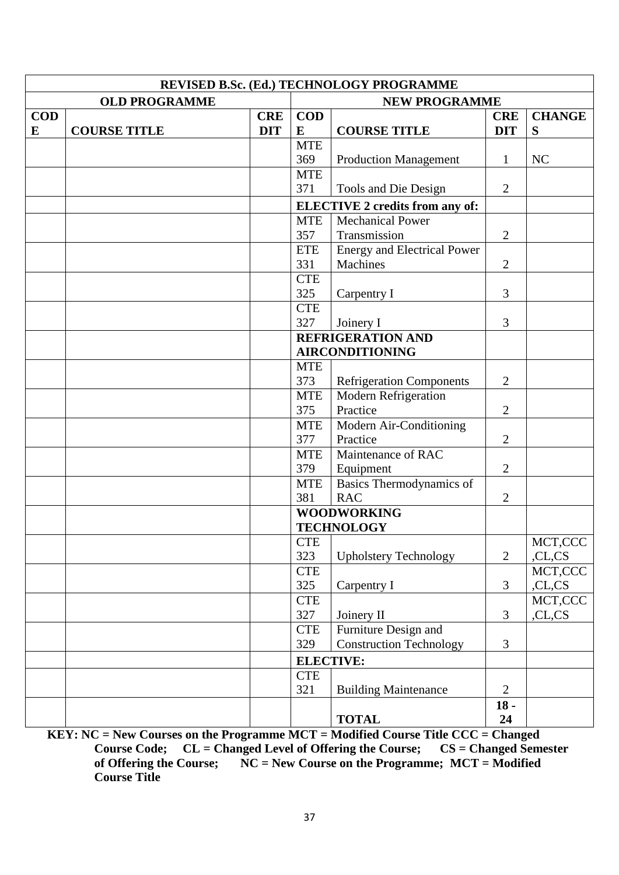|            |                      |            |                   | REVISED B.Sc. (Ed.) TECHNOLOGY PROGRAMME |                |                   |
|------------|----------------------|------------|-------------------|------------------------------------------|----------------|-------------------|
|            | <b>OLD PROGRAMME</b> |            |                   | <b>NEW PROGRAMME</b>                     |                |                   |
| <b>COD</b> |                      | <b>CRE</b> | <b>COD</b>        |                                          | <b>CRE</b>     | <b>CHANGE</b>     |
| E          | <b>COURSE TITLE</b>  | <b>DIT</b> | E                 | <b>COURSE TITLE</b>                      | <b>DIT</b>     | S                 |
|            |                      |            | <b>MTE</b>        |                                          |                |                   |
|            |                      |            | 369               | <b>Production Management</b>             | $\mathbf{1}$   | NC                |
|            |                      |            | <b>MTE</b>        |                                          |                |                   |
|            |                      |            | 371               | Tools and Die Design                     | $\overline{2}$ |                   |
|            |                      |            |                   | <b>ELECTIVE 2 credits from any of:</b>   |                |                   |
|            |                      |            | <b>MTE</b>        | <b>Mechanical Power</b>                  |                |                   |
|            |                      |            | 357               | Transmission                             | $\overline{2}$ |                   |
|            |                      |            | <b>ETE</b>        | Energy and Electrical Power              |                |                   |
|            |                      |            | 331<br><b>CTE</b> | Machines                                 | $\overline{2}$ |                   |
|            |                      |            | 325               | Carpentry I                              | 3              |                   |
|            |                      |            | <b>CTE</b>        |                                          |                |                   |
|            |                      |            | 327               | Joinery I                                | $\overline{3}$ |                   |
|            |                      |            |                   | <b>REFRIGERATION AND</b>                 |                |                   |
|            |                      |            |                   | <b>AIRCONDITIONING</b>                   |                |                   |
|            |                      |            | <b>MTE</b>        |                                          |                |                   |
|            |                      |            | 373               | <b>Refrigeration Components</b>          | $\overline{2}$ |                   |
|            |                      |            | <b>MTE</b>        | <b>Modern Refrigeration</b>              |                |                   |
|            |                      |            | 375               | Practice                                 | $\overline{2}$ |                   |
|            |                      |            | <b>MTE</b>        | Modern Air-Conditioning                  |                |                   |
|            |                      |            | 377               | Practice                                 | $\overline{2}$ |                   |
|            |                      |            | <b>MTE</b>        | Maintenance of RAC                       |                |                   |
|            |                      |            | 379               | Equipment                                | $\overline{2}$ |                   |
|            |                      |            | <b>MTE</b>        | Basics Thermodynamics of                 |                |                   |
|            |                      |            | 381               | <b>RAC</b>                               | $\overline{2}$ |                   |
|            |                      |            |                   | <b>WOODWORKING</b>                       |                |                   |
|            |                      |            |                   | <b>TECHNOLOGY</b>                        |                |                   |
|            |                      |            | <b>CTE</b><br>323 | <b>Upholstery Technology</b>             | $\overline{2}$ | MCT,CCC<br>,CL,CS |
|            |                      |            | <b>CTE</b>        |                                          |                | MCT,CCC           |
|            |                      |            | 325               | Carpentry I                              | 3              | ,CL,CS            |
|            |                      |            | <b>CTE</b>        |                                          |                | MCT,CCC           |
|            |                      |            | 327               | Joinery II                               | $\overline{3}$ | ,CL,CS            |
|            |                      |            | <b>CTE</b>        | Furniture Design and                     |                |                   |
|            |                      |            | 329               | <b>Construction Technology</b>           | 3              |                   |
|            |                      |            |                   | <b>ELECTIVE:</b>                         |                |                   |
|            |                      |            | <b>CTE</b>        |                                          |                |                   |
|            |                      |            | 321               | <b>Building Maintenance</b>              | $\overline{2}$ |                   |
|            |                      |            |                   |                                          | $18 -$         |                   |
|            |                      |            |                   | <b>TOTAL</b>                             | 24             |                   |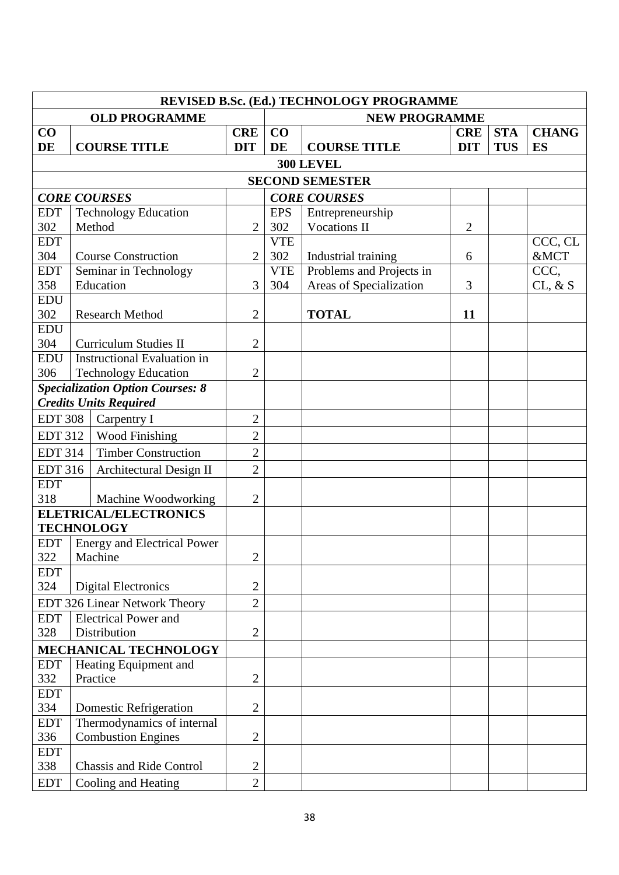|                                              | REVISED B.Sc. (Ed.) TECHNOLOGY PROGRAMME |                                               |                |                     |                          |                |            |              |  |
|----------------------------------------------|------------------------------------------|-----------------------------------------------|----------------|---------------------|--------------------------|----------------|------------|--------------|--|
|                                              |                                          | <b>OLD PROGRAMME</b>                          |                |                     | <b>NEW PROGRAMME</b>     |                |            |              |  |
| $\bf CO$                                     |                                          |                                               | <b>CRE</b>     | CO                  |                          | <b>CRE</b>     | <b>STA</b> | <b>CHANG</b> |  |
| DE                                           |                                          | <b>COURSE TITLE</b>                           | <b>DIT</b>     | <b>DE</b>           | <b>COURSE TITLE</b>      | <b>DIT</b>     | <b>TUS</b> | <b>ES</b>    |  |
|                                              |                                          |                                               |                |                     | <b>300 LEVEL</b>         |                |            |              |  |
|                                              |                                          |                                               |                |                     | <b>SECOND SEMESTER</b>   |                |            |              |  |
|                                              |                                          | <b>CORE COURSES</b>                           |                |                     | <b>CORE COURSES</b>      |                |            |              |  |
| <b>EDT</b>                                   |                                          | <b>Technology Education</b>                   |                | <b>EPS</b>          | Entrepreneurship         |                |            |              |  |
| 302                                          |                                          | Method                                        | $\overline{2}$ | 302<br>Vocations II |                          | $\overline{2}$ |            |              |  |
| <b>EDT</b>                                   |                                          |                                               |                | <b>VTE</b>          |                          |                |            | CCC, CL      |  |
| 304                                          |                                          | <b>Course Construction</b>                    | $\overline{2}$ | 302                 | Industrial training      | 6              |            | &MCT         |  |
| <b>EDT</b>                                   |                                          | Seminar in Technology                         |                | <b>VTE</b>          | Problems and Projects in |                |            | CCC,         |  |
| 358<br><b>EDU</b>                            |                                          | Education                                     | 3              | 304                 | Areas of Specialization  | 3              |            | CL, & S      |  |
| 302                                          |                                          | <b>Research Method</b>                        | $\mathfrak{2}$ |                     | <b>TOTAL</b>             | 11             |            |              |  |
| <b>EDU</b>                                   |                                          |                                               |                |                     |                          |                |            |              |  |
| 304                                          |                                          | <b>Curriculum Studies II</b>                  | $\mathfrak{2}$ |                     |                          |                |            |              |  |
| <b>EDU</b>                                   |                                          | <b>Instructional Evaluation in</b>            |                |                     |                          |                |            |              |  |
| 306                                          |                                          | <b>Technology Education</b>                   | $\overline{c}$ |                     |                          |                |            |              |  |
|                                              |                                          | <b>Specialization Option Courses: 8</b>       |                |                     |                          |                |            |              |  |
|                                              |                                          | <b>Credits Units Required</b>                 |                |                     |                          |                |            |              |  |
| <b>EDT 308</b>                               |                                          | Carpentry I                                   | $\overline{2}$ |                     |                          |                |            |              |  |
| <b>EDT 312</b>                               |                                          | <b>Wood Finishing</b>                         | $\overline{c}$ |                     |                          |                |            |              |  |
| <b>EDT 314</b><br><b>Timber Construction</b> |                                          | $\mathbf{2}$                                  |                |                     |                          |                |            |              |  |
| <b>EDT 316</b>                               |                                          | Architectural Design II                       | $\overline{2}$ |                     |                          |                |            |              |  |
| <b>EDT</b>                                   |                                          |                                               |                |                     |                          |                |            |              |  |
| 318                                          |                                          | Machine Woodworking                           | $\mathfrak{2}$ |                     |                          |                |            |              |  |
|                                              |                                          | <b>ELETRICAL/ELECTRONICS</b>                  |                |                     |                          |                |            |              |  |
|                                              |                                          | <b>TECHNOLOGY</b>                             |                |                     |                          |                |            |              |  |
| <b>EDT</b><br>322                            |                                          | <b>Energy and Electrical Power</b><br>Machine | $\mathbf{2}$   |                     |                          |                |            |              |  |
| <b>EDT</b>                                   |                                          |                                               |                |                     |                          |                |            |              |  |
| 324                                          |                                          | <b>Digital Electronics</b>                    | $\mathbf{2}$   |                     |                          |                |            |              |  |
|                                              |                                          | EDT 326 Linear Network Theory                 | $\overline{2}$ |                     |                          |                |            |              |  |
| <b>EDT</b>                                   |                                          | <b>Electrical Power and</b>                   |                |                     |                          |                |            |              |  |
| 328                                          |                                          | Distribution                                  | $\overline{2}$ |                     |                          |                |            |              |  |
|                                              |                                          | MECHANICAL TECHNOLOGY                         |                |                     |                          |                |            |              |  |
| <b>EDT</b>                                   |                                          | Heating Equipment and                         |                |                     |                          |                |            |              |  |
| 332                                          |                                          | Practice                                      | $\overline{c}$ |                     |                          |                |            |              |  |
| <b>EDT</b>                                   |                                          |                                               |                |                     |                          |                |            |              |  |
| 334                                          |                                          | <b>Domestic Refrigeration</b>                 | $\overline{2}$ |                     |                          |                |            |              |  |
| <b>EDT</b>                                   |                                          | Thermodynamics of internal                    |                |                     |                          |                |            |              |  |
| 336<br><b>EDT</b>                            |                                          | <b>Combustion Engines</b>                     | $\overline{2}$ |                     |                          |                |            |              |  |
| 338                                          |                                          | <b>Chassis and Ride Control</b>               | $\overline{2}$ |                     |                          |                |            |              |  |
| <b>EDT</b>                                   |                                          | Cooling and Heating                           | $\overline{2}$ |                     |                          |                |            |              |  |
|                                              |                                          |                                               |                |                     |                          |                |            |              |  |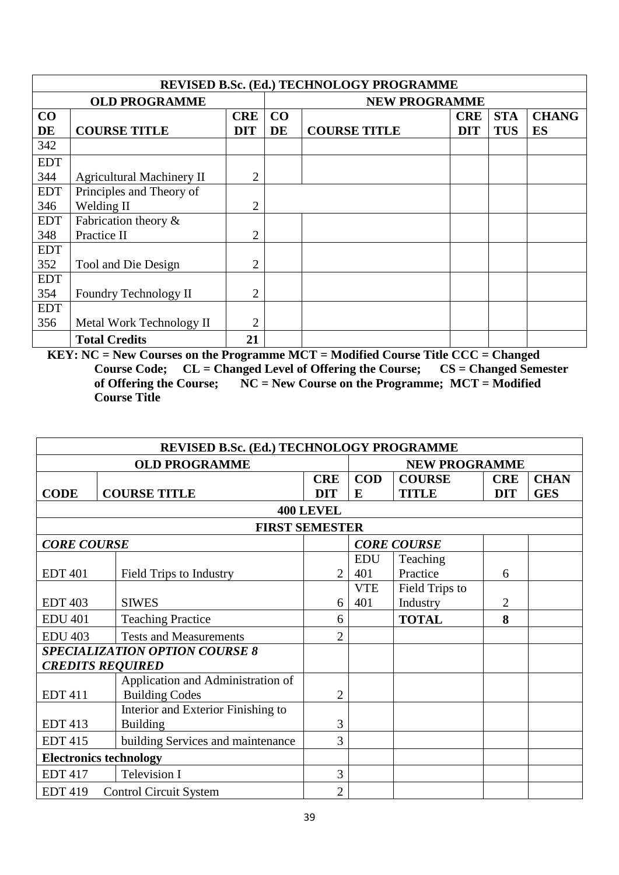|            | <b>REVISED B.Sc. (Ed.) TECHNOLOGY PROGRAMME</b> |                |                      |                     |            |            |              |  |  |  |
|------------|-------------------------------------------------|----------------|----------------------|---------------------|------------|------------|--------------|--|--|--|
|            | <b>OLD PROGRAMME</b>                            |                | <b>NEW PROGRAMME</b> |                     |            |            |              |  |  |  |
| CO         |                                                 | <b>CRE</b>     | CO                   |                     | <b>CRE</b> | <b>STA</b> | <b>CHANG</b> |  |  |  |
| DE         | <b>COURSE TITLE</b>                             | <b>DIT</b>     | DE                   | <b>COURSE TITLE</b> | <b>DIT</b> | <b>TUS</b> | <b>ES</b>    |  |  |  |
| 342        |                                                 |                |                      |                     |            |            |              |  |  |  |
| <b>EDT</b> |                                                 |                |                      |                     |            |            |              |  |  |  |
| 344        | <b>Agricultural Machinery II</b>                | $\overline{2}$ |                      |                     |            |            |              |  |  |  |
| <b>EDT</b> | Principles and Theory of                        |                |                      |                     |            |            |              |  |  |  |
| 346        | Welding II                                      | $\overline{2}$ |                      |                     |            |            |              |  |  |  |
| <b>EDT</b> | Fabrication theory $\&$                         |                |                      |                     |            |            |              |  |  |  |
| 348        | Practice II                                     | $\overline{2}$ |                      |                     |            |            |              |  |  |  |
| <b>EDT</b> |                                                 |                |                      |                     |            |            |              |  |  |  |
| 352        | Tool and Die Design                             | $\overline{2}$ |                      |                     |            |            |              |  |  |  |
| <b>EDT</b> |                                                 |                |                      |                     |            |            |              |  |  |  |
| 354        | Foundry Technology II                           | $\overline{2}$ |                      |                     |            |            |              |  |  |  |
| <b>EDT</b> |                                                 |                |                      |                     |            |            |              |  |  |  |
| 356        | Metal Work Technology II                        | $\overline{2}$ |                      |                     |            |            |              |  |  |  |
|            | <b>Total Credits</b>                            | 21             |                      |                     |            |            |              |  |  |  |

|                    | REVISED B.Sc. (Ed.) TECHNOLOGY PROGRAMME |                      |            |                    |                |             |  |  |  |
|--------------------|------------------------------------------|----------------------|------------|--------------------|----------------|-------------|--|--|--|
|                    | <b>OLD PROGRAMME</b>                     | <b>NEW PROGRAMME</b> |            |                    |                |             |  |  |  |
|                    |                                          | <b>CRE</b>           | <b>COD</b> | <b>COURSE</b>      | <b>CRE</b>     | <b>CHAN</b> |  |  |  |
| <b>CODE</b>        | <b>COURSE TITLE</b>                      | <b>DIT</b>           | E          | <b>TITLE</b>       | <b>DIT</b>     | <b>GES</b>  |  |  |  |
|                    |                                          | <b>400 LEVEL</b>     |            |                    |                |             |  |  |  |
|                    | <b>FIRST SEMESTER</b>                    |                      |            |                    |                |             |  |  |  |
| <b>CORE COURSE</b> |                                          |                      |            | <b>CORE COURSE</b> |                |             |  |  |  |
|                    |                                          |                      | <b>EDU</b> | Teaching           |                |             |  |  |  |
| <b>EDT 401</b>     | Field Trips to Industry                  | $\overline{2}$       | 401        | Practice           | 6              |             |  |  |  |
|                    |                                          |                      | <b>VTE</b> | Field Trips to     |                |             |  |  |  |
| <b>EDT 403</b>     | <b>SIWES</b>                             | 6                    | 401        | Industry           | $\overline{2}$ |             |  |  |  |
| <b>EDU 401</b>     | <b>Teaching Practice</b>                 | 6                    |            | <b>TOTAL</b>       | 8              |             |  |  |  |
| <b>EDU 403</b>     | <b>Tests and Measurements</b>            | $\overline{2}$       |            |                    |                |             |  |  |  |
|                    | <b>SPECIALIZATION OPTION COURSE 8</b>    |                      |            |                    |                |             |  |  |  |
|                    | <b>CREDITS REQUIRED</b>                  |                      |            |                    |                |             |  |  |  |
|                    | Application and Administration of        |                      |            |                    |                |             |  |  |  |
| <b>EDT 411</b>     | <b>Building Codes</b>                    | $\overline{2}$       |            |                    |                |             |  |  |  |
|                    | Interior and Exterior Finishing to       |                      |            |                    |                |             |  |  |  |
| <b>EDT 413</b>     | <b>Building</b>                          | 3                    |            |                    |                |             |  |  |  |
| <b>EDT 415</b>     | building Services and maintenance        | 3                    |            |                    |                |             |  |  |  |
|                    | <b>Electronics technology</b>            |                      |            |                    |                |             |  |  |  |
| <b>EDT 417</b>     | <b>Television I</b>                      | 3                    |            |                    |                |             |  |  |  |
| <b>EDT 419</b>     | <b>Control Circuit System</b>            | $\overline{2}$       |            |                    |                |             |  |  |  |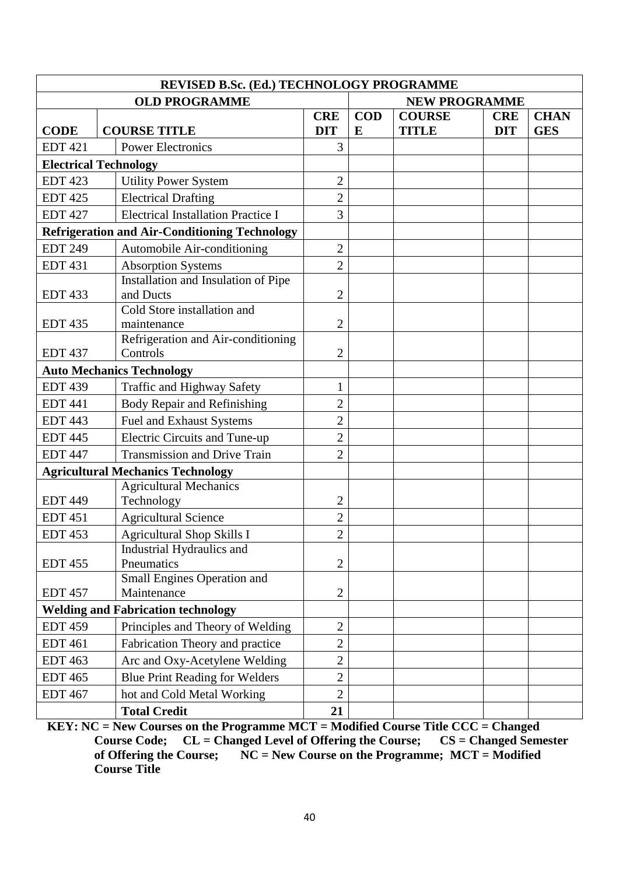| REVISED B.Sc. (Ed.) TECHNOLOGY PROGRAMME |                                                                |                |            |                      |            |             |  |  |
|------------------------------------------|----------------------------------------------------------------|----------------|------------|----------------------|------------|-------------|--|--|
|                                          | <b>OLD PROGRAMME</b>                                           |                |            | <b>NEW PROGRAMME</b> |            |             |  |  |
|                                          |                                                                | <b>CRE</b>     | <b>COD</b> | <b>COURSE</b>        | <b>CRE</b> | <b>CHAN</b> |  |  |
| <b>CODE</b>                              | <b>COURSE TITLE</b>                                            | <b>DIT</b>     | E          | <b>TITLE</b>         | <b>DIT</b> | <b>GES</b>  |  |  |
| <b>EDT 421</b>                           | <b>Power Electronics</b>                                       | 3              |            |                      |            |             |  |  |
| <b>Electrical Technology</b>             |                                                                |                |            |                      |            |             |  |  |
| <b>EDT 423</b>                           | <b>Utility Power System</b>                                    | $\overline{2}$ |            |                      |            |             |  |  |
| <b>EDT 425</b>                           | <b>Electrical Drafting</b>                                     | $\overline{2}$ |            |                      |            |             |  |  |
| <b>EDT 427</b>                           | <b>Electrical Installation Practice I</b>                      | 3              |            |                      |            |             |  |  |
|                                          | <b>Refrigeration and Air-Conditioning Technology</b>           |                |            |                      |            |             |  |  |
| <b>EDT 249</b>                           | Automobile Air-conditioning                                    | $\overline{2}$ |            |                      |            |             |  |  |
| <b>EDT 431</b>                           | <b>Absorption Systems</b>                                      | $\overline{2}$ |            |                      |            |             |  |  |
|                                          | Installation and Insulation of Pipe                            |                |            |                      |            |             |  |  |
| <b>EDT 433</b>                           | and Ducts                                                      | $\overline{2}$ |            |                      |            |             |  |  |
|                                          | Cold Store installation and                                    |                |            |                      |            |             |  |  |
| <b>EDT 435</b>                           | maintenance<br>Refrigeration and Air-conditioning              | $\overline{2}$ |            |                      |            |             |  |  |
| <b>EDT 437</b>                           | Controls                                                       | $\overline{2}$ |            |                      |            |             |  |  |
|                                          | <b>Auto Mechanics Technology</b>                               |                |            |                      |            |             |  |  |
| <b>EDT 439</b>                           | <b>Traffic and Highway Safety</b>                              | 1              |            |                      |            |             |  |  |
| <b>EDT 441</b>                           | Body Repair and Refinishing                                    | $\overline{2}$ |            |                      |            |             |  |  |
| <b>EDT 443</b>                           |                                                                | $\overline{2}$ |            |                      |            |             |  |  |
|                                          | Fuel and Exhaust Systems                                       |                |            |                      |            |             |  |  |
| <b>EDT 445</b>                           | <b>Electric Circuits and Tune-up</b>                           | $\overline{2}$ |            |                      |            |             |  |  |
| <b>EDT 447</b>                           | <b>Transmission and Drive Train</b>                            | $\overline{2}$ |            |                      |            |             |  |  |
|                                          | <b>Agricultural Mechanics Technology</b>                       |                |            |                      |            |             |  |  |
| <b>EDT 449</b>                           | <b>Agricultural Mechanics</b>                                  | $\overline{2}$ |            |                      |            |             |  |  |
| <b>EDT 451</b>                           | Technology                                                     | $\overline{2}$ |            |                      |            |             |  |  |
| <b>EDT 453</b>                           | <b>Agricultural Science</b>                                    | $\overline{2}$ |            |                      |            |             |  |  |
|                                          | <b>Agricultural Shop Skills I</b><br>Industrial Hydraulics and |                |            |                      |            |             |  |  |
| <b>EDT 455</b>                           | Pneumatics                                                     | $\overline{2}$ |            |                      |            |             |  |  |
|                                          | Small Engines Operation and                                    |                |            |                      |            |             |  |  |
| <b>EDT 457</b>                           | Maintenance                                                    | $\overline{2}$ |            |                      |            |             |  |  |
|                                          | <b>Welding and Fabrication technology</b>                      |                |            |                      |            |             |  |  |
| <b>EDT 459</b>                           | Principles and Theory of Welding                               | $\overline{2}$ |            |                      |            |             |  |  |
| <b>EDT 461</b>                           | Fabrication Theory and practice                                | $\overline{2}$ |            |                      |            |             |  |  |
| <b>EDT 463</b>                           | Arc and Oxy-Acetylene Welding                                  | $\overline{2}$ |            |                      |            |             |  |  |
| <b>EDT 465</b>                           | <b>Blue Print Reading for Welders</b>                          | $\overline{2}$ |            |                      |            |             |  |  |
| <b>EDT 467</b>                           | hot and Cold Metal Working                                     | $\overline{2}$ |            |                      |            |             |  |  |
|                                          | <b>Total Credit</b>                                            | 21             |            |                      |            |             |  |  |

**KEY: NC = New Courses on the Programme MCT = Modified Course Title CCC = Changed Course Code; CL = Changed Level of Offering the Course; CS = Changed Semester Course Code; CL = Changed Level of Offering the Course;<br>of Offering the Course; NC = New Course on the Programm**  $\overline{NC}$  = New Course on the Programme;  $\overline{MCT}$  = Modified **Course Title**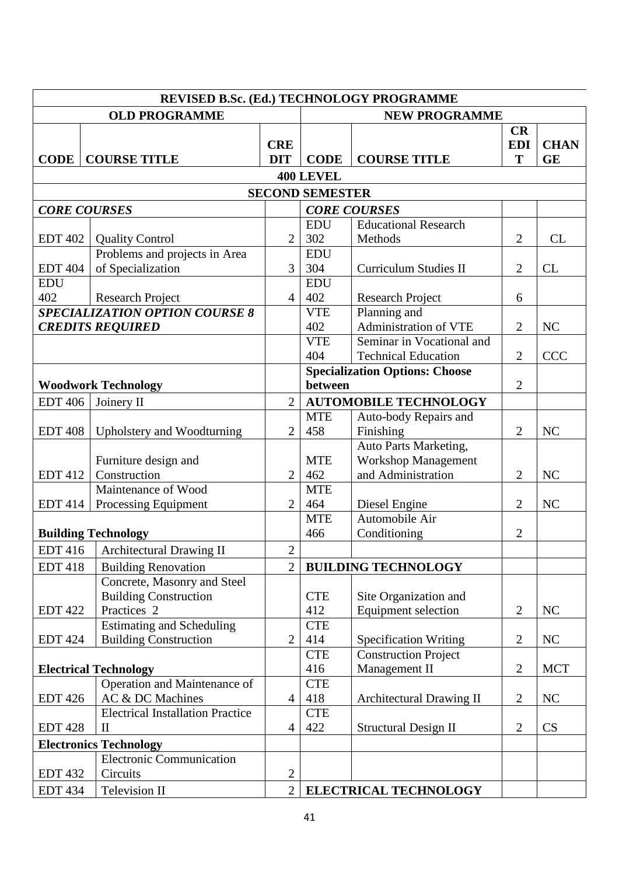| <b>OLD PROGRAMME</b><br><b>NEW PROGRAMME</b><br>CR<br><b>CRE</b><br><b>EDI</b><br><b>CHAN</b><br><b>COURSE TITLE</b><br>T<br><b>CODE</b><br><b>COURSE TITLE</b><br><b>DIT</b><br><b>CODE</b><br><b>GE</b><br><b>400 LEVEL</b><br><b>SECOND SEMESTER</b><br><b>CORE COURSES</b><br><b>CORE COURSES</b><br><b>Educational Research</b><br><b>EDU</b><br>302<br>$\overline{2}$<br><b>CL</b><br><b>EDT 402</b><br>$\overline{2}$<br>Methods<br><b>Quality Control</b><br>Problems and projects in Area<br><b>EDU</b><br>304<br>of Specialization<br>$\overline{3}$<br>$\overline{2}$<br><b>EDT 404</b><br><b>Curriculum Studies II</b><br><b>CL</b><br><b>EDU</b><br><b>EDU</b><br>402<br>402<br><b>Research Project</b><br><b>Research Project</b><br>$\overline{4}$<br>6<br><b>SPECIALIZATION OPTION COURSE 8</b><br>Planning and<br><b>VTE</b><br>Administration of VTE<br>402<br>$\overline{2}$<br>NC<br><b>CREDITS REQUIRED</b><br>Seminar in Vocational and<br><b>VTE</b><br>404<br><b>Technical Education</b><br>$\overline{2}$<br><b>CCC</b><br><b>Specialization Options: Choose</b><br>$\overline{2}$<br>between<br><b>Woodwork Technology</b><br>$\overline{2}$<br><b>AUTOMOBILE TECHNOLOGY</b><br><b>EDT 406</b><br>Joinery II<br><b>MTE</b><br>Auto-body Repairs and<br>458<br>Finishing<br><b>EDT 408</b><br>$\overline{2}$<br>$\overline{2}$<br>NC<br>Upholstery and Woodturning<br>Auto Parts Marketing,<br>Workshop Management<br><b>MTE</b><br>Furniture design and<br>and Administration<br>$\overline{2}$<br>462<br><b>EDT 412</b><br>Construction<br>$\overline{2}$<br>NC<br>Maintenance of Wood<br><b>MTE</b><br>464<br>$\overline{2}$<br>NC<br><b>EDT</b> 414<br>Processing Equipment<br>$\overline{2}$<br>Diesel Engine<br>Automobile Air<br><b>MTE</b><br>$\overline{2}$<br>466<br>Conditioning<br><b>Building Technology</b><br><b>EDT 416</b><br><b>Architectural Drawing II</b><br>$\overline{2}$<br><b>EDT 418</b><br><b>Building Renovation</b><br>$\overline{2}$<br><b>BUILDING TECHNOLOGY</b><br>Concrete, Masonry and Steel<br><b>Building Construction</b><br><b>CTE</b><br>Site Organization and<br>Practices <sub>2</sub><br>412<br><b>Equipment selection</b><br>NC<br><b>EDT 422</b><br>$\overline{2}$<br><b>Estimating and Scheduling</b><br><b>CTE</b><br>$\overline{2}$<br><b>Building Construction</b><br>414<br>$\overline{2}$<br><b>EDT 424</b><br>NC<br><b>Specification Writing</b><br><b>CTE</b><br><b>Construction Project</b><br>416<br>Management II<br><b>Electrical Technology</b><br>$\overline{2}$<br><b>MCT</b><br>Operation and Maintenance of<br><b>CTE</b><br>AC & DC Machines<br>418<br><b>Architectural Drawing II</b><br>$\overline{2}$<br>NC<br><b>EDT 426</b><br>$\overline{4}$<br><b>Electrical Installation Practice</b><br><b>CTE</b><br>422<br>$\overline{2}$<br>CS<br><b>EDT 428</b><br><b>Structural Design II</b><br>$\overline{4}$<br>$\mathop{\mathrm{II}}\nolimits$<br><b>Electronics Technology</b><br><b>Electronic Communication</b><br>Circuits<br>$\overline{2}$<br><b>EDT 432</b> |  | REVISED B.Sc. (Ed.) TECHNOLOGY PROGRAMME |                |  |  |  |  |  |  |  |
|--------------------------------------------------------------------------------------------------------------------------------------------------------------------------------------------------------------------------------------------------------------------------------------------------------------------------------------------------------------------------------------------------------------------------------------------------------------------------------------------------------------------------------------------------------------------------------------------------------------------------------------------------------------------------------------------------------------------------------------------------------------------------------------------------------------------------------------------------------------------------------------------------------------------------------------------------------------------------------------------------------------------------------------------------------------------------------------------------------------------------------------------------------------------------------------------------------------------------------------------------------------------------------------------------------------------------------------------------------------------------------------------------------------------------------------------------------------------------------------------------------------------------------------------------------------------------------------------------------------------------------------------------------------------------------------------------------------------------------------------------------------------------------------------------------------------------------------------------------------------------------------------------------------------------------------------------------------------------------------------------------------------------------------------------------------------------------------------------------------------------------------------------------------------------------------------------------------------------------------------------------------------------------------------------------------------------------------------------------------------------------------------------------------------------------------------------------------------------------------------------------------------------------------------------------------------------------------------------------------------------------------------------------------------------------------------------------------------------------------------------------------------------------------------------------------------------------------------------------------------------------------------------------------------------------------------------------------------------------------------------------------------------------------------------------------|--|------------------------------------------|----------------|--|--|--|--|--|--|--|
|                                                                                                                                                                                                                                                                                                                                                                                                                                                                                                                                                                                                                                                                                                                                                                                                                                                                                                                                                                                                                                                                                                                                                                                                                                                                                                                                                                                                                                                                                                                                                                                                                                                                                                                                                                                                                                                                                                                                                                                                                                                                                                                                                                                                                                                                                                                                                                                                                                                                                                                                                                                                                                                                                                                                                                                                                                                                                                                                                                                                                                                              |  |                                          |                |  |  |  |  |  |  |  |
|                                                                                                                                                                                                                                                                                                                                                                                                                                                                                                                                                                                                                                                                                                                                                                                                                                                                                                                                                                                                                                                                                                                                                                                                                                                                                                                                                                                                                                                                                                                                                                                                                                                                                                                                                                                                                                                                                                                                                                                                                                                                                                                                                                                                                                                                                                                                                                                                                                                                                                                                                                                                                                                                                                                                                                                                                                                                                                                                                                                                                                                              |  |                                          |                |  |  |  |  |  |  |  |
|                                                                                                                                                                                                                                                                                                                                                                                                                                                                                                                                                                                                                                                                                                                                                                                                                                                                                                                                                                                                                                                                                                                                                                                                                                                                                                                                                                                                                                                                                                                                                                                                                                                                                                                                                                                                                                                                                                                                                                                                                                                                                                                                                                                                                                                                                                                                                                                                                                                                                                                                                                                                                                                                                                                                                                                                                                                                                                                                                                                                                                                              |  |                                          |                |  |  |  |  |  |  |  |
|                                                                                                                                                                                                                                                                                                                                                                                                                                                                                                                                                                                                                                                                                                                                                                                                                                                                                                                                                                                                                                                                                                                                                                                                                                                                                                                                                                                                                                                                                                                                                                                                                                                                                                                                                                                                                                                                                                                                                                                                                                                                                                                                                                                                                                                                                                                                                                                                                                                                                                                                                                                                                                                                                                                                                                                                                                                                                                                                                                                                                                                              |  |                                          |                |  |  |  |  |  |  |  |
|                                                                                                                                                                                                                                                                                                                                                                                                                                                                                                                                                                                                                                                                                                                                                                                                                                                                                                                                                                                                                                                                                                                                                                                                                                                                                                                                                                                                                                                                                                                                                                                                                                                                                                                                                                                                                                                                                                                                                                                                                                                                                                                                                                                                                                                                                                                                                                                                                                                                                                                                                                                                                                                                                                                                                                                                                                                                                                                                                                                                                                                              |  |                                          |                |  |  |  |  |  |  |  |
|                                                                                                                                                                                                                                                                                                                                                                                                                                                                                                                                                                                                                                                                                                                                                                                                                                                                                                                                                                                                                                                                                                                                                                                                                                                                                                                                                                                                                                                                                                                                                                                                                                                                                                                                                                                                                                                                                                                                                                                                                                                                                                                                                                                                                                                                                                                                                                                                                                                                                                                                                                                                                                                                                                                                                                                                                                                                                                                                                                                                                                                              |  |                                          |                |  |  |  |  |  |  |  |
|                                                                                                                                                                                                                                                                                                                                                                                                                                                                                                                                                                                                                                                                                                                                                                                                                                                                                                                                                                                                                                                                                                                                                                                                                                                                                                                                                                                                                                                                                                                                                                                                                                                                                                                                                                                                                                                                                                                                                                                                                                                                                                                                                                                                                                                                                                                                                                                                                                                                                                                                                                                                                                                                                                                                                                                                                                                                                                                                                                                                                                                              |  |                                          |                |  |  |  |  |  |  |  |
|                                                                                                                                                                                                                                                                                                                                                                                                                                                                                                                                                                                                                                                                                                                                                                                                                                                                                                                                                                                                                                                                                                                                                                                                                                                                                                                                                                                                                                                                                                                                                                                                                                                                                                                                                                                                                                                                                                                                                                                                                                                                                                                                                                                                                                                                                                                                                                                                                                                                                                                                                                                                                                                                                                                                                                                                                                                                                                                                                                                                                                                              |  |                                          |                |  |  |  |  |  |  |  |
|                                                                                                                                                                                                                                                                                                                                                                                                                                                                                                                                                                                                                                                                                                                                                                                                                                                                                                                                                                                                                                                                                                                                                                                                                                                                                                                                                                                                                                                                                                                                                                                                                                                                                                                                                                                                                                                                                                                                                                                                                                                                                                                                                                                                                                                                                                                                                                                                                                                                                                                                                                                                                                                                                                                                                                                                                                                                                                                                                                                                                                                              |  |                                          |                |  |  |  |  |  |  |  |
|                                                                                                                                                                                                                                                                                                                                                                                                                                                                                                                                                                                                                                                                                                                                                                                                                                                                                                                                                                                                                                                                                                                                                                                                                                                                                                                                                                                                                                                                                                                                                                                                                                                                                                                                                                                                                                                                                                                                                                                                                                                                                                                                                                                                                                                                                                                                                                                                                                                                                                                                                                                                                                                                                                                                                                                                                                                                                                                                                                                                                                                              |  |                                          |                |  |  |  |  |  |  |  |
|                                                                                                                                                                                                                                                                                                                                                                                                                                                                                                                                                                                                                                                                                                                                                                                                                                                                                                                                                                                                                                                                                                                                                                                                                                                                                                                                                                                                                                                                                                                                                                                                                                                                                                                                                                                                                                                                                                                                                                                                                                                                                                                                                                                                                                                                                                                                                                                                                                                                                                                                                                                                                                                                                                                                                                                                                                                                                                                                                                                                                                                              |  |                                          |                |  |  |  |  |  |  |  |
|                                                                                                                                                                                                                                                                                                                                                                                                                                                                                                                                                                                                                                                                                                                                                                                                                                                                                                                                                                                                                                                                                                                                                                                                                                                                                                                                                                                                                                                                                                                                                                                                                                                                                                                                                                                                                                                                                                                                                                                                                                                                                                                                                                                                                                                                                                                                                                                                                                                                                                                                                                                                                                                                                                                                                                                                                                                                                                                                                                                                                                                              |  |                                          |                |  |  |  |  |  |  |  |
|                                                                                                                                                                                                                                                                                                                                                                                                                                                                                                                                                                                                                                                                                                                                                                                                                                                                                                                                                                                                                                                                                                                                                                                                                                                                                                                                                                                                                                                                                                                                                                                                                                                                                                                                                                                                                                                                                                                                                                                                                                                                                                                                                                                                                                                                                                                                                                                                                                                                                                                                                                                                                                                                                                                                                                                                                                                                                                                                                                                                                                                              |  |                                          |                |  |  |  |  |  |  |  |
|                                                                                                                                                                                                                                                                                                                                                                                                                                                                                                                                                                                                                                                                                                                                                                                                                                                                                                                                                                                                                                                                                                                                                                                                                                                                                                                                                                                                                                                                                                                                                                                                                                                                                                                                                                                                                                                                                                                                                                                                                                                                                                                                                                                                                                                                                                                                                                                                                                                                                                                                                                                                                                                                                                                                                                                                                                                                                                                                                                                                                                                              |  |                                          |                |  |  |  |  |  |  |  |
|                                                                                                                                                                                                                                                                                                                                                                                                                                                                                                                                                                                                                                                                                                                                                                                                                                                                                                                                                                                                                                                                                                                                                                                                                                                                                                                                                                                                                                                                                                                                                                                                                                                                                                                                                                                                                                                                                                                                                                                                                                                                                                                                                                                                                                                                                                                                                                                                                                                                                                                                                                                                                                                                                                                                                                                                                                                                                                                                                                                                                                                              |  |                                          |                |  |  |  |  |  |  |  |
|                                                                                                                                                                                                                                                                                                                                                                                                                                                                                                                                                                                                                                                                                                                                                                                                                                                                                                                                                                                                                                                                                                                                                                                                                                                                                                                                                                                                                                                                                                                                                                                                                                                                                                                                                                                                                                                                                                                                                                                                                                                                                                                                                                                                                                                                                                                                                                                                                                                                                                                                                                                                                                                                                                                                                                                                                                                                                                                                                                                                                                                              |  |                                          |                |  |  |  |  |  |  |  |
|                                                                                                                                                                                                                                                                                                                                                                                                                                                                                                                                                                                                                                                                                                                                                                                                                                                                                                                                                                                                                                                                                                                                                                                                                                                                                                                                                                                                                                                                                                                                                                                                                                                                                                                                                                                                                                                                                                                                                                                                                                                                                                                                                                                                                                                                                                                                                                                                                                                                                                                                                                                                                                                                                                                                                                                                                                                                                                                                                                                                                                                              |  |                                          |                |  |  |  |  |  |  |  |
|                                                                                                                                                                                                                                                                                                                                                                                                                                                                                                                                                                                                                                                                                                                                                                                                                                                                                                                                                                                                                                                                                                                                                                                                                                                                                                                                                                                                                                                                                                                                                                                                                                                                                                                                                                                                                                                                                                                                                                                                                                                                                                                                                                                                                                                                                                                                                                                                                                                                                                                                                                                                                                                                                                                                                                                                                                                                                                                                                                                                                                                              |  |                                          |                |  |  |  |  |  |  |  |
|                                                                                                                                                                                                                                                                                                                                                                                                                                                                                                                                                                                                                                                                                                                                                                                                                                                                                                                                                                                                                                                                                                                                                                                                                                                                                                                                                                                                                                                                                                                                                                                                                                                                                                                                                                                                                                                                                                                                                                                                                                                                                                                                                                                                                                                                                                                                                                                                                                                                                                                                                                                                                                                                                                                                                                                                                                                                                                                                                                                                                                                              |  |                                          |                |  |  |  |  |  |  |  |
|                                                                                                                                                                                                                                                                                                                                                                                                                                                                                                                                                                                                                                                                                                                                                                                                                                                                                                                                                                                                                                                                                                                                                                                                                                                                                                                                                                                                                                                                                                                                                                                                                                                                                                                                                                                                                                                                                                                                                                                                                                                                                                                                                                                                                                                                                                                                                                                                                                                                                                                                                                                                                                                                                                                                                                                                                                                                                                                                                                                                                                                              |  |                                          |                |  |  |  |  |  |  |  |
|                                                                                                                                                                                                                                                                                                                                                                                                                                                                                                                                                                                                                                                                                                                                                                                                                                                                                                                                                                                                                                                                                                                                                                                                                                                                                                                                                                                                                                                                                                                                                                                                                                                                                                                                                                                                                                                                                                                                                                                                                                                                                                                                                                                                                                                                                                                                                                                                                                                                                                                                                                                                                                                                                                                                                                                                                                                                                                                                                                                                                                                              |  |                                          |                |  |  |  |  |  |  |  |
|                                                                                                                                                                                                                                                                                                                                                                                                                                                                                                                                                                                                                                                                                                                                                                                                                                                                                                                                                                                                                                                                                                                                                                                                                                                                                                                                                                                                                                                                                                                                                                                                                                                                                                                                                                                                                                                                                                                                                                                                                                                                                                                                                                                                                                                                                                                                                                                                                                                                                                                                                                                                                                                                                                                                                                                                                                                                                                                                                                                                                                                              |  |                                          |                |  |  |  |  |  |  |  |
|                                                                                                                                                                                                                                                                                                                                                                                                                                                                                                                                                                                                                                                                                                                                                                                                                                                                                                                                                                                                                                                                                                                                                                                                                                                                                                                                                                                                                                                                                                                                                                                                                                                                                                                                                                                                                                                                                                                                                                                                                                                                                                                                                                                                                                                                                                                                                                                                                                                                                                                                                                                                                                                                                                                                                                                                                                                                                                                                                                                                                                                              |  |                                          |                |  |  |  |  |  |  |  |
|                                                                                                                                                                                                                                                                                                                                                                                                                                                                                                                                                                                                                                                                                                                                                                                                                                                                                                                                                                                                                                                                                                                                                                                                                                                                                                                                                                                                                                                                                                                                                                                                                                                                                                                                                                                                                                                                                                                                                                                                                                                                                                                                                                                                                                                                                                                                                                                                                                                                                                                                                                                                                                                                                                                                                                                                                                                                                                                                                                                                                                                              |  |                                          |                |  |  |  |  |  |  |  |
|                                                                                                                                                                                                                                                                                                                                                                                                                                                                                                                                                                                                                                                                                                                                                                                                                                                                                                                                                                                                                                                                                                                                                                                                                                                                                                                                                                                                                                                                                                                                                                                                                                                                                                                                                                                                                                                                                                                                                                                                                                                                                                                                                                                                                                                                                                                                                                                                                                                                                                                                                                                                                                                                                                                                                                                                                                                                                                                                                                                                                                                              |  |                                          |                |  |  |  |  |  |  |  |
|                                                                                                                                                                                                                                                                                                                                                                                                                                                                                                                                                                                                                                                                                                                                                                                                                                                                                                                                                                                                                                                                                                                                                                                                                                                                                                                                                                                                                                                                                                                                                                                                                                                                                                                                                                                                                                                                                                                                                                                                                                                                                                                                                                                                                                                                                                                                                                                                                                                                                                                                                                                                                                                                                                                                                                                                                                                                                                                                                                                                                                                              |  |                                          |                |  |  |  |  |  |  |  |
|                                                                                                                                                                                                                                                                                                                                                                                                                                                                                                                                                                                                                                                                                                                                                                                                                                                                                                                                                                                                                                                                                                                                                                                                                                                                                                                                                                                                                                                                                                                                                                                                                                                                                                                                                                                                                                                                                                                                                                                                                                                                                                                                                                                                                                                                                                                                                                                                                                                                                                                                                                                                                                                                                                                                                                                                                                                                                                                                                                                                                                                              |  |                                          |                |  |  |  |  |  |  |  |
|                                                                                                                                                                                                                                                                                                                                                                                                                                                                                                                                                                                                                                                                                                                                                                                                                                                                                                                                                                                                                                                                                                                                                                                                                                                                                                                                                                                                                                                                                                                                                                                                                                                                                                                                                                                                                                                                                                                                                                                                                                                                                                                                                                                                                                                                                                                                                                                                                                                                                                                                                                                                                                                                                                                                                                                                                                                                                                                                                                                                                                                              |  |                                          |                |  |  |  |  |  |  |  |
|                                                                                                                                                                                                                                                                                                                                                                                                                                                                                                                                                                                                                                                                                                                                                                                                                                                                                                                                                                                                                                                                                                                                                                                                                                                                                                                                                                                                                                                                                                                                                                                                                                                                                                                                                                                                                                                                                                                                                                                                                                                                                                                                                                                                                                                                                                                                                                                                                                                                                                                                                                                                                                                                                                                                                                                                                                                                                                                                                                                                                                                              |  |                                          |                |  |  |  |  |  |  |  |
|                                                                                                                                                                                                                                                                                                                                                                                                                                                                                                                                                                                                                                                                                                                                                                                                                                                                                                                                                                                                                                                                                                                                                                                                                                                                                                                                                                                                                                                                                                                                                                                                                                                                                                                                                                                                                                                                                                                                                                                                                                                                                                                                                                                                                                                                                                                                                                                                                                                                                                                                                                                                                                                                                                                                                                                                                                                                                                                                                                                                                                                              |  |                                          |                |  |  |  |  |  |  |  |
|                                                                                                                                                                                                                                                                                                                                                                                                                                                                                                                                                                                                                                                                                                                                                                                                                                                                                                                                                                                                                                                                                                                                                                                                                                                                                                                                                                                                                                                                                                                                                                                                                                                                                                                                                                                                                                                                                                                                                                                                                                                                                                                                                                                                                                                                                                                                                                                                                                                                                                                                                                                                                                                                                                                                                                                                                                                                                                                                                                                                                                                              |  |                                          |                |  |  |  |  |  |  |  |
|                                                                                                                                                                                                                                                                                                                                                                                                                                                                                                                                                                                                                                                                                                                                                                                                                                                                                                                                                                                                                                                                                                                                                                                                                                                                                                                                                                                                                                                                                                                                                                                                                                                                                                                                                                                                                                                                                                                                                                                                                                                                                                                                                                                                                                                                                                                                                                                                                                                                                                                                                                                                                                                                                                                                                                                                                                                                                                                                                                                                                                                              |  |                                          |                |  |  |  |  |  |  |  |
|                                                                                                                                                                                                                                                                                                                                                                                                                                                                                                                                                                                                                                                                                                                                                                                                                                                                                                                                                                                                                                                                                                                                                                                                                                                                                                                                                                                                                                                                                                                                                                                                                                                                                                                                                                                                                                                                                                                                                                                                                                                                                                                                                                                                                                                                                                                                                                                                                                                                                                                                                                                                                                                                                                                                                                                                                                                                                                                                                                                                                                                              |  |                                          |                |  |  |  |  |  |  |  |
|                                                                                                                                                                                                                                                                                                                                                                                                                                                                                                                                                                                                                                                                                                                                                                                                                                                                                                                                                                                                                                                                                                                                                                                                                                                                                                                                                                                                                                                                                                                                                                                                                                                                                                                                                                                                                                                                                                                                                                                                                                                                                                                                                                                                                                                                                                                                                                                                                                                                                                                                                                                                                                                                                                                                                                                                                                                                                                                                                                                                                                                              |  |                                          |                |  |  |  |  |  |  |  |
|                                                                                                                                                                                                                                                                                                                                                                                                                                                                                                                                                                                                                                                                                                                                                                                                                                                                                                                                                                                                                                                                                                                                                                                                                                                                                                                                                                                                                                                                                                                                                                                                                                                                                                                                                                                                                                                                                                                                                                                                                                                                                                                                                                                                                                                                                                                                                                                                                                                                                                                                                                                                                                                                                                                                                                                                                                                                                                                                                                                                                                                              |  |                                          |                |  |  |  |  |  |  |  |
|                                                                                                                                                                                                                                                                                                                                                                                                                                                                                                                                                                                                                                                                                                                                                                                                                                                                                                                                                                                                                                                                                                                                                                                                                                                                                                                                                                                                                                                                                                                                                                                                                                                                                                                                                                                                                                                                                                                                                                                                                                                                                                                                                                                                                                                                                                                                                                                                                                                                                                                                                                                                                                                                                                                                                                                                                                                                                                                                                                                                                                                              |  |                                          |                |  |  |  |  |  |  |  |
|                                                                                                                                                                                                                                                                                                                                                                                                                                                                                                                                                                                                                                                                                                                                                                                                                                                                                                                                                                                                                                                                                                                                                                                                                                                                                                                                                                                                                                                                                                                                                                                                                                                                                                                                                                                                                                                                                                                                                                                                                                                                                                                                                                                                                                                                                                                                                                                                                                                                                                                                                                                                                                                                                                                                                                                                                                                                                                                                                                                                                                                              |  |                                          |                |  |  |  |  |  |  |  |
|                                                                                                                                                                                                                                                                                                                                                                                                                                                                                                                                                                                                                                                                                                                                                                                                                                                                                                                                                                                                                                                                                                                                                                                                                                                                                                                                                                                                                                                                                                                                                                                                                                                                                                                                                                                                                                                                                                                                                                                                                                                                                                                                                                                                                                                                                                                                                                                                                                                                                                                                                                                                                                                                                                                                                                                                                                                                                                                                                                                                                                                              |  |                                          |                |  |  |  |  |  |  |  |
|                                                                                                                                                                                                                                                                                                                                                                                                                                                                                                                                                                                                                                                                                                                                                                                                                                                                                                                                                                                                                                                                                                                                                                                                                                                                                                                                                                                                                                                                                                                                                                                                                                                                                                                                                                                                                                                                                                                                                                                                                                                                                                                                                                                                                                                                                                                                                                                                                                                                                                                                                                                                                                                                                                                                                                                                                                                                                                                                                                                                                                                              |  |                                          |                |  |  |  |  |  |  |  |
|                                                                                                                                                                                                                                                                                                                                                                                                                                                                                                                                                                                                                                                                                                                                                                                                                                                                                                                                                                                                                                                                                                                                                                                                                                                                                                                                                                                                                                                                                                                                                                                                                                                                                                                                                                                                                                                                                                                                                                                                                                                                                                                                                                                                                                                                                                                                                                                                                                                                                                                                                                                                                                                                                                                                                                                                                                                                                                                                                                                                                                                              |  |                                          |                |  |  |  |  |  |  |  |
|                                                                                                                                                                                                                                                                                                                                                                                                                                                                                                                                                                                                                                                                                                                                                                                                                                                                                                                                                                                                                                                                                                                                                                                                                                                                                                                                                                                                                                                                                                                                                                                                                                                                                                                                                                                                                                                                                                                                                                                                                                                                                                                                                                                                                                                                                                                                                                                                                                                                                                                                                                                                                                                                                                                                                                                                                                                                                                                                                                                                                                                              |  |                                          |                |  |  |  |  |  |  |  |
|                                                                                                                                                                                                                                                                                                                                                                                                                                                                                                                                                                                                                                                                                                                                                                                                                                                                                                                                                                                                                                                                                                                                                                                                                                                                                                                                                                                                                                                                                                                                                                                                                                                                                                                                                                                                                                                                                                                                                                                                                                                                                                                                                                                                                                                                                                                                                                                                                                                                                                                                                                                                                                                                                                                                                                                                                                                                                                                                                                                                                                                              |  |                                          |                |  |  |  |  |  |  |  |
| <b>ELECTRICAL TECHNOLOGY</b><br><b>EDT 434</b>                                                                                                                                                                                                                                                                                                                                                                                                                                                                                                                                                                                                                                                                                                                                                                                                                                                                                                                                                                                                                                                                                                                                                                                                                                                                                                                                                                                                                                                                                                                                                                                                                                                                                                                                                                                                                                                                                                                                                                                                                                                                                                                                                                                                                                                                                                                                                                                                                                                                                                                                                                                                                                                                                                                                                                                                                                                                                                                                                                                                               |  | <b>Television II</b>                     | $\overline{2}$ |  |  |  |  |  |  |  |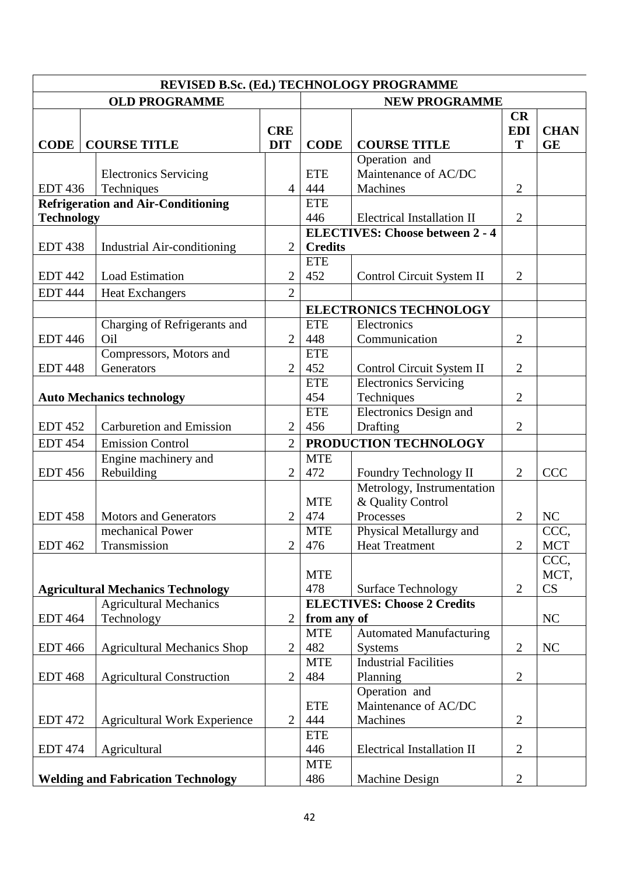| REVISED B.Sc. (Ed.) TECHNOLOGY PROGRAMME  |                                     |                |                                    |                                        |                  |                        |  |  |  |  |  |
|-------------------------------------------|-------------------------------------|----------------|------------------------------------|----------------------------------------|------------------|------------------------|--|--|--|--|--|
|                                           | <b>OLD PROGRAMME</b>                |                | <b>NEW PROGRAMME</b>               |                                        |                  |                        |  |  |  |  |  |
|                                           |                                     | <b>CRE</b>     |                                    |                                        | CR<br><b>EDI</b> | <b>CHAN</b>            |  |  |  |  |  |
| <b>CODE</b>                               | <b>COURSE TITLE</b>                 | <b>DIT</b>     | <b>CODE</b>                        | <b>COURSE TITLE</b>                    | T                | <b>GE</b>              |  |  |  |  |  |
|                                           |                                     |                |                                    | Operation and                          |                  |                        |  |  |  |  |  |
|                                           | <b>Electronics Servicing</b>        |                | <b>ETE</b>                         | Maintenance of AC/DC                   |                  |                        |  |  |  |  |  |
| <b>EDT 436</b>                            | Techniques                          | $\overline{4}$ | 444                                | <b>Machines</b>                        | $\overline{2}$   |                        |  |  |  |  |  |
| <b>Refrigeration and Air-Conditioning</b> |                                     |                | <b>ETE</b>                         |                                        |                  |                        |  |  |  |  |  |
| <b>Technology</b>                         |                                     |                | 446                                | Electrical Installation II             | $\overline{2}$   |                        |  |  |  |  |  |
|                                           |                                     |                |                                    | <b>ELECTIVES: Choose between 2 - 4</b> |                  |                        |  |  |  |  |  |
| <b>EDT 438</b>                            | <b>Industrial Air-conditioning</b>  | $\overline{2}$ | <b>Credits</b>                     |                                        |                  |                        |  |  |  |  |  |
|                                           |                                     |                | <b>ETE</b>                         |                                        |                  |                        |  |  |  |  |  |
| <b>EDT 442</b>                            | <b>Load Estimation</b>              | $\overline{2}$ | 452                                | Control Circuit System II              | $\overline{2}$   |                        |  |  |  |  |  |
| <b>EDT 444</b>                            | <b>Heat Exchangers</b>              | $\overline{2}$ |                                    |                                        |                  |                        |  |  |  |  |  |
|                                           |                                     |                | <b>ELECTRONICS TECHNOLOGY</b>      |                                        |                  |                        |  |  |  |  |  |
|                                           | Charging of Refrigerants and        |                | <b>ETE</b>                         | Electronics                            |                  |                        |  |  |  |  |  |
| <b>EDT 446</b>                            | Oil                                 | $\overline{2}$ | 448                                | Communication                          | $\overline{2}$   |                        |  |  |  |  |  |
|                                           | Compressors, Motors and             |                | <b>ETE</b>                         |                                        |                  |                        |  |  |  |  |  |
| <b>EDT 448</b>                            | Generators                          | $\overline{2}$ | 452                                | Control Circuit System II              | $\overline{2}$   |                        |  |  |  |  |  |
|                                           |                                     |                | <b>ETE</b>                         | <b>Electronics Servicing</b>           |                  |                        |  |  |  |  |  |
|                                           | <b>Auto Mechanics technology</b>    |                | 454                                | Techniques                             | $\overline{2}$   |                        |  |  |  |  |  |
|                                           |                                     |                | <b>ETE</b>                         | <b>Electronics Design and</b>          |                  |                        |  |  |  |  |  |
| <b>EDT 452</b>                            | <b>Carburetion and Emission</b>     | $\overline{2}$ | 456                                | Drafting                               | $\overline{2}$   |                        |  |  |  |  |  |
| <b>EDT 454</b>                            | <b>Emission Control</b>             | $\overline{2}$ | PRODUCTION TECHNOLOGY              |                                        |                  |                        |  |  |  |  |  |
|                                           | Engine machinery and                |                | <b>MTE</b>                         |                                        |                  |                        |  |  |  |  |  |
| <b>EDT 456</b>                            | Rebuilding                          | $\overline{2}$ | 472                                | Foundry Technology II                  | $\overline{2}$   | <b>CCC</b>             |  |  |  |  |  |
|                                           |                                     |                |                                    | Metrology, Instrumentation             |                  |                        |  |  |  |  |  |
|                                           |                                     |                | <b>MTE</b>                         | & Quality Control                      |                  |                        |  |  |  |  |  |
| <b>EDT 458</b>                            | <b>Motors and Generators</b>        | $\overline{2}$ | 474                                | Processes                              | $\overline{2}$   | NC                     |  |  |  |  |  |
|                                           | mechanical Power                    |                | <b>MTE</b>                         | Physical Metallurgy and                |                  | CCC,                   |  |  |  |  |  |
| <b>EDT 462</b>                            | Transmission                        | 2              | 476                                | <b>Heat Treatment</b>                  | 2                | MCT                    |  |  |  |  |  |
|                                           |                                     |                |                                    |                                        |                  | CCC,                   |  |  |  |  |  |
|                                           |                                     |                | <b>MTE</b>                         |                                        |                  | MCT,                   |  |  |  |  |  |
| <b>Agricultural Mechanics Technology</b>  |                                     |                | 478                                | <b>Surface Technology</b>              | $\overline{2}$   | $\overline{\text{CS}}$ |  |  |  |  |  |
|                                           | <b>Agricultural Mechanics</b>       |                | <b>ELECTIVES: Choose 2 Credits</b> |                                        |                  |                        |  |  |  |  |  |
| <b>EDT 464</b>                            | Technology                          | $\overline{2}$ | from any of                        |                                        |                  | NC                     |  |  |  |  |  |
|                                           |                                     |                | <b>MTE</b>                         | <b>Automated Manufacturing</b>         |                  |                        |  |  |  |  |  |
| <b>EDT 466</b>                            | <b>Agricultural Mechanics Shop</b>  | $\overline{2}$ | 482                                | <b>Systems</b>                         | $\overline{2}$   | NC                     |  |  |  |  |  |
|                                           |                                     |                | <b>MTE</b>                         | <b>Industrial Facilities</b>           |                  |                        |  |  |  |  |  |
| <b>EDT 468</b>                            | <b>Agricultural Construction</b>    | $\overline{2}$ | 484                                | Planning                               | $\overline{2}$   |                        |  |  |  |  |  |
|                                           |                                     |                |                                    | Operation and                          |                  |                        |  |  |  |  |  |
|                                           |                                     |                | <b>ETE</b>                         | Maintenance of AC/DC                   |                  |                        |  |  |  |  |  |
| <b>EDT 472</b>                            | <b>Agricultural Work Experience</b> | $\overline{2}$ | 444                                | Machines                               | $\overline{2}$   |                        |  |  |  |  |  |
|                                           |                                     |                | <b>ETE</b>                         |                                        |                  |                        |  |  |  |  |  |
| <b>EDT 474</b>                            | Agricultural                        |                | 446                                | <b>Electrical Installation II</b>      | $\overline{2}$   |                        |  |  |  |  |  |
|                                           |                                     |                | <b>MTE</b>                         |                                        |                  |                        |  |  |  |  |  |
| <b>Welding and Fabrication Technology</b> |                                     |                | 486                                | <b>Machine Design</b>                  | $\overline{2}$   |                        |  |  |  |  |  |